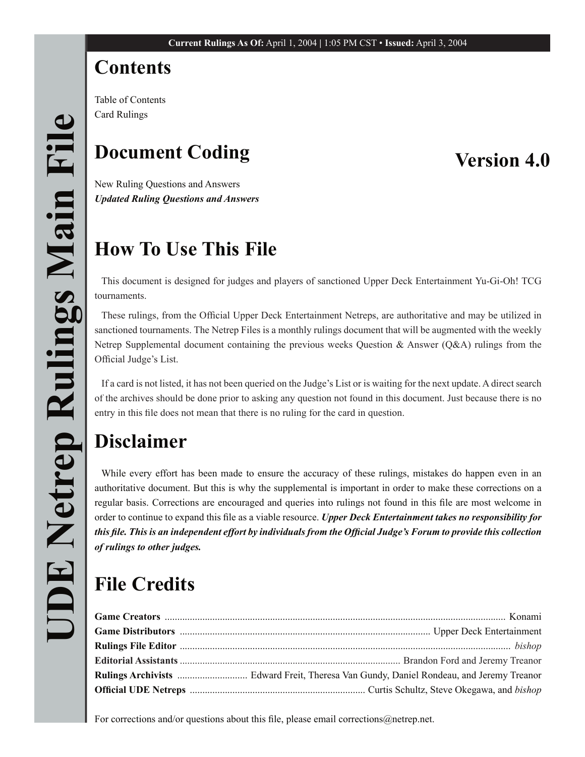# **Contents**

Table of Contents Card Rulings

# **Document Coding**

# **Version 4.0**

New Ruling Questions and Answers *Updated Ruling Questions and Answers*

# **How To Use This File**

This document is designed for judges and players of sanctioned Upper Deck Entertainment Yu-Gi-Oh! TCG tournaments.

These rulings, from the Official Upper Deck Entertainment Netreps, are authoritative and may be utilized in sanctioned tournaments. The Netrep Files is a monthly rulings document that will be augmented with the weekly Netrep Supplemental document containing the previous weeks Question & Answer ( $Q&A$ ) rulings from the Official Judge's List.

If a card is not listed, it has not been queried on the Judge's List or is waiting for the next update. A direct search of the archives should be done prior to asking any question not found in this document. Just because there is no entry in this file does not mean that there is no ruling for the card in question.

# **Disclaimer**

While every effort has been made to ensure the accuracy of these rulings, mistakes do happen even in an authoritative document. But this is why the supplemental is important in order to make these corrections on a regular basis. Corrections are encouraged and queries into rulings not found in this file are most welcome in order to continue to expand this file as a viable resource. *Upper Deck Entertainment takes no responsibility for this file. This is an independent effort by individuals from the Official Judge's Forum to provide this collection of rulings to other judges.*

# **File Credits**

For corrections and/or questions about this file, please email corrections@netrep.net.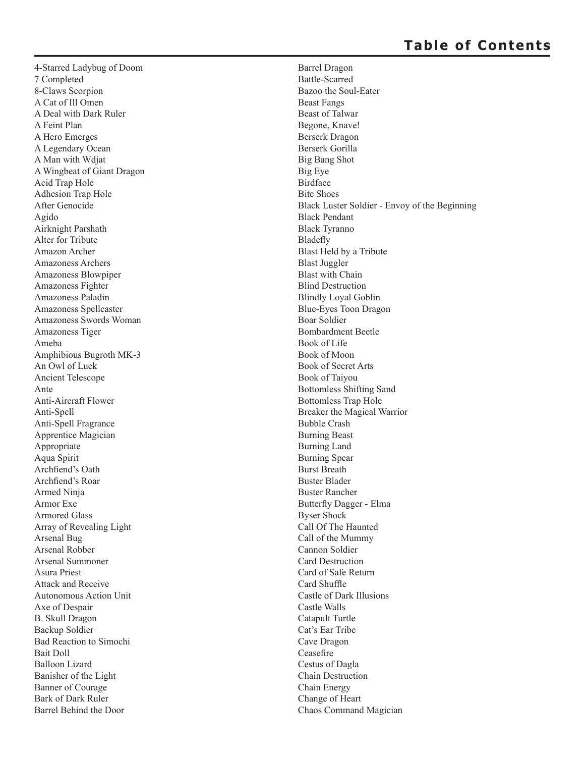4-Starred Ladybug of Doom 7 Completed 8-Claws Scorpion A Cat of Ill Omen A Deal with Dark Ruler A Feint Plan A Hero Emerges A Legendary Ocean A Man with Wdjat A Wingbeat of Giant Dragon Acid Trap Hole Adhesion Trap Hole After Genocide Agido Airknight Parshath Alter for Tribute Amazon Archer Amazoness Archers Amazoness Blowpiper Amazoness Fighter Amazoness Paladin Amazoness Spellcaster Amazoness Swords Woman Amazoness Tiger Ameba Amphibious Bugroth MK-3 An Owl of Luck Ancient Telescope Ante Anti-Aircraft Flower Anti-Spell Anti-Spell Fragrance Apprentice Magician Appropriate Aqua Spirit Archfiend's Oath Archfiend's Roar Armed Ninja Armor Exe Armored Glass Array of Revealing Light Arsenal Bug Arsenal Robber Arsenal Summoner Asura Priest Attack and Receive Autonomous Action Unit Axe of Despair B. Skull Dragon Backup Soldier Bad Reaction to Simochi Bait Doll Balloon Lizard Banisher of the Light Banner of Courage Bark of Dark Ruler Barrel Behind the Door

Barrel Dragon Battle-Scarred Bazoo the Soul-Eater Beast Fangs Beast of Talwar Begone, Knave! Berserk Dragon Berserk Gorilla Big Bang Shot Big Eye Birdface Bite Shoes Black Luster Soldier - Envoy of the Beginning Black Pendant Black Tyranno **Bladefly** Blast Held by a Tribute Blast Juggler Blast with Chain Blind Destruction Blindly Loyal Goblin Blue-Eyes Toon Dragon Boar Soldier Bombardment Beetle Book of Life Book of Moon Book of Secret Arts Book of Taiyou Bottomless Shifting Sand Bottomless Trap Hole Breaker the Magical Warrior Bubble Crash Burning Beast Burning Land Burning Spear Burst Breath Buster Blader Buster Rancher Butterfly Dagger - Elma Byser Shock Call Of The Haunted Call of the Mummy Cannon Soldier Card Destruction Card of Safe Return Card Shuffle Castle of Dark Illusions Castle Walls Catapult Turtle Cat's Ear Tribe Cave Dragon Ceasefire Cestus of Dagla Chain Destruction Chain Energy Change of Heart Chaos Command Magician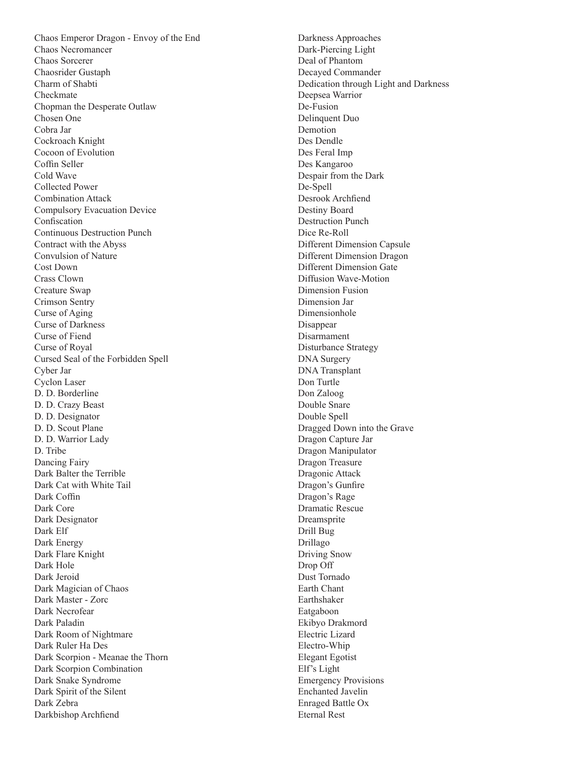Chaos Emperor Dragon - Envoy of the End Chaos Necromancer Chaos Sorcerer Chaosrider Gustaph Charm of Shabti Checkmate Chopman the Desperate Outlaw Chosen One Cobra Jar Cockroach Knight Cocoon of Evolution Coffin Seller Cold Wave Collected Power Combination Attack Compulsory Evacuation Device Confiscation Continuous Destruction Punch Contract with the Abyss Convulsion of Nature Cost Down Crass Clown Creature Swap Crimson Sentry Curse of Aging Curse of Darkness Curse of Fiend Curse of Royal Cursed Seal of the Forbidden Spell Cyber Jar Cyclon Laser D. D. Borderline D. D. Crazy Beast D. D. Designator D. D. Scout Plane D. D. Warrior Lady D. Tribe Dancing Fairy Dark Balter the Terrible Dark Cat with White Tail Dark Coffin Dark Core Dark Designator Dark Elf Dark Energy Dark Flare Knight Dark Hole Dark Jeroid Dark Magician of Chaos Dark Master - Zorc Dark Necrofear Dark Paladin Dark Room of Nightmare Dark Ruler Ha Des Dark Scorpion - Meanae the Thorn Dark Scorpion Combination Dark Snake Syndrome Dark Spirit of the Silent Dark Zebra Darkbishop Archfiend

Darkness Approaches Dark-Piercing Light Deal of Phantom Decayed Commander Dedication through Light and Darkness Deepsea Warrior De-Fusion Delinquent Duo Demotion Des Dendle Des Feral Imp Des Kangaroo Despair from the Dark De-Spell Desrook Archfiend Destiny Board Destruction Punch Dice Re-Roll Different Dimension Capsule Different Dimension Dragon Different Dimension Gate Diffusion Wave-Motion Dimension Fusion Dimension Jar Dimensionhole Disappear Disarmament Disturbance Strategy DNA Surgery DNA Transplant Don Turtle Don Zaloog Double Snare Double Spell Dragged Down into the Grave Dragon Capture Jar Dragon Manipulator Dragon Treasure Dragonic Attack Dragon's Gunfire Dragon's Rage Dramatic Rescue Dreamsprite Drill Bug Drillago Driving Snow Drop Off Dust Tornado Earth Chant Earthshaker Eatgaboon Ekibyo Drakmord Electric Lizard Electro-Whip Elegant Egotist Elf's Light Emergency Provisions Enchanted Javelin Enraged Battle Ox Eternal Rest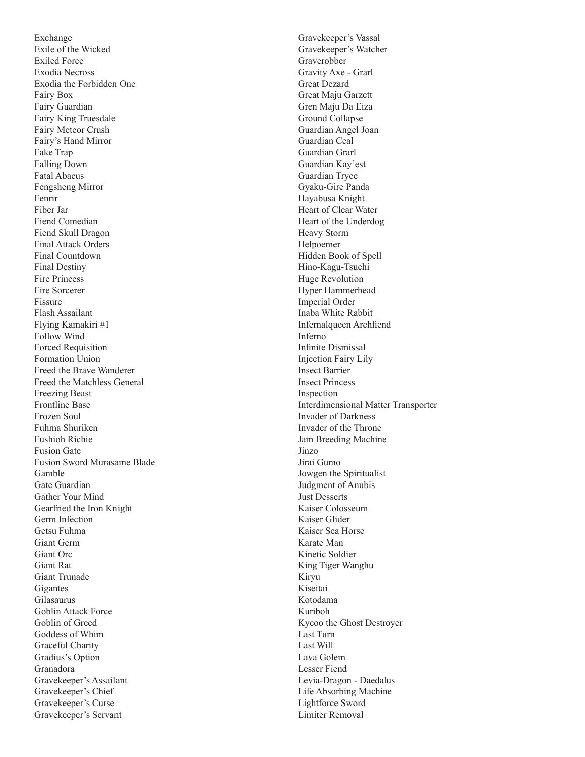Exchange Exile of the Wicked Exiled Force Exodia Necross Exodia the Forbidden One Fairy Box Fairy Guardian Fairy King Truesdale Fairy Meteor Crush Fairy's Hand Mirror Fake Trap Falling Down Fatal Abacus Fengsheng Mirror Fenrir Fiber Jar Fiend Comedian Fiend Skull Dragon Final Attack Orders Final Countdown Final Destiny Fire Princess Fire Sorcerer Fissure Flash Assailant Flying Kamakiri #1 Follow Wind Forced Requisition Formation Union Freed the Brave Wanderer Freed the Matchless General Freezing Beast Frontline Base Frozen Soul Fuhma Shuriken Fushioh Richie Fusion Gate Fusion Sword Murasame Blade Gamble Gate Guardian Gather Your Mind Gearfried the Iron Knight Germ Infection Getsu Fuhma Giant Germ Giant Orc Giant Rat Giant Trunade Gigantes Gilasaurus Goblin Attack Force Goblin of Greed Goddess of Whim Graceful Charity Gradius's Option Granadora Gravekeeper's Assailant Gravekeeper's Chief Gravekeeper's Curse Gravekeeper's Servant

Gravekeeper's Vassal Gravekeeper's Watcher Graverobber Gravity Axe - Grarl Great Dezard Great Maju Garzett Gren Maju Da Eiza Ground Collapse Guardian Angel Joan Guardian Ceal Guardian Grarl Guardian Kay'est Guardian Tryce Gyaku-Gire Panda Hayabusa Knight Heart of Clear Water Heart of the Underdog Heavy Storm Helpoemer Hidden Book of Spell Hino-Kagu-Tsuchi Huge Revolution Hyper Hammerhead Imperial Order Inaba White Rabbit Infernalqueen Archfiend Inferno Infinite Dismissal Injection Fairy Lily Insect Barrier Insect Princess Inspection Interdimensional Matter Transporter Invader of Darkness Invader of the Throne Jam Breeding Machine Jinzo Jirai Gumo Jowgen the Spiritualist Judgment of Anubis Just Desserts Kaiser Colosseum Kaiser Glider Kaiser Sea Horse Karate Man Kinetic Soldier King Tiger Wanghu Kiryu Kiseitai Kotodama Kuriboh Kycoo the Ghost Destroyer Last Turn Last Will Lava Golem Lesser Fiend Levia-Dragon - Daedalus Life Absorbing Machine Lightforce Sword Limiter Removal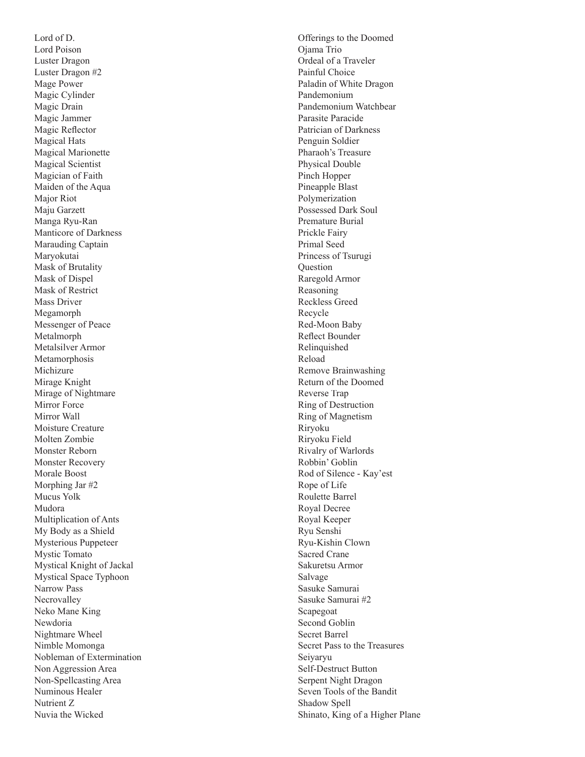Lord of D. Lord Poison Luster Dragon Luster Dragon #2 Mage Power Magic Cylinder Magic Drain Magic Jammer Magic Reflector Magical Hats Magical Marionette Magical Scientist Magician of Faith Maiden of the Aqua Major Riot Maju Garzett Manga Ryu-Ran Manticore of Darkness Marauding Captain Maryokutai Mask of Brutality Mask of Dispel Mask of Restrict Mass Driver Megamorph Messenger of Peace Metalmorph Metalsilver Armor Metamorphosis Michizure Mirage Knight Mirage of Nightmare Mirror Force Mirror Wall Moisture Creature Molten Zombie Monster Reborn Monster Recovery Morale Boost Morphing Jar #2 Mucus Yolk Mudora Multiplication of Ants My Body as a Shield Mysterious Puppeteer Mystic Tomato Mystical Knight of Jackal Mystical Space Typhoon Narrow Pass Necrovalley Neko Mane King Newdoria Nightmare Wheel Nimble Momonga Nobleman of Extermination Non Aggression Area Non-Spellcasting Area Numinous Healer Nutrient Z Nuvia the Wicked

Offerings to the Doomed Ojama Trio Ordeal of a Traveler Painful Choice Paladin of White Dragon Pandemonium Pandemonium Watchbear Parasite Paracide Patrician of Darkness Penguin Soldier Pharaoh's Treasure Physical Double Pinch Hopper Pineapple Blast Polymerization Possessed Dark Soul Premature Burial Prickle Fairy Primal Seed Princess of Tsurugi Question Raregold Armor Reasoning Reckless Greed Recycle Red-Moon Baby Reflect Bounder Relinquished Reload Remove Brainwashing Return of the Doomed Reverse Trap Ring of Destruction Ring of Magnetism Riryoku Riryoku Field Rivalry of Warlords Robbin' Goblin Rod of Silence - Kay'est Rope of Life Roulette Barrel Royal Decree Royal Keeper Ryu Senshi Ryu-Kishin Clown Sacred Crane Sakuretsu Armor Salvage Sasuke Samurai Sasuke Samurai #2 Scapegoat Second Goblin Secret Barrel Secret Pass to the Treasures Seiyaryu Self-Destruct Button Serpent Night Dragon Seven Tools of the Bandit Shadow Spell Shinato, King of a Higher Plane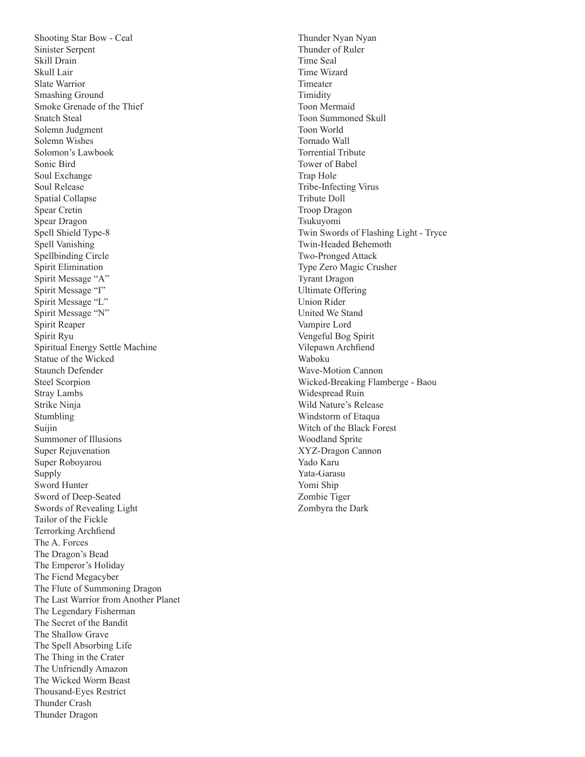Shooting Star Bow - Ceal Sinister Serpent Skill Drain Skull Lair Slate Warrior Smashing Ground Smoke Grenade of the Thief Snatch Steal Solemn Judgment Solemn Wishes Solomon's Lawbook Sonic Bird Soul Exchange Soul Release Spatial Collapse Spear Cretin Spear Dragon Spell Shield Type-8 Spell Vanishing Spellbinding Circle Spirit Elimination Spirit Message "A" Spirit Message "I" Spirit Message "L" Spirit Message "N" Spirit Reaper Spirit Ryu Spiritual Energy Settle Machine Statue of the Wicked Staunch Defender Steel Scorpion Stray Lambs Strike Ninja Stumbling Suijin Summoner of Illusions Super Rejuvenation Super Roboyarou Supply Sword Hunter Sword of Deep-Seated Swords of Revealing Light Tailor of the Fickle Terrorking Archfiend The A. Forces The Dragon's Bead The Emperor's Holiday The Fiend Megacyber The Flute of Summoning Dragon The Last Warrior from Another Planet The Legendary Fisherman The Secret of the Bandit The Shallow Grave The Spell Absorbing Life The Thing in the Crater The Unfriendly Amazon The Wicked Worm Beast Thousand-Eyes Restrict Thunder Crash Thunder Dragon

Thunder Nyan Nyan Thunder of Ruler Time Seal Time Wizard Timeater Timidity Toon Mermaid Toon Summoned Skull Toon World Tornado Wall Torrential Tribute Tower of Babel Trap Hole Tribe-Infecting Virus Tribute Doll Troop Dragon Tsukuyomi Twin Swords of Flashing Light - Tryce Twin-Headed Behemoth Two-Pronged Attack Type Zero Magic Crusher Tyrant Dragon Ultimate Offering Union Rider United We Stand Vampire Lord Vengeful Bog Spirit Vilepawn Archfiend Waboku Wave-Motion Cannon Wicked-Breaking Flamberge - Baou Widespread Ruin Wild Nature's Release Windstorm of Etaqua Witch of the Black Forest Woodland Sprite XYZ-Dragon Cannon Yado Karu Yata-Garasu Yomi Ship Zombie Tiger Zombyra the Dark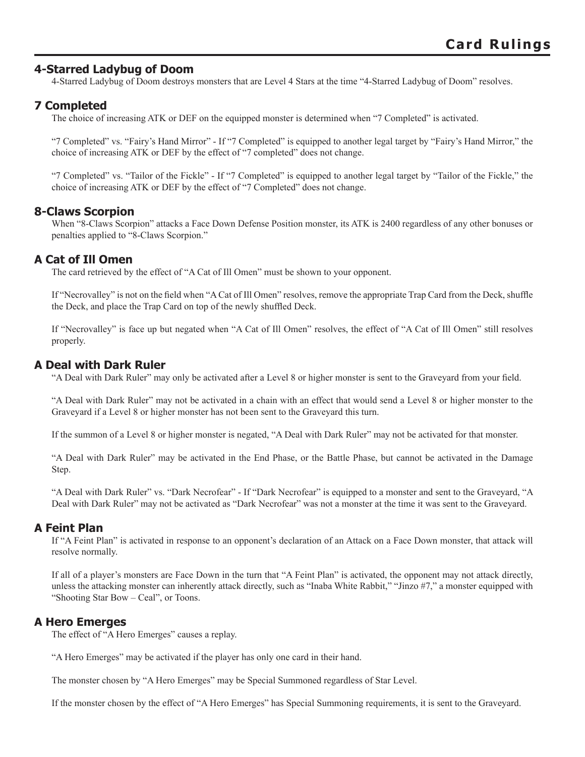# **4-Starred Ladybug of Doom**

4-Starred Ladybug of Doom destroys monsters that are Level 4 Stars at the time "4-Starred Ladybug of Doom" resolves.

# **7 Completed**

The choice of increasing ATK or DEF on the equipped monster is determined when "7 Completed" is activated.

"7 Completed" vs. "Fairy's Hand Mirror" - If "7 Completed" is equipped to another legal target by "Fairy's Hand Mirror," the choice of increasing ATK or DEF by the effect of "7 completed" does not change.

"7 Completed" vs. "Tailor of the Fickle" - If "7 Completed" is equipped to another legal target by "Tailor of the Fickle," the choice of increasing ATK or DEF by the effect of "7 Completed" does not change.

## **8-Claws Scorpion**

When "8-Claws Scorpion" attacks a Face Down Defense Position monster, its ATK is 2400 regardless of any other bonuses or penalties applied to "8-Claws Scorpion."

## **A Cat of Ill Omen**

The card retrieved by the effect of "A Cat of Ill Omen" must be shown to your opponent.

If "Necrovalley" is not on the field when "A Cat of Ill Omen" resolves, remove the appropriate Trap Card from the Deck, shuffle the Deck, and place the Trap Card on top of the newly shuffled Deck.

If "Necrovalley" is face up but negated when "A Cat of Ill Omen" resolves, the effect of "A Cat of Ill Omen" still resolves properly.

## **A Deal with Dark Ruler**

"A Deal with Dark Ruler" may only be activated after a Level 8 or higher monster is sent to the Graveyard from your field.

"A Deal with Dark Ruler" may not be activated in a chain with an effect that would send a Level 8 or higher monster to the Graveyard if a Level 8 or higher monster has not been sent to the Graveyard this turn.

If the summon of a Level 8 or higher monster is negated, "A Deal with Dark Ruler" may not be activated for that monster.

"A Deal with Dark Ruler" may be activated in the End Phase, or the Battle Phase, but cannot be activated in the Damage Step.

"A Deal with Dark Ruler" vs. "Dark Necrofear" - If "Dark Necrofear" is equipped to a monster and sent to the Graveyard, "A Deal with Dark Ruler" may not be activated as "Dark Necrofear" was not a monster at the time it was sent to the Graveyard.

## **A Feint Plan**

If "A Feint Plan" is activated in response to an opponent's declaration of an Attack on a Face Down monster, that attack will resolve normally.

If all of a player's monsters are Face Down in the turn that "A Feint Plan" is activated, the opponent may not attack directly, unless the attacking monster can inherently attack directly, such as "Inaba White Rabbit," "Jinzo #7," a monster equipped with "Shooting Star Bow – Ceal", or Toons.

## **A Hero Emerges**

The effect of "A Hero Emerges" causes a replay.

"A Hero Emerges" may be activated if the player has only one card in their hand.

The monster chosen by "A Hero Emerges" may be Special Summoned regardless of Star Level.

If the monster chosen by the effect of "A Hero Emerges" has Special Summoning requirements, it is sent to the Graveyard.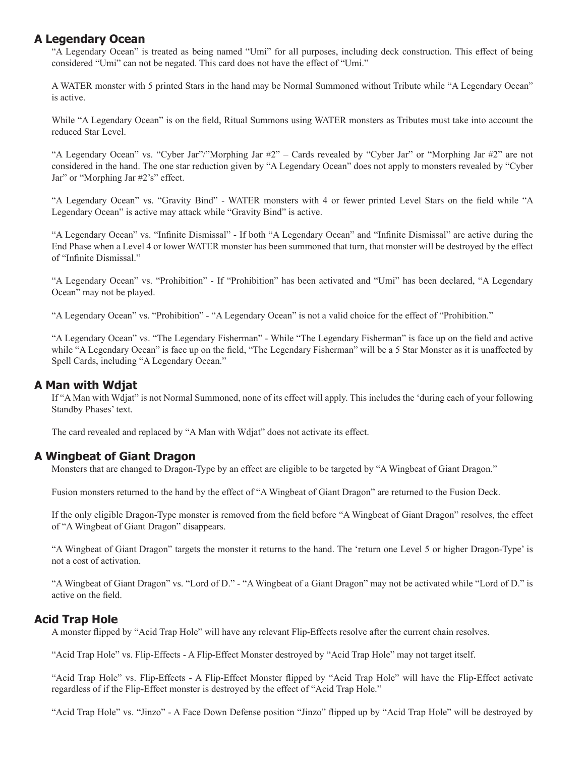## **A Legendary Ocean**

"A Legendary Ocean" is treated as being named "Umi" for all purposes, including deck construction. This effect of being considered "Umi" can not be negated. This card does not have the effect of "Umi."

A WATER monster with 5 printed Stars in the hand may be Normal Summoned without Tribute while "A Legendary Ocean" is active.

While "A Legendary Ocean" is on the field, Ritual Summons using WATER monsters as Tributes must take into account the reduced Star Level.

"A Legendary Ocean" vs. "Cyber Jar"/"Morphing Jar #2" – Cards revealed by "Cyber Jar" or "Morphing Jar #2" are not considered in the hand. The one star reduction given by "A Legendary Ocean" does not apply to monsters revealed by "Cyber Jar" or "Morphing Jar #2's" effect.

"A Legendary Ocean" vs. "Gravity Bind" - WATER monsters with 4 or fewer printed Level Stars on the field while "A Legendary Ocean" is active may attack while "Gravity Bind" is active.

"A Legendary Ocean" vs. "Infinite Dismissal" - If both "A Legendary Ocean" and "Infinite Dismissal" are active during the End Phase when a Level 4 or lower WATER monster has been summoned that turn, that monster will be destroyed by the effect of "Infinite Dismissal."

"A Legendary Ocean" vs. "Prohibition" - If "Prohibition" has been activated and "Umi" has been declared, "A Legendary Ocean" may not be played.

"A Legendary Ocean" vs. "Prohibition" - "A Legendary Ocean" is not a valid choice for the effect of "Prohibition."

"A Legendary Ocean" vs. "The Legendary Fisherman" - While "The Legendary Fisherman" is face up on the field and active while "A Legendary Ocean" is face up on the field, "The Legendary Fisherman" will be a 5 Star Monster as it is unaffected by Spell Cards, including "A Legendary Ocean."

## **A Man with Wdjat**

If "A Man with Wdjat" is not Normal Summoned, none of its effect will apply. This includes the 'during each of your following Standby Phases' text.

The card revealed and replaced by "A Man with Wdjat" does not activate its effect.

#### **A Wingbeat of Giant Dragon**

Monsters that are changed to Dragon-Type by an effect are eligible to be targeted by "A Wingbeat of Giant Dragon."

Fusion monsters returned to the hand by the effect of "A Wingbeat of Giant Dragon" are returned to the Fusion Deck.

If the only eligible Dragon-Type monster is removed from the field before "A Wingbeat of Giant Dragon" resolves, the effect of "A Wingbeat of Giant Dragon" disappears.

"A Wingbeat of Giant Dragon" targets the monster it returns to the hand. The 'return one Level 5 or higher Dragon-Type' is not a cost of activation.

"A Wingbeat of Giant Dragon" vs. "Lord of D." - "A Wingbeat of a Giant Dragon" may not be activated while "Lord of D." is active on the field.

#### **Acid Trap Hole**

A monster flipped by "Acid Trap Hole" will have any relevant Flip-Effects resolve after the current chain resolves.

"Acid Trap Hole" vs. Flip-Effects - A Flip-Effect Monster destroyed by "Acid Trap Hole" may not target itself.

"Acid Trap Hole" vs. Flip-Effects - A Flip-Effect Monster flipped by "Acid Trap Hole" will have the Flip-Effect activate regardless of if the Flip-Effect monster is destroyed by the effect of "Acid Trap Hole."

"Acid Trap Hole" vs. "Jinzo" - A Face Down Defense position "Jinzo" flipped up by "Acid Trap Hole" will be destroyed by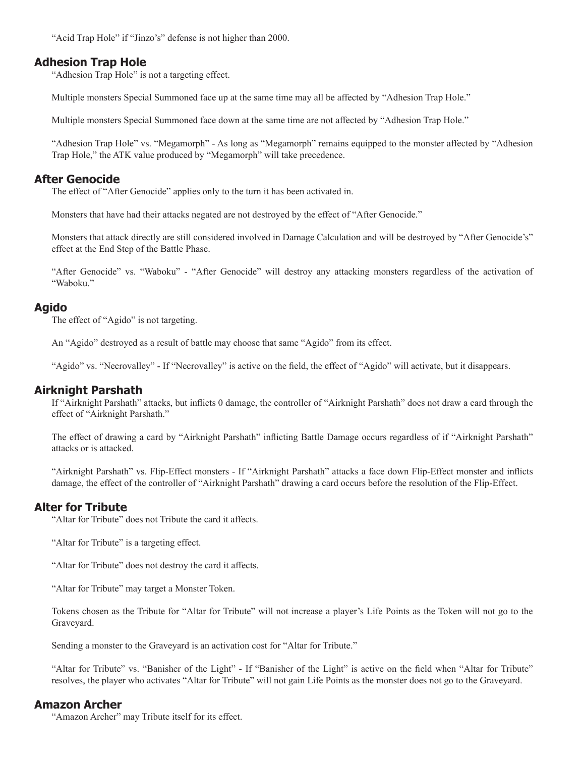"Acid Trap Hole" if "Jinzo's" defense is not higher than 2000.

## **Adhesion Trap Hole**

"Adhesion Trap Hole" is not a targeting effect.

Multiple monsters Special Summoned face up at the same time may all be affected by "Adhesion Trap Hole."

Multiple monsters Special Summoned face down at the same time are not affected by "Adhesion Trap Hole."

"Adhesion Trap Hole" vs. "Megamorph" - As long as "Megamorph" remains equipped to the monster affected by "Adhesion Trap Hole," the ATK value produced by "Megamorph" will take precedence.

## **After Genocide**

The effect of "After Genocide" applies only to the turn it has been activated in.

Monsters that have had their attacks negated are not destroyed by the effect of "After Genocide."

Monsters that attack directly are still considered involved in Damage Calculation and will be destroyed by "After Genocide's" effect at the End Step of the Battle Phase.

"After Genocide" vs. "Waboku" - "After Genocide" will destroy any attacking monsters regardless of the activation of "Waboku."

## **Agido**

The effect of "Agido" is not targeting.

An "Agido" destroyed as a result of battle may choose that same "Agido" from its effect.

"Agido" vs. "Necrovalley" - If "Necrovalley" is active on the field, the effect of "Agido" will activate, but it disappears.

## **Airknight Parshath**

If "Airknight Parshath" attacks, but inflicts 0 damage, the controller of "Airknight Parshath" does not draw a card through the effect of "Airknight Parshath."

The effect of drawing a card by "Airknight Parshath" inflicting Battle Damage occurs regardless of if "Airknight Parshath" attacks or is attacked.

"Airknight Parshath" vs. Flip-Effect monsters - If "Airknight Parshath" attacks a face down Flip-Effect monster and inflicts damage, the effect of the controller of "Airknight Parshath" drawing a card occurs before the resolution of the Flip-Effect.

#### **Alter for Tribute**

"Altar for Tribute" does not Tribute the card it affects.

"Altar for Tribute" is a targeting effect.

"Altar for Tribute" does not destroy the card it affects.

"Altar for Tribute" may target a Monster Token.

Tokens chosen as the Tribute for "Altar for Tribute" will not increase a player's Life Points as the Token will not go to the Graveyard.

Sending a monster to the Graveyard is an activation cost for "Altar for Tribute."

"Altar for Tribute" vs. "Banisher of the Light" - If "Banisher of the Light" is active on the field when "Altar for Tribute" resolves, the player who activates "Altar for Tribute" will not gain Life Points as the monster does not go to the Graveyard.

#### **Amazon Archer**

"Amazon Archer" may Tribute itself for its effect.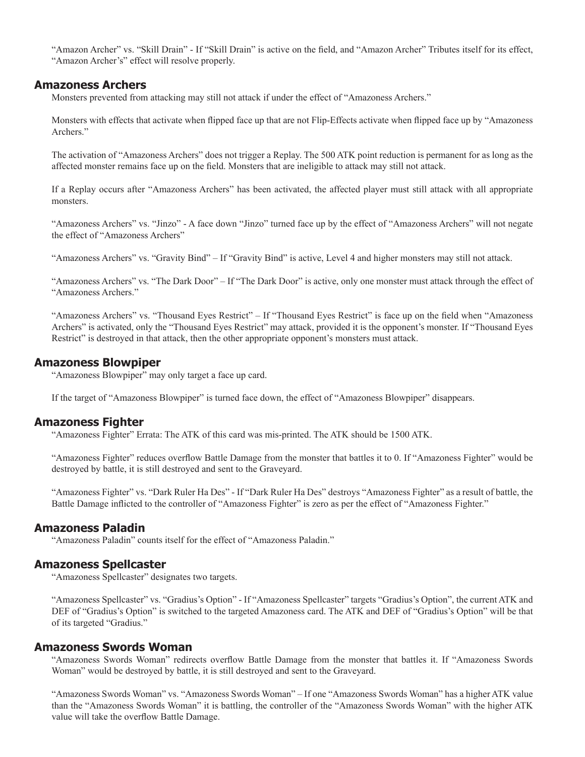"Amazon Archer" vs. "Skill Drain" - If "Skill Drain" is active on the field, and "Amazon Archer" Tributes itself for its effect, "Amazon Archer's" effect will resolve properly.

#### **Amazoness Archers**

Monsters prevented from attacking may still not attack if under the effect of "Amazoness Archers."

Monsters with effects that activate when flipped face up that are not Flip-Effects activate when flipped face up by "Amazoness" Archers."

The activation of "Amazoness Archers" does not trigger a Replay. The 500 ATK point reduction is permanent for as long as the affected monster remains face up on the field. Monsters that are ineligible to attack may still not attack.

If a Replay occurs after "Amazoness Archers" has been activated, the affected player must still attack with all appropriate monsters.

"Amazoness Archers" vs. "Jinzo" - A face down "Jinzo" turned face up by the effect of "Amazoness Archers" will not negate the effect of "Amazoness Archers"

"Amazoness Archers" vs. "Gravity Bind" – If "Gravity Bind" is active, Level 4 and higher monsters may still not attack.

"Amazoness Archers" vs. "The Dark Door" – If "The Dark Door" is active, only one monster must attack through the effect of "Amazoness Archers."

"Amazoness Archers" vs. "Thousand Eyes Restrict" – If "Thousand Eyes Restrict" is face up on the field when "Amazoness" Archers" is activated, only the "Thousand Eyes Restrict" may attack, provided it is the opponent's monster. If "Thousand Eyes Restrict" is destroyed in that attack, then the other appropriate opponent's monsters must attack.

## **Amazoness Blowpiper**

"Amazoness Blowpiper" may only target a face up card.

If the target of "Amazoness Blowpiper" is turned face down, the effect of "Amazoness Blowpiper" disappears.

#### **Amazoness Fighter**

"Amazoness Fighter" Errata: The ATK of this card was mis-printed. The ATK should be 1500 ATK.

"Amazoness Fighter" reduces overflow Battle Damage from the monster that battles it to 0. If "Amazoness Fighter" would be destroyed by battle, it is still destroyed and sent to the Graveyard.

"Amazoness Fighter" vs. "Dark Ruler Ha Des" - If "Dark Ruler Ha Des" destroys "Amazoness Fighter" as a result of battle, the Battle Damage inflicted to the controller of "Amazoness Fighter" is zero as per the effect of "Amazoness Fighter."

#### **Amazoness Paladin**

"Amazoness Paladin" counts itself for the effect of "Amazoness Paladin."

#### **Amazoness Spellcaster**

"Amazoness Spellcaster" designates two targets.

"Amazoness Spellcaster" vs. "Gradius's Option" - If "Amazoness Spellcaster" targets "Gradius's Option", the current ATK and DEF of "Gradius's Option" is switched to the targeted Amazoness card. The ATK and DEF of "Gradius's Option" will be that of its targeted "Gradius."

#### **Amazoness Swords Woman**

"Amazoness Swords Woman" redirects overflow Battle Damage from the monster that battles it. If "Amazoness Swords Woman" would be destroyed by battle, it is still destroyed and sent to the Graveyard.

"Amazoness Swords Woman" vs. "Amazoness Swords Woman" – If one "Amazoness Swords Woman" has a higher ATK value than the "Amazoness Swords Woman" it is battling, the controller of the "Amazoness Swords Woman" with the higher ATK value will take the overflow Battle Damage.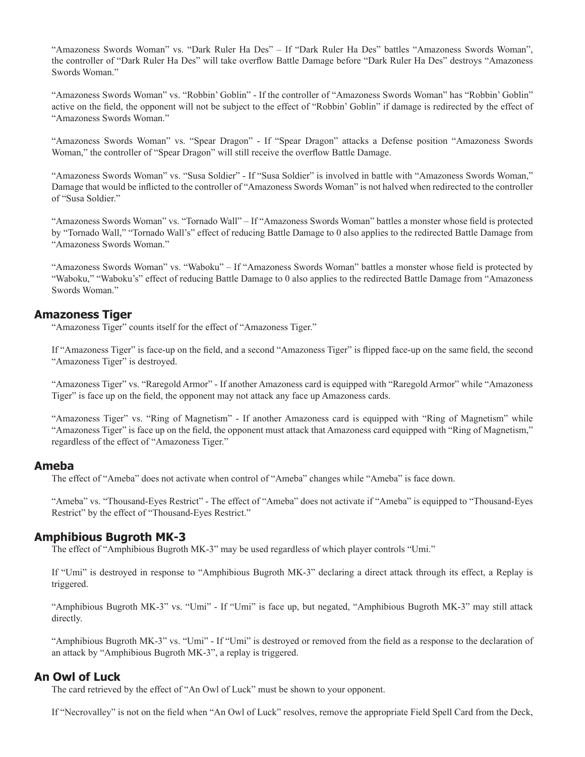"Amazoness Swords Woman" vs. "Dark Ruler Ha Des" – If "Dark Ruler Ha Des" battles "Amazoness Swords Woman", the controller of "Dark Ruler Ha Des" will take overflow Battle Damage before "Dark Ruler Ha Des" destroys "Amazoness" Swords Woman."

"Amazoness Swords Woman" vs. "Robbin' Goblin" - If the controller of "Amazoness Swords Woman" has "Robbin' Goblin" active on the field, the opponent will not be subject to the effect of "Robbin' Goblin" if damage is redirected by the effect of "Amazoness Swords Woman."

"Amazoness Swords Woman" vs. "Spear Dragon" - If "Spear Dragon" attacks a Defense position "Amazoness Swords Woman," the controller of "Spear Dragon" will still receive the overflow Battle Damage.

"Amazoness Swords Woman" vs. "Susa Soldier" - If "Susa Soldier" is involved in battle with "Amazoness Swords Woman," Damage that would be inflicted to the controller of "Amazoness Swords Woman" is not halved when redirected to the controller of "Susa Soldier"

"Amazoness Swords Woman" vs. "Tornado Wall" – If "Amazoness Swords Woman" battles a monster whose field is protected by "Tornado Wall," "Tornado Wall's" effect of reducing Battle Damage to 0 also applies to the redirected Battle Damage from "Amazoness Swords Woman."

"Amazoness Swords Woman" vs. "Waboku" – If "Amazoness Swords Woman" battles a monster whose field is protected by "Waboku," "Waboku's" effect of reducing Battle Damage to 0 also applies to the redirected Battle Damage from "Amazoness Swords Woman."

#### **Amazoness Tiger**

"Amazoness Tiger" counts itself for the effect of "Amazoness Tiger."

If "Amazoness Tiger" is face-up on the field, and a second "Amazoness Tiger" is flipped face-up on the same field, the second "Amazoness Tiger" is destroyed.

"Amazoness Tiger" vs. "Raregold Armor" - If another Amazoness card is equipped with "Raregold Armor" while "Amazoness Tiger" is face up on the field, the opponent may not attack any face up Amazoness cards.

"Amazoness Tiger" vs. "Ring of Magnetism" - If another Amazoness card is equipped with "Ring of Magnetism" while "Amazoness Tiger" is face up on the field, the opponent must attack that Amazoness card equipped with "Ring of Magnetism," regardless of the effect of "Amazoness Tiger."

#### **Ameba**

The effect of "Ameba" does not activate when control of "Ameba" changes while "Ameba" is face down.

"Ameba" vs. "Thousand-Eyes Restrict" - The effect of "Ameba" does not activate if "Ameba" is equipped to "Thousand-Eyes Restrict" by the effect of "Thousand-Eyes Restrict."

## **Amphibious Bugroth MK-3**

The effect of "Amphibious Bugroth MK-3" may be used regardless of which player controls "Umi."

If "Umi" is destroyed in response to "Amphibious Bugroth MK-3" declaring a direct attack through its effect, a Replay is triggered.

"Amphibious Bugroth MK-3" vs. "Umi" - If "Umi" is face up, but negated, "Amphibious Bugroth MK-3" may still attack directly.

"Amphibious Bugroth MK-3" vs. "Umi" - If "Umi" is destroyed or removed from the field as a response to the declaration of an attack by "Amphibious Bugroth MK-3", a replay is triggered.

#### **An Owl of Luck**

The card retrieved by the effect of "An Owl of Luck" must be shown to your opponent.

If "Necrovalley" is not on the field when "An Owl of Luck" resolves, remove the appropriate Field Spell Card from the Deck,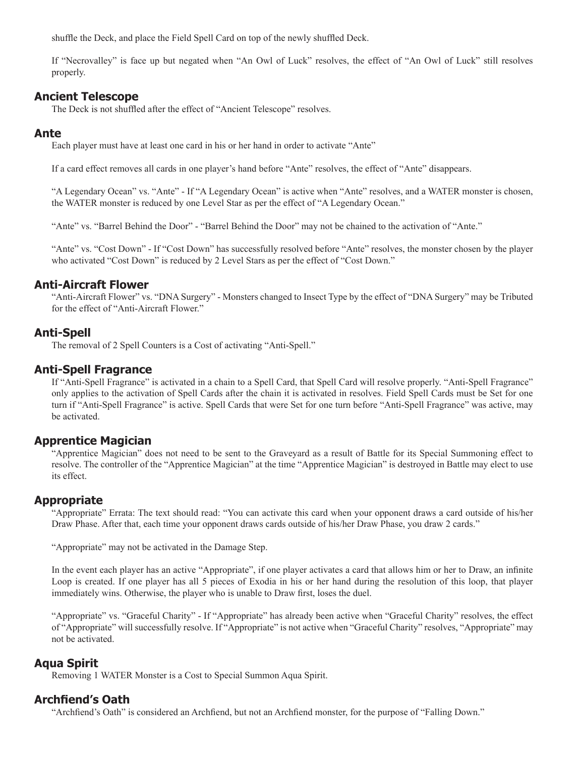shuffle the Deck, and place the Field Spell Card on top of the newly shuffled Deck.

If "Necrovalley" is face up but negated when "An Owl of Luck" resolves, the effect of "An Owl of Luck" still resolves properly.

#### **Ancient Telescope**

The Deck is not shuffled after the effect of "Ancient Telescope" resolves.

#### **Ante**

Each player must have at least one card in his or her hand in order to activate "Ante"

If a card effect removes all cards in one player's hand before "Ante" resolves, the effect of "Ante" disappears.

"A Legendary Ocean" vs. "Ante" - If "A Legendary Ocean" is active when "Ante" resolves, and a WATER monster is chosen, the WATER monster is reduced by one Level Star as per the effect of "A Legendary Ocean."

"Ante" vs. "Barrel Behind the Door" - "Barrel Behind the Door" may not be chained to the activation of "Ante."

"Ante" vs. "Cost Down" - If "Cost Down" has successfully resolved before "Ante" resolves, the monster chosen by the player who activated "Cost Down" is reduced by 2 Level Stars as per the effect of "Cost Down."

#### **Anti-Aircraft Flower**

"Anti-Aircraft Flower" vs. "DNA Surgery" - Monsters changed to Insect Type by the effect of "DNA Surgery" may be Tributed for the effect of "Anti-Aircraft Flower."

#### **Anti-Spell**

The removal of 2 Spell Counters is a Cost of activating "Anti-Spell."

#### **Anti-Spell Fragrance**

If "Anti-Spell Fragrance" is activated in a chain to a Spell Card, that Spell Card will resolve properly. "Anti-Spell Fragrance" only applies to the activation of Spell Cards after the chain it is activated in resolves. Field Spell Cards must be Set for one turn if "Anti-Spell Fragrance" is active. Spell Cards that were Set for one turn before "Anti-Spell Fragrance" was active, may be activated.

#### **Apprentice Magician**

"Apprentice Magician" does not need to be sent to the Graveyard as a result of Battle for its Special Summoning effect to resolve. The controller of the "Apprentice Magician" at the time "Apprentice Magician" is destroyed in Battle may elect to use its effect.

## **Appropriate**

"Appropriate" Errata: The text should read: "You can activate this card when your opponent draws a card outside of his/her Draw Phase. After that, each time your opponent draws cards outside of his/her Draw Phase, you draw 2 cards."

"Appropriate" may not be activated in the Damage Step.

In the event each player has an active "Appropriate", if one player activates a card that allows him or her to Draw, an infinite Loop is created. If one player has all 5 pieces of Exodia in his or her hand during the resolution of this loop, that player immediately wins. Otherwise, the player who is unable to Draw first, loses the duel.

"Appropriate" vs. "Graceful Charity" - If "Appropriate" has already been active when "Graceful Charity" resolves, the effect of "Appropriate" will successfully resolve. If "Appropriate" is not active when "Graceful Charity" resolves, "Appropriate" may not be activated.

#### **Aqua Spirit**

Removing 1 WATER Monster is a Cost to Special Summon Aqua Spirit.

#### **Archfiend's Oath**

"Archfiend's Oath" is considered an Archfiend, but not an Archfiend monster, for the purpose of "Falling Down."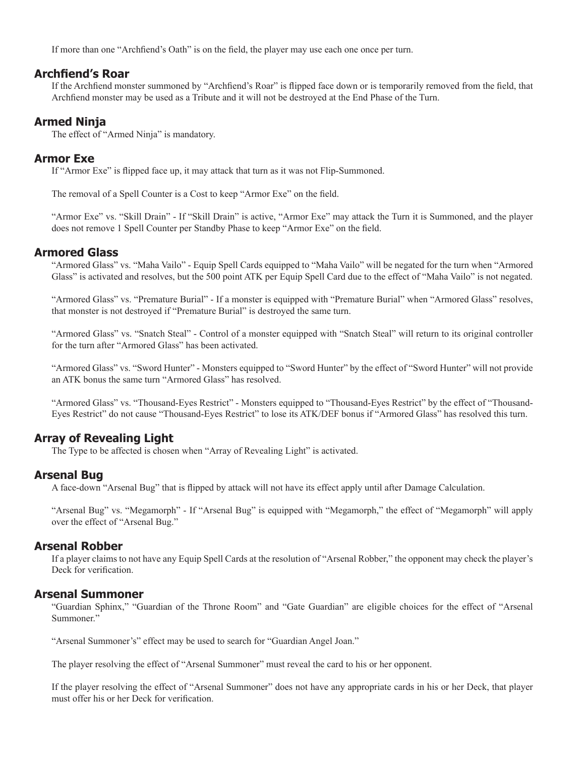If more than one "Archfiend's Oath" is on the field, the player may use each one once per turn.

## **Archfiend's Roar**

If the Archfiend monster summoned by "Archfiend's Roar" is flipped face down or is temporarily removed from the field, that Archfiend monster may be used as a Tribute and it will not be destroyed at the End Phase of the Turn.

# **Armed Ninja**

The effect of "Armed Ninja" is mandatory.

#### **Armor Exe**

If "Armor Exe" is flipped face up, it may attack that turn as it was not Flip-Summoned.

The removal of a Spell Counter is a Cost to keep "Armor Exe" on the field.

"Armor Exe" vs. "Skill Drain" - If "Skill Drain" is active, "Armor Exe" may attack the Turn it is Summoned, and the player does not remove 1 Spell Counter per Standby Phase to keep "Armor Exe" on the field.

## **Armored Glass**

"Armored Glass" vs. "Maha Vailo" - Equip Spell Cards equipped to "Maha Vailo" will be negated for the turn when "Armored Glass" is activated and resolves, but the 500 point ATK per Equip Spell Card due to the effect of "Maha Vailo" is not negated.

"Armored Glass" vs. "Premature Burial" - If a monster is equipped with "Premature Burial" when "Armored Glass" resolves, that monster is not destroyed if "Premature Burial" is destroyed the same turn.

"Armored Glass" vs. "Snatch Steal" - Control of a monster equipped with "Snatch Steal" will return to its original controller for the turn after "Armored Glass" has been activated.

"Armored Glass" vs. "Sword Hunter" - Monsters equipped to "Sword Hunter" by the effect of "Sword Hunter" will not provide an ATK bonus the same turn "Armored Glass" has resolved.

"Armored Glass" vs. "Thousand-Eyes Restrict" - Monsters equipped to "Thousand-Eyes Restrict" by the effect of "Thousand-Eyes Restrict" do not cause "Thousand-Eyes Restrict" to lose its ATK/DEF bonus if "Armored Glass" has resolved this turn.

# **Array of Revealing Light**

The Type to be affected is chosen when "Array of Revealing Light" is activated.

#### **Arsenal Bug**

A face-down "Arsenal Bug" that is flipped by attack will not have its effect apply until after Damage Calculation.

"Arsenal Bug" vs. "Megamorph" - If "Arsenal Bug" is equipped with "Megamorph," the effect of "Megamorph" will apply over the effect of "Arsenal Bug."

## **Arsenal Robber**

If a player claims to not have any Equip Spell Cards at the resolution of "Arsenal Robber," the opponent may check the player's Deck for verification.

## **Arsenal Summoner**

"Guardian Sphinx," "Guardian of the Throne Room" and "Gate Guardian" are eligible choices for the effect of "Arsenal Summoner."

"Arsenal Summoner's" effect may be used to search for "Guardian Angel Joan."

The player resolving the effect of "Arsenal Summoner" must reveal the card to his or her opponent.

If the player resolving the effect of "Arsenal Summoner" does not have any appropriate cards in his or her Deck, that player must offer his or her Deck for verification.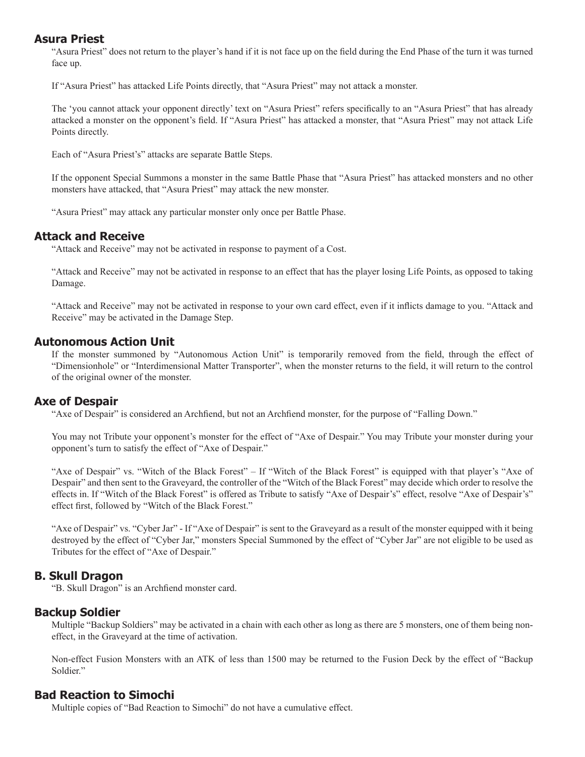## **Asura Priest**

"Asura Priest" does not return to the player's hand if it is not face up on the field during the End Phase of the turn it was turned face up.

If "Asura Priest" has attacked Life Points directly, that "Asura Priest" may not attack a monster.

The 'you cannot attack your opponent directly' text on "Asura Priest" refers specifically to an "Asura Priest" that has already attacked a monster on the opponent's field. If "Asura Priest" has attacked a monster, that "Asura Priest" may not attack Life Points directly.

Each of "Asura Priest's" attacks are separate Battle Steps.

If the opponent Special Summons a monster in the same Battle Phase that "Asura Priest" has attacked monsters and no other monsters have attacked, that "Asura Priest" may attack the new monster.

"Asura Priest" may attack any particular monster only once per Battle Phase.

## **Attack and Receive**

"Attack and Receive" may not be activated in response to payment of a Cost.

"Attack and Receive" may not be activated in response to an effect that has the player losing Life Points, as opposed to taking Damage.

"Attack and Receive" may not be activated in response to your own card effect, even if it inflicts damage to you. "Attack and Receive" may be activated in the Damage Step.

## **Autonomous Action Unit**

If the monster summoned by "Autonomous Action Unit" is temporarily removed from the field, through the effect of "Dimensionhole" or "Interdimensional Matter Transporter", when the monster returns to the field, it will return to the control of the original owner of the monster.

## **Axe of Despair**

"Axe of Despair" is considered an Archfiend, but not an Archfiend monster, for the purpose of "Falling Down."

You may not Tribute your opponent's monster for the effect of "Axe of Despair." You may Tribute your monster during your opponent's turn to satisfy the effect of "Axe of Despair."

"Axe of Despair" vs. "Witch of the Black Forest" – If "Witch of the Black Forest" is equipped with that player's "Axe of Despair" and then sent to the Graveyard, the controller of the "Witch of the Black Forest" may decide which order to resolve the effects in. If "Witch of the Black Forest" is offered as Tribute to satisfy "Axe of Despair's" effect, resolve "Axe of Despair's" effect first, followed by "Witch of the Black Forest."

"Axe of Despair" vs. "Cyber Jar" - If "Axe of Despair" is sent to the Graveyard as a result of the monster equipped with it being destroyed by the effect of "Cyber Jar," monsters Special Summoned by the effect of "Cyber Jar" are not eligible to be used as Tributes for the effect of "Axe of Despair."

# **B. Skull Dragon**

"B. Skull Dragon" is an Archfiend monster card.

## **Backup Soldier**

Multiple "Backup Soldiers" may be activated in a chain with each other as long as there are 5 monsters, one of them being noneffect, in the Graveyard at the time of activation.

Non-effect Fusion Monsters with an ATK of less than 1500 may be returned to the Fusion Deck by the effect of "Backup Soldier."

## **Bad Reaction to Simochi**

Multiple copies of "Bad Reaction to Simochi" do not have a cumulative effect.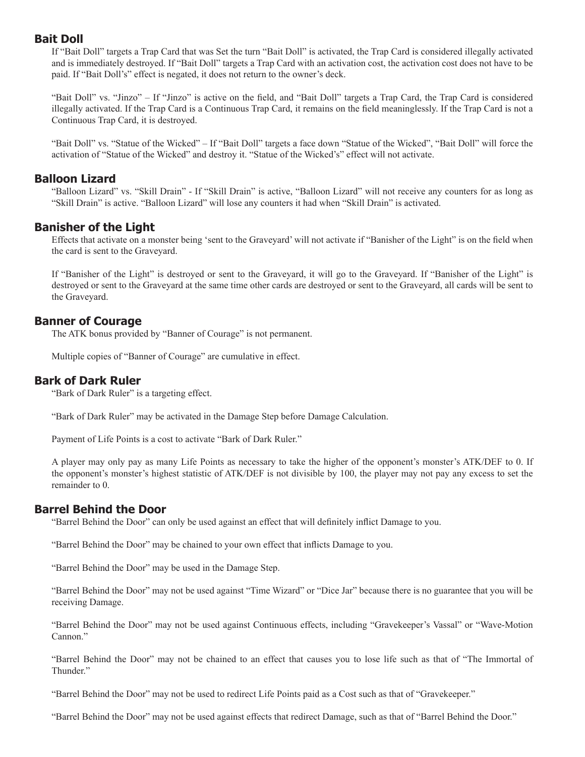#### **Bait Doll**

If "Bait Doll" targets a Trap Card that was Set the turn "Bait Doll" is activated, the Trap Card is considered illegally activated and is immediately destroyed. If "Bait Doll" targets a Trap Card with an activation cost, the activation cost does not have to be paid. If "Bait Doll's" effect is negated, it does not return to the owner's deck.

"Bait Doll" vs. "Jinzo" – If "Jinzo" is active on the field, and "Bait Doll" targets a Trap Card, the Trap Card is considered illegally activated. If the Trap Card is a Continuous Trap Card, it remains on the field meaninglessly. If the Trap Card is not a Continuous Trap Card, it is destroyed.

"Bait Doll" vs. "Statue of the Wicked" – If "Bait Doll" targets a face down "Statue of the Wicked", "Bait Doll" will force the activation of "Statue of the Wicked" and destroy it. "Statue of the Wicked's" effect will not activate.

#### **Balloon Lizard**

"Balloon Lizard" vs. "Skill Drain" - If "Skill Drain" is active, "Balloon Lizard" will not receive any counters for as long as "Skill Drain" is active. "Balloon Lizard" will lose any counters it had when "Skill Drain" is activated.

## **Banisher of the Light**

Effects that activate on a monster being 'sent to the Graveyard' will not activate if "Banisher of the Light" is on the field when the card is sent to the Graveyard.

If "Banisher of the Light" is destroyed or sent to the Graveyard, it will go to the Graveyard. If "Banisher of the Light" is destroyed or sent to the Graveyard at the same time other cards are destroyed or sent to the Graveyard, all cards will be sent to the Graveyard.

## **Banner of Courage**

The ATK bonus provided by "Banner of Courage" is not permanent.

Multiple copies of "Banner of Courage" are cumulative in effect.

#### **Bark of Dark Ruler**

"Bark of Dark Ruler" is a targeting effect.

"Bark of Dark Ruler" may be activated in the Damage Step before Damage Calculation.

Payment of Life Points is a cost to activate "Bark of Dark Ruler."

A player may only pay as many Life Points as necessary to take the higher of the opponent's monster's ATK/DEF to 0. If the opponent's monster's highest statistic of ATK/DEF is not divisible by 100, the player may not pay any excess to set the remainder to 0.

#### **Barrel Behind the Door**

"Barrel Behind the Door" can only be used against an effect that will definitely inflict Damage to you.

"Barrel Behind the Door" may be chained to your own effect that inflicts Damage to you.

"Barrel Behind the Door" may be used in the Damage Step.

"Barrel Behind the Door" may not be used against "Time Wizard" or "Dice Jar" because there is no guarantee that you will be receiving Damage.

"Barrel Behind the Door" may not be used against Continuous effects, including "Gravekeeper's Vassal" or "Wave-Motion Cannon."

"Barrel Behind the Door" may not be chained to an effect that causes you to lose life such as that of "The Immortal of Thunder."

"Barrel Behind the Door" may not be used to redirect Life Points paid as a Cost such as that of "Gravekeeper."

"Barrel Behind the Door" may not be used against effects that redirect Damage, such as that of "Barrel Behind the Door."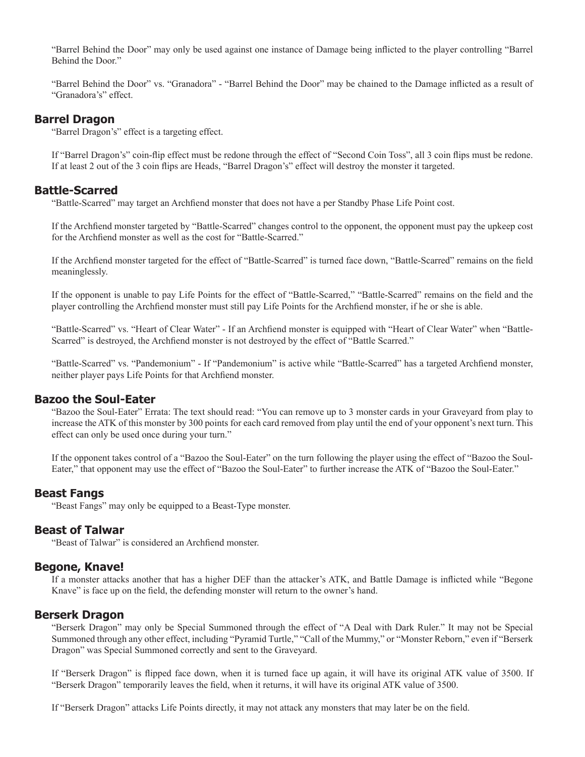"Barrel Behind the Door" may only be used against one instance of Damage being inflicted to the player controlling "Barrel" Behind the Door."

"Barrel Behind the Door" vs. "Granadora" - "Barrel Behind the Door" may be chained to the Damage inflicted as a result of "Granadora's" effect.

## **Barrel Dragon**

"Barrel Dragon's" effect is a targeting effect.

If "Barrel Dragon's" coin-flip effect must be redone through the effect of "Second Coin Toss", all 3 coin flips must be redone. If at least 2 out of the 3 coin flips are Heads, "Barrel Dragon's" effect will destroy the monster it targeted.

#### **Battle-Scarred**

"Battle-Scarred" may target an Archfiend monster that does not have a per Standby Phase Life Point cost.

If the Archfiend monster targeted by "Battle-Scarred" changes control to the opponent, the opponent must pay the upkeep cost for the Archfiend monster as well as the cost for "Battle-Scarred."

If the Archfiend monster targeted for the effect of "Battle-Scarred" is turned face down, "Battle-Scarred" remains on the field meaninglessly.

If the opponent is unable to pay Life Points for the effect of "Battle-Scarred," "Battle-Scarred" remains on the field and the player controlling the Archfiend monster must still pay Life Points for the Archfiend monster, if he or she is able.

"Battle-Scarred" vs. "Heart of Clear Water" - If an Archfiend monster is equipped with "Heart of Clear Water" when "Battle-Scarred" is destroyed, the Archfiend monster is not destroyed by the effect of "Battle Scarred."

"Battle-Scarred" vs. "Pandemonium" - If "Pandemonium" is active while "Battle-Scarred" has a targeted Archfiend monster, neither player pays Life Points for that Archfiend monster.

## **Bazoo the Soul-Eater**

"Bazoo the Soul-Eater" Errata: The text should read: "You can remove up to 3 monster cards in your Graveyard from play to increase the ATK of this monster by 300 points for each card removed from play until the end of your opponent's next turn. This effect can only be used once during your turn."

If the opponent takes control of a "Bazoo the Soul-Eater" on the turn following the player using the effect of "Bazoo the Soul-Eater," that opponent may use the effect of "Bazoo the Soul-Eater" to further increase the ATK of "Bazoo the Soul-Eater."

#### **Beast Fangs**

"Beast Fangs" may only be equipped to a Beast-Type monster.

#### **Beast of Talwar**

"Beast of Talwar" is considered an Archfiend monster.

#### **Begone, Knave!**

If a monster attacks another that has a higher DEF than the attacker's ATK, and Battle Damage is inflicted while "Begone" Knave" is face up on the field, the defending monster will return to the owner's hand.

#### **Berserk Dragon**

"Berserk Dragon" may only be Special Summoned through the effect of "A Deal with Dark Ruler." It may not be Special Summoned through any other effect, including "Pyramid Turtle," "Call of the Mummy," or "Monster Reborn," even if "Berserk Dragon" was Special Summoned correctly and sent to the Graveyard.

If "Berserk Dragon" is flipped face down, when it is turned face up again, it will have its original ATK value of 3500. If "Berserk Dragon" temporarily leaves the field, when it returns, it will have its original ATK value of 3500.

If "Berserk Dragon" attacks Life Points directly, it may not attack any monsters that may later be on the field.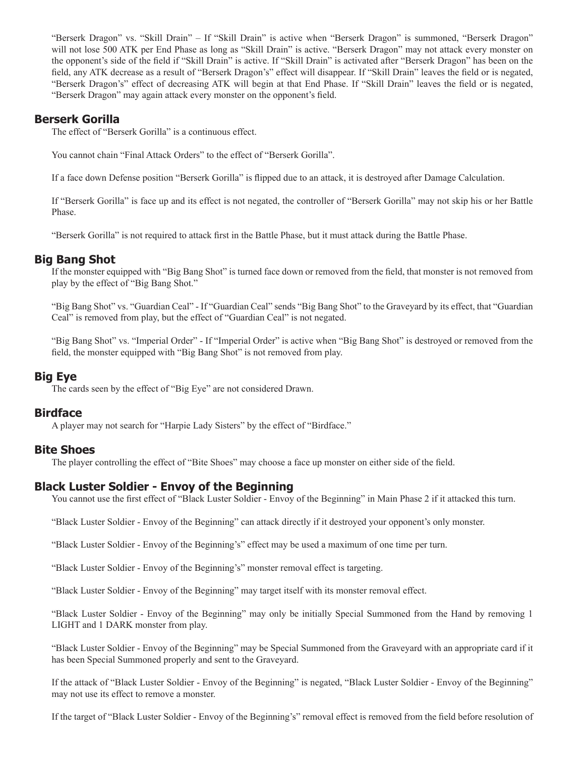"Berserk Dragon" vs. "Skill Drain" – If "Skill Drain" is active when "Berserk Dragon" is summoned, "Berserk Dragon" will not lose 500 ATK per End Phase as long as "Skill Drain" is active. "Berserk Dragon" may not attack every monster on the opponent's side of the field if "Skill Drain" is active. If "Skill Drain" is activated after "Berserk Dragon" has been on the field, any ATK decrease as a result of "Berserk Dragon's" effect will disappear. If "Skill Drain" leaves the field or is negated, "Berserk Dragon's" effect of decreasing ATK will begin at that End Phase. If "Skill Drain" leaves the field or is negated, "Berserk Dragon" may again attack every monster on the opponent's field.

## **Berserk Gorilla**

The effect of "Berserk Gorilla" is a continuous effect.

You cannot chain "Final Attack Orders" to the effect of "Berserk Gorilla".

If a face down Defense position "Berserk Gorilla" is flipped due to an attack, it is destroyed after Damage Calculation.

If "Berserk Gorilla" is face up and its effect is not negated, the controller of "Berserk Gorilla" may not skip his or her Battle Phase.

"Berserk Gorilla" is not required to attack first in the Battle Phase, but it must attack during the Battle Phase.

## **Big Bang Shot**

If the monster equipped with "Big Bang Shot" is turned face down or removed from the field, that monster is not removed from play by the effect of "Big Bang Shot."

"Big Bang Shot" vs. "Guardian Ceal" - If "Guardian Ceal" sends "Big Bang Shot" to the Graveyard by its effect, that "Guardian Ceal" is removed from play, but the effect of "Guardian Ceal" is not negated.

"Big Bang Shot" vs. "Imperial Order" - If "Imperial Order" is active when "Big Bang Shot" is destroyed or removed from the field, the monster equipped with "Big Bang Shot" is not removed from play.

#### **Big Eye**

The cards seen by the effect of "Big Eye" are not considered Drawn.

#### **Birdface**

A player may not search for "Harpie Lady Sisters" by the effect of "Birdface."

## **Bite Shoes**

The player controlling the effect of "Bite Shoes" may choose a face up monster on either side of the field.

## **Black Luster Soldier - Envoy of the Beginning**

You cannot use the first effect of "Black Luster Soldier - Envoy of the Beginning" in Main Phase 2 if it attacked this turn.

"Black Luster Soldier - Envoy of the Beginning" can attack directly if it destroyed your opponent's only monster.

"Black Luster Soldier - Envoy of the Beginning's" effect may be used a maximum of one time per turn.

"Black Luster Soldier - Envoy of the Beginning's" monster removal effect is targeting.

"Black Luster Soldier - Envoy of the Beginning" may target itself with its monster removal effect.

"Black Luster Soldier - Envoy of the Beginning" may only be initially Special Summoned from the Hand by removing 1 LIGHT and 1 DARK monster from play.

"Black Luster Soldier - Envoy of the Beginning" may be Special Summoned from the Graveyard with an appropriate card if it has been Special Summoned properly and sent to the Graveyard.

If the attack of "Black Luster Soldier - Envoy of the Beginning" is negated, "Black Luster Soldier - Envoy of the Beginning" may not use its effect to remove a monster.

If the target of "Black Luster Soldier - Envoy of the Beginning's" removal effect is removed from the field before resolution of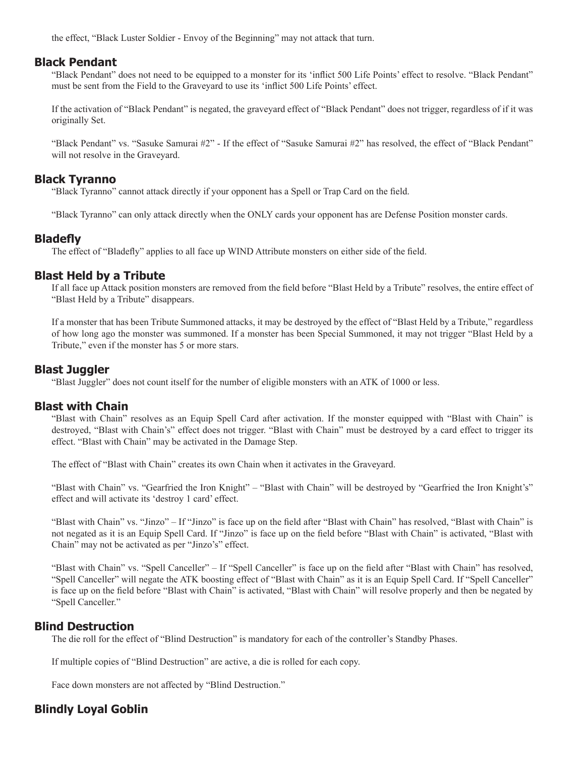the effect, "Black Luster Soldier - Envoy of the Beginning" may not attack that turn.

#### **Black Pendant**

"Black Pendant" does not need to be equipped to a monster for its 'inflict 500 Life Points' effect to resolve. "Black Pendant" must be sent from the Field to the Graveyard to use its 'inflict 500 Life Points' effect.

If the activation of "Black Pendant" is negated, the graveyard effect of "Black Pendant" does not trigger, regardless of if it was originally Set.

"Black Pendant" vs. "Sasuke Samurai #2" - If the effect of "Sasuke Samurai #2" has resolved, the effect of "Black Pendant" will not resolve in the Graveyard.

#### **Black Tyranno**

"Black Tyranno" cannot attack directly if your opponent has a Spell or Trap Card on the field.

"Black Tyranno" can only attack directly when the ONLY cards your opponent has are Defense Position monster cards.

## **Bladefl y**

The effect of "Bladefly" applies to all face up WIND Attribute monsters on either side of the field.

## **Blast Held by a Tribute**

If all face up Attack position monsters are removed from the field before "Blast Held by a Tribute" resolves, the entire effect of "Blast Held by a Tribute" disappears.

If a monster that has been Tribute Summoned attacks, it may be destroyed by the effect of "Blast Held by a Tribute," regardless of how long ago the monster was summoned. If a monster has been Special Summoned, it may not trigger "Blast Held by a Tribute," even if the monster has 5 or more stars.

## **Blast Juggler**

"Blast Juggler" does not count itself for the number of eligible monsters with an ATK of 1000 or less.

## **Blast with Chain**

"Blast with Chain" resolves as an Equip Spell Card after activation. If the monster equipped with "Blast with Chain" is destroyed, "Blast with Chain's" effect does not trigger. "Blast with Chain" must be destroyed by a card effect to trigger its effect. "Blast with Chain" may be activated in the Damage Step.

The effect of "Blast with Chain" creates its own Chain when it activates in the Graveyard.

"Blast with Chain" vs. "Gearfried the Iron Knight" – "Blast with Chain" will be destroyed by "Gearfried the Iron Knight's" effect and will activate its 'destroy 1 card' effect.

"Blast with Chain" vs. "Jinzo" – If "Jinzo" is face up on the field after "Blast with Chain" has resolved, "Blast with Chain" is not negated as it is an Equip Spell Card. If "Jinzo" is face up on the field before "Blast with Chain" is activated, "Blast with Chain" may not be activated as per "Jinzo's" effect.

"Blast with Chain" vs. "Spell Canceller" – If "Spell Canceller" is face up on the field after "Blast with Chain" has resolved, "Spell Canceller" will negate the ATK boosting effect of "Blast with Chain" as it is an Equip Spell Card. If "Spell Canceller" is face up on the field before "Blast with Chain" is activated, "Blast with Chain" will resolve properly and then be negated by "Spell Canceller."

## **Blind Destruction**

The die roll for the effect of "Blind Destruction" is mandatory for each of the controller's Standby Phases.

If multiple copies of "Blind Destruction" are active, a die is rolled for each copy.

Face down monsters are not affected by "Blind Destruction."

# **Blindly Loyal Goblin**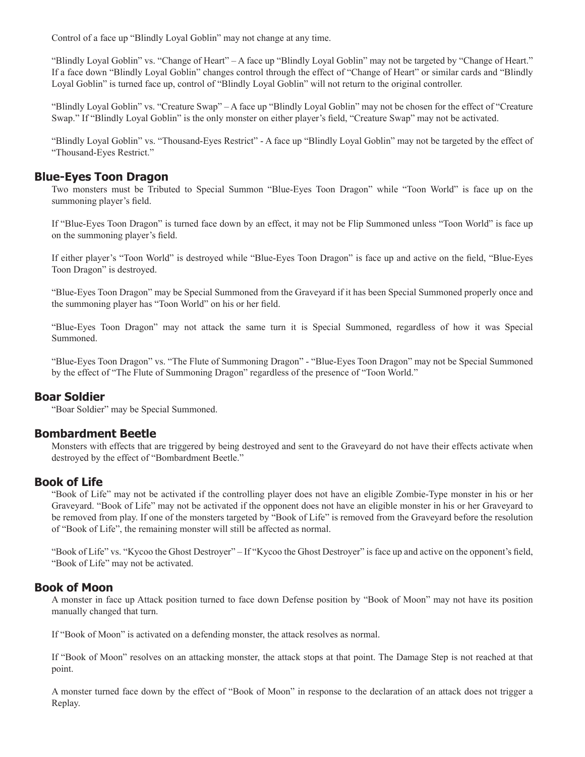Control of a face up "Blindly Loyal Goblin" may not change at any time.

"Blindly Loyal Goblin" vs. "Change of Heart" – A face up "Blindly Loyal Goblin" may not be targeted by "Change of Heart." If a face down "Blindly Loyal Goblin" changes control through the effect of "Change of Heart" or similar cards and "Blindly Loyal Goblin" is turned face up, control of "Blindly Loyal Goblin" will not return to the original controller.

"Blindly Loyal Goblin" vs. "Creature Swap" – A face up "Blindly Loyal Goblin" may not be chosen for the effect of "Creature Swap." If "Blindly Loyal Goblin" is the only monster on either player's field, "Creature Swap" may not be activated.

"Blindly Loyal Goblin" vs. "Thousand-Eyes Restrict" - A face up "Blindly Loyal Goblin" may not be targeted by the effect of "Thousand-Eyes Restrict."

## **Blue-Eyes Toon Dragon**

Two monsters must be Tributed to Special Summon "Blue-Eyes Toon Dragon" while "Toon World" is face up on the summoning player's field.

If "Blue-Eyes Toon Dragon" is turned face down by an effect, it may not be Flip Summoned unless "Toon World" is face up on the summoning player's field.

If either player's "Toon World" is destroyed while "Blue-Eyes Toon Dragon" is face up and active on the field, "Blue-Eyes Toon Dragon" is destroyed.

"Blue-Eyes Toon Dragon" may be Special Summoned from the Graveyard if it has been Special Summoned properly once and the summoning player has "Toon World" on his or her field.

"Blue-Eyes Toon Dragon" may not attack the same turn it is Special Summoned, regardless of how it was Special Summoned.

"Blue-Eyes Toon Dragon" vs. "The Flute of Summoning Dragon" - "Blue-Eyes Toon Dragon" may not be Special Summoned by the effect of "The Flute of Summoning Dragon" regardless of the presence of "Toon World."

#### **Boar Soldier**

"Boar Soldier" may be Special Summoned.

## **Bombardment Beetle**

Monsters with effects that are triggered by being destroyed and sent to the Graveyard do not have their effects activate when destroyed by the effect of "Bombardment Beetle."

#### **Book of Life**

"Book of Life" may not be activated if the controlling player does not have an eligible Zombie-Type monster in his or her Graveyard. "Book of Life" may not be activated if the opponent does not have an eligible monster in his or her Graveyard to be removed from play. If one of the monsters targeted by "Book of Life" is removed from the Graveyard before the resolution of "Book of Life", the remaining monster will still be affected as normal.

"Book of Life" vs. "Kycoo the Ghost Destroyer" – If "Kycoo the Ghost Destroyer" is face up and active on the opponent's field, "Book of Life" may not be activated.

## **Book of Moon**

A monster in face up Attack position turned to face down Defense position by "Book of Moon" may not have its position manually changed that turn.

If "Book of Moon" is activated on a defending monster, the attack resolves as normal.

If "Book of Moon" resolves on an attacking monster, the attack stops at that point. The Damage Step is not reached at that point.

A monster turned face down by the effect of "Book of Moon" in response to the declaration of an attack does not trigger a Replay.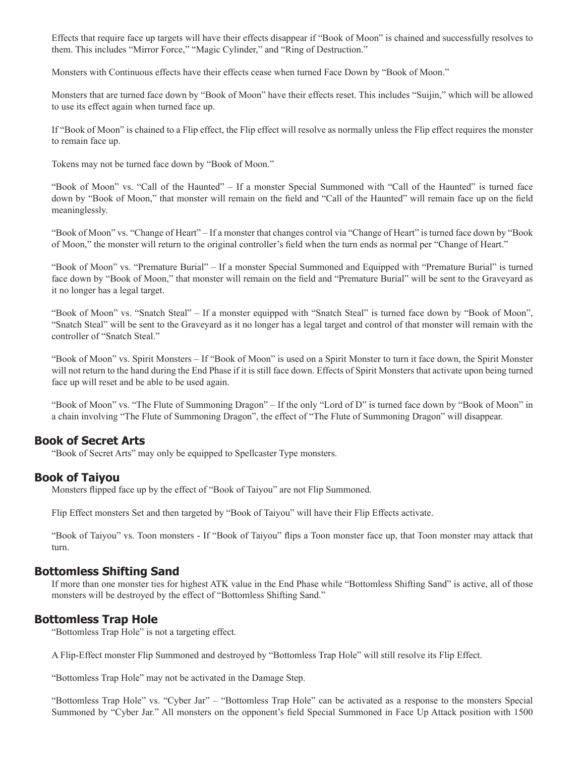Effects that require face up targets will have their effects disappear if "Book of Moon" is chained and successfully resolves to them. This includes "Mirror Force," "Magic Cylinder," and "Ring of Destruction."

Monsters with Continuous effects have their effects cease when turned Face Down by "Book of Moon."

Monsters that are turned face down by "Book of Moon" have their effects reset. This includes "Suijin," which will be allowed to use its effect again when turned face up.

If "Book of Moon" is chained to a Flip effect, the Flip effect will resolve as normally unless the Flip effect requires the monster to remain face up.

Tokens may not be turned face down by "Book of Moon."

"Book of Moon" vs. "Call of the Haunted" – If a monster Special Summoned with "Call of the Haunted" is turned face down by "Book of Moon," that monster will remain on the field and "Call of the Haunted" will remain face up on the field meaninglessly.

"Book of Moon" vs. "Change of Heart" – If a monster that changes control via "Change of Heart" is turned face down by "Book of Moon," the monster will return to the original controller's field when the turn ends as normal per "Change of Heart."

"Book of Moon" vs. "Premature Burial" – If a monster Special Summoned and Equipped with "Premature Burial" is turned face down by "Book of Moon," that monster will remain on the field and "Premature Burial" will be sent to the Graveyard as it no longer has a legal target.

"Book of Moon" vs. "Snatch Steal" – If a monster equipped with "Snatch Steal" is turned face down by "Book of Moon", "Snatch Steal" will be sent to the Graveyard as it no longer has a legal target and control of that monster will remain with the controller of "Snatch Steal."

"Book of Moon" vs. Spirit Monsters – If "Book of Moon" is used on a Spirit Monster to turn it face down, the Spirit Monster will not return to the hand during the End Phase if it is still face down. Effects of Spirit Monsters that activate upon being turned face up will reset and be able to be used again.

"Book of Moon" vs. "The Flute of Summoning Dragon" – If the only "Lord of D" is turned face down by "Book of Moon" in a chain involving "The Flute of Summoning Dragon", the effect of "The Flute of Summoning Dragon" will disappear.

#### **Book of Secret Arts**

"Book of Secret Arts" may only be equipped to Spellcaster Type monsters.

#### **Book of Taiyou**

Monsters flipped face up by the effect of "Book of Taiyou" are not Flip Summoned.

Flip Effect monsters Set and then targeted by "Book of Taiyou" will have their Flip Effects activate.

"Book of Taiyou" vs. Toon monsters - If "Book of Taiyou" flips a Toon monster face up, that Toon monster may attack that turn.

#### **Bottomless Shifting Sand**

If more than one monster ties for highest ATK value in the End Phase while "Bottomless Shifting Sand" is active, all of those monsters will be destroyed by the effect of "Bottomless Shifting Sand."

#### **Bottomless Trap Hole**

"Bottomless Trap Hole" is not a targeting effect.

A Flip-Effect monster Flip Summoned and destroyed by "Bottomless Trap Hole" will still resolve its Flip Effect.

"Bottomless Trap Hole" may not be activated in the Damage Step.

"Bottomless Trap Hole" vs. "Cyber Jar" – "Bottomless Trap Hole" can be activated as a response to the monsters Special Summoned by "Cyber Jar." All monsters on the opponent's field Special Summoned in Face Up Attack position with 1500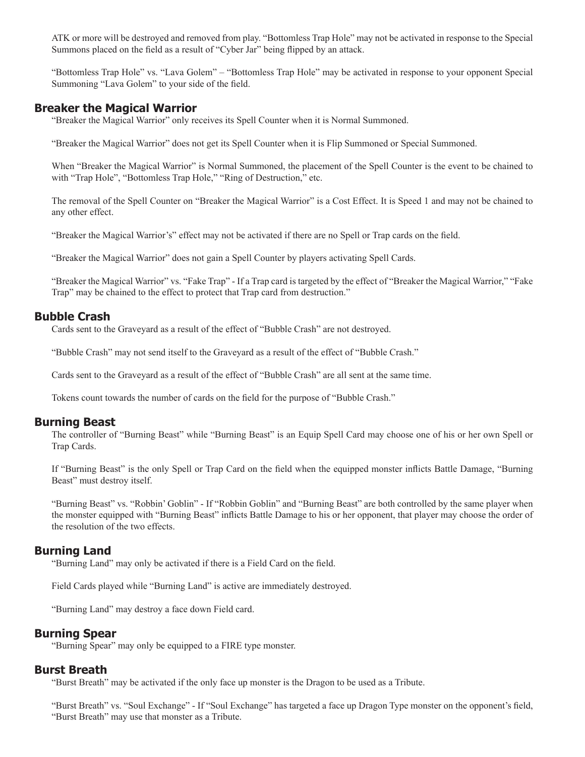ATK or more will be destroyed and removed from play. "Bottomless Trap Hole" may not be activated in response to the Special Summons placed on the field as a result of "Cyber Jar" being flipped by an attack.

"Bottomless Trap Hole" vs. "Lava Golem" – "Bottomless Trap Hole" may be activated in response to your opponent Special Summoning "Lava Golem" to your side of the field.

#### **Breaker the Magical Warrior**

"Breaker the Magical Warrior" only receives its Spell Counter when it is Normal Summoned.

"Breaker the Magical Warrior" does not get its Spell Counter when it is Flip Summoned or Special Summoned.

When "Breaker the Magical Warrior" is Normal Summoned, the placement of the Spell Counter is the event to be chained to with "Trap Hole", "Bottomless Trap Hole," "Ring of Destruction," etc.

The removal of the Spell Counter on "Breaker the Magical Warrior" is a Cost Effect. It is Speed 1 and may not be chained to any other effect.

"Breaker the Magical Warrior's" effect may not be activated if there are no Spell or Trap cards on the field.

"Breaker the Magical Warrior" does not gain a Spell Counter by players activating Spell Cards.

"Breaker the Magical Warrior" vs. "Fake Trap" - If a Trap card is targeted by the effect of "Breaker the Magical Warrior," "Fake Trap" may be chained to the effect to protect that Trap card from destruction."

#### **Bubble Crash**

Cards sent to the Graveyard as a result of the effect of "Bubble Crash" are not destroyed.

"Bubble Crash" may not send itself to the Graveyard as a result of the effect of "Bubble Crash."

Cards sent to the Graveyard as a result of the effect of "Bubble Crash" are all sent at the same time.

Tokens count towards the number of cards on the field for the purpose of "Bubble Crash."

#### **Burning Beast**

The controller of "Burning Beast" while "Burning Beast" is an Equip Spell Card may choose one of his or her own Spell or Trap Cards.

If "Burning Beast" is the only Spell or Trap Card on the field when the equipped monster inflicts Battle Damage, "Burning" Beast" must destroy itself.

"Burning Beast" vs. "Robbin' Goblin" - If "Robbin Goblin" and "Burning Beast" are both controlled by the same player when the monster equipped with "Burning Beast" inflicts Battle Damage to his or her opponent, that player may choose the order of the resolution of the two effects.

#### **Burning Land**

"Burning Land" may only be activated if there is a Field Card on the field.

Field Cards played while "Burning Land" is active are immediately destroyed.

"Burning Land" may destroy a face down Field card.

#### **Burning Spear**

"Burning Spear" may only be equipped to a FIRE type monster.

#### **Burst Breath**

"Burst Breath" may be activated if the only face up monster is the Dragon to be used as a Tribute.

"Burst Breath" vs. "Soul Exchange" - If "Soul Exchange" has targeted a face up Dragon Type monster on the opponent's field, "Burst Breath" may use that monster as a Tribute.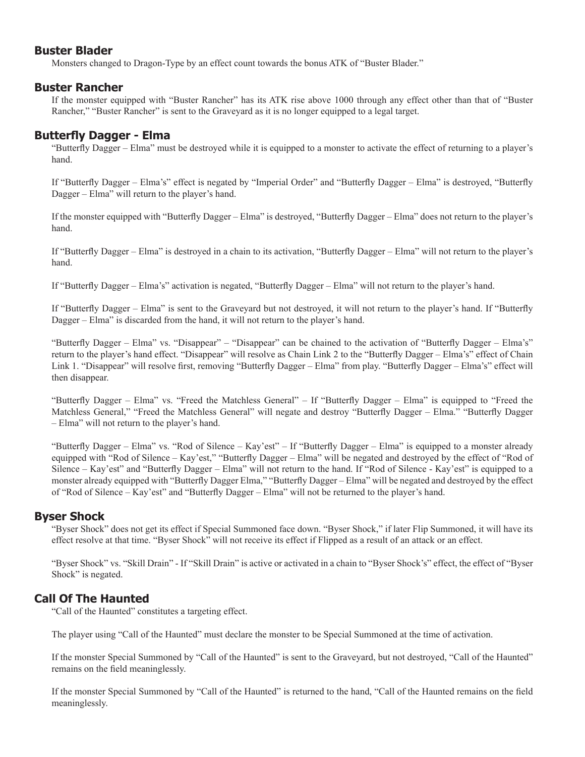## **Buster Blader**

Monsters changed to Dragon-Type by an effect count towards the bonus ATK of "Buster Blader."

## **Buster Rancher**

If the monster equipped with "Buster Rancher" has its ATK rise above 1000 through any effect other than that of "Buster Rancher," "Buster Rancher" is sent to the Graveyard as it is no longer equipped to a legal target.

# **Butterfly Dagger - Elma**

"Butterfly Dagger – Elma" must be destroyed while it is equipped to a monster to activate the effect of returning to a player's hand.

If "Butterfly Dagger – Elma's" effect is negated by "Imperial Order" and "Butterfly Dagger – Elma" is destroyed, "Butterfly Dagger – Elma" will return to the player's hand.

If the monster equipped with "Butterfly Dagger – Elma" is destroyed, "Butterfly Dagger – Elma" does not return to the player's hand.

If "Butterfly Dagger – Elma" is destroyed in a chain to its activation, "Butterfly Dagger – Elma" will not return to the player's hand.

If "Butterfly Dagger – Elma's" activation is negated, "Butterfly Dagger – Elma" will not return to the player's hand.

If "Butterfly Dagger – Elma" is sent to the Graveyard but not destroyed, it will not return to the player's hand. If "Butterfly Dagger – Elma" is discarded from the hand, it will not return to the player's hand.

"Butterfly Dagger – Elma" vs. "Disappear" – "Disappear" can be chained to the activation of "Butterfly Dagger – Elma's" return to the player's hand effect. "Disappear" will resolve as Chain Link 2 to the "Butterfly Dagger – Elma's" effect of Chain Link 1. "Disappear" will resolve first, removing "Butterfly Dagger – Elma" from play. "Butterfly Dagger – Elma's" effect will then disappear.

"Butterfly Dagger – Elma" vs. "Freed the Matchless General" – If "Butterfly Dagger – Elma" is equipped to "Freed the Matchless General," "Freed the Matchless General" will negate and destroy "Butterfly Dagger – Elma." "Butterfly Dagger – Elma" will not return to the player's hand.

"Butterfly Dagger – Elma" vs. "Rod of Silence – Kay'est" – If "Butterfly Dagger – Elma" is equipped to a monster already equipped with "Rod of Silence – Kay'est," "Butterfly Dagger – Elma" will be negated and destroyed by the effect of "Rod of Silence – Kay'est" and "Butterfly Dagger – Elma" will not return to the hand. If "Rod of Silence - Kay'est" is equipped to a monster already equipped with "Butterfly Dagger Elma," "Butterfly Dagger – Elma" will be negated and destroyed by the effect of "Rod of Silence – Kay'est" and "Butterfly Dagger – Elma" will not be returned to the player's hand.

# **Byser Shock**

"Byser Shock" does not get its effect if Special Summoned face down. "Byser Shock," if later Flip Summoned, it will have its effect resolve at that time. "Byser Shock" will not receive its effect if Flipped as a result of an attack or an effect.

"Byser Shock" vs. "Skill Drain" - If "Skill Drain" is active or activated in a chain to "Byser Shock's" effect, the effect of "Byser Shock" is negated.

# **Call Of The Haunted**

"Call of the Haunted" constitutes a targeting effect.

The player using "Call of the Haunted" must declare the monster to be Special Summoned at the time of activation.

If the monster Special Summoned by "Call of the Haunted" is sent to the Graveyard, but not destroyed, "Call of the Haunted" remains on the field meaninglessly.

If the monster Special Summoned by "Call of the Haunted" is returned to the hand, "Call of the Haunted remains on the field meaninglessly.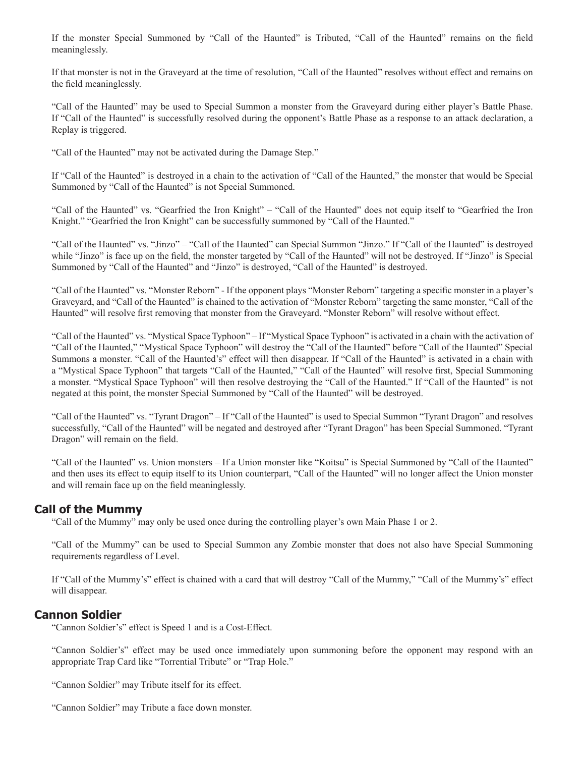If the monster Special Summoned by "Call of the Haunted" is Tributed, "Call of the Haunted" remains on the field meaninglessly.

If that monster is not in the Graveyard at the time of resolution, "Call of the Haunted" resolves without effect and remains on the field meaninglessly.

"Call of the Haunted" may be used to Special Summon a monster from the Graveyard during either player's Battle Phase. If "Call of the Haunted" is successfully resolved during the opponent's Battle Phase as a response to an attack declaration, a Replay is triggered.

"Call of the Haunted" may not be activated during the Damage Step."

If "Call of the Haunted" is destroyed in a chain to the activation of "Call of the Haunted," the monster that would be Special Summoned by "Call of the Haunted" is not Special Summoned.

"Call of the Haunted" vs. "Gearfried the Iron Knight" – "Call of the Haunted" does not equip itself to "Gearfried the Iron Knight." "Gearfried the Iron Knight" can be successfully summoned by "Call of the Haunted."

"Call of the Haunted" vs. "Jinzo" – "Call of the Haunted" can Special Summon "Jinzo." If "Call of the Haunted" is destroyed while "Jinzo" is face up on the field, the monster targeted by "Call of the Haunted" will not be destroyed. If "Jinzo" is Special Summoned by "Call of the Haunted" and "Jinzo" is destroyed, "Call of the Haunted" is destroyed.

"Call of the Haunted" vs. "Monster Reborn" - If the opponent plays "Monster Reborn" targeting a specific monster in a player's Graveyard, and "Call of the Haunted" is chained to the activation of "Monster Reborn" targeting the same monster, "Call of the Haunted" will resolve first removing that monster from the Graveyard. "Monster Reborn" will resolve without effect.

"Call of the Haunted" vs. "Mystical Space Typhoon" – If "Mystical Space Typhoon" is activated in a chain with the activation of "Call of the Haunted," "Mystical Space Typhoon" will destroy the "Call of the Haunted" before "Call of the Haunted" Special Summons a monster. "Call of the Haunted's" effect will then disappear. If "Call of the Haunted" is activated in a chain with a "Mystical Space Typhoon" that targets "Call of the Haunted," "Call of the Haunted" will resolve first, Special Summoning a monster. "Mystical Space Typhoon" will then resolve destroying the "Call of the Haunted." If "Call of the Haunted" is not negated at this point, the monster Special Summoned by "Call of the Haunted" will be destroyed.

"Call of the Haunted" vs. "Tyrant Dragon" – If "Call of the Haunted" is used to Special Summon "Tyrant Dragon" and resolves successfully, "Call of the Haunted" will be negated and destroyed after "Tyrant Dragon" has been Special Summoned. "Tyrant Dragon" will remain on the field.

"Call of the Haunted" vs. Union monsters – If a Union monster like "Koitsu" is Special Summoned by "Call of the Haunted" and then uses its effect to equip itself to its Union counterpart, "Call of the Haunted" will no longer affect the Union monster and will remain face up on the field meaninglessly.

## **Call of the Mummy**

"Call of the Mummy" may only be used once during the controlling player's own Main Phase 1 or 2.

"Call of the Mummy" can be used to Special Summon any Zombie monster that does not also have Special Summoning requirements regardless of Level.

If "Call of the Mummy's" effect is chained with a card that will destroy "Call of the Mummy," "Call of the Mummy's" effect will disappear.

#### **Cannon Soldier**

"Cannon Soldier's" effect is Speed 1 and is a Cost-Effect.

"Cannon Soldier's" effect may be used once immediately upon summoning before the opponent may respond with an appropriate Trap Card like "Torrential Tribute" or "Trap Hole."

"Cannon Soldier" may Tribute itself for its effect.

"Cannon Soldier" may Tribute a face down monster.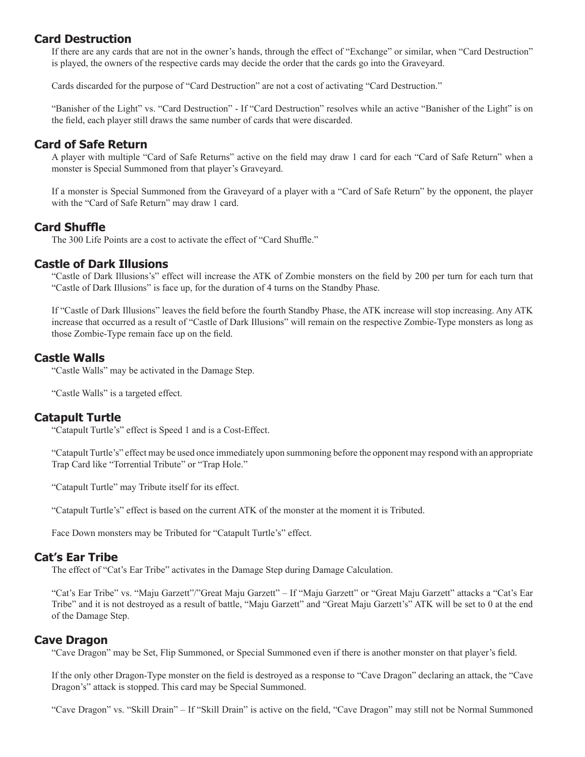## **Card Destruction**

If there are any cards that are not in the owner's hands, through the effect of "Exchange" or similar, when "Card Destruction" is played, the owners of the respective cards may decide the order that the cards go into the Graveyard.

Cards discarded for the purpose of "Card Destruction" are not a cost of activating "Card Destruction."

"Banisher of the Light" vs. "Card Destruction" - If "Card Destruction" resolves while an active "Banisher of the Light" is on the field, each player still draws the same number of cards that were discarded.

## **Card of Safe Return**

A player with multiple "Card of Safe Returns" active on the field may draw 1 card for each "Card of Safe Return" when a monster is Special Summoned from that player's Graveyard.

If a monster is Special Summoned from the Graveyard of a player with a "Card of Safe Return" by the opponent, the player with the "Card of Safe Return" may draw 1 card.

## **Card Shuffle**

The 300 Life Points are a cost to activate the effect of "Card Shuffle."

## **Castle of Dark Illusions**

"Castle of Dark Illusions's" effect will increase the ATK of Zombie monsters on the field by 200 per turn for each turn that "Castle of Dark Illusions" is face up, for the duration of 4 turns on the Standby Phase.

If "Castle of Dark Illusions" leaves the field before the fourth Standby Phase, the ATK increase will stop increasing. Any ATK increase that occurred as a result of "Castle of Dark Illusions" will remain on the respective Zombie-Type monsters as long as those Zombie-Type remain face up on the field.

## **Castle Walls**

"Castle Walls" may be activated in the Damage Step.

"Castle Walls" is a targeted effect.

#### **Catapult Turtle**

"Catapult Turtle's" effect is Speed 1 and is a Cost-Effect.

"Catapult Turtle's" effect may be used once immediately upon summoning before the opponent may respond with an appropriate Trap Card like "Torrential Tribute" or "Trap Hole."

"Catapult Turtle" may Tribute itself for its effect.

"Catapult Turtle's" effect is based on the current ATK of the monster at the moment it is Tributed.

Face Down monsters may be Tributed for "Catapult Turtle's" effect.

#### **Cat's Ear Tribe**

The effect of "Cat's Ear Tribe" activates in the Damage Step during Damage Calculation.

"Cat's Ear Tribe" vs. "Maju Garzett"/"Great Maju Garzett" – If "Maju Garzett" or "Great Maju Garzett" attacks a "Cat's Ear Tribe" and it is not destroyed as a result of battle, "Maju Garzett" and "Great Maju Garzett's" ATK will be set to 0 at the end of the Damage Step.

#### **Cave Dragon**

"Cave Dragon" may be Set, Flip Summoned, or Special Summoned even if there is another monster on that player's field.

If the only other Dragon-Type monster on the field is destroyed as a response to "Cave Dragon" declaring an attack, the "Cave Dragon's" attack is stopped. This card may be Special Summoned.

"Cave Dragon" vs. "Skill Drain" – If "Skill Drain" is active on the field, "Cave Dragon" may still not be Normal Summoned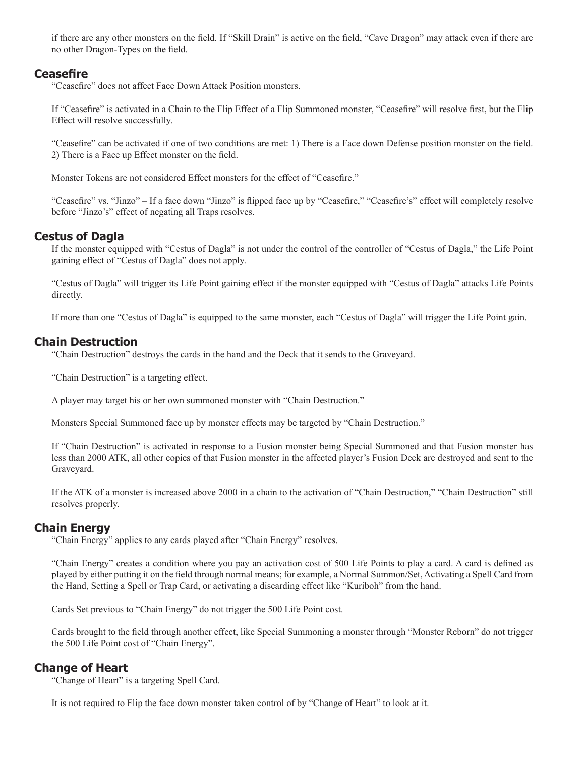if there are any other monsters on the field. If "Skill Drain" is active on the field, "Cave Dragon" may attack even if there are no other Dragon-Types on the field.

## **Ceasefire**

"Ceasefire" does not affect Face Down Attack Position monsters.

If "Ceasefire" is activated in a Chain to the Flip Effect of a Flip Summoned monster, "Ceasefire" will resolve first, but the Flip Effect will resolve successfully.

"Ceasefire" can be activated if one of two conditions are met: 1) There is a Face down Defense position monster on the field. 2) There is a Face up Effect monster on the field.

Monster Tokens are not considered Effect monsters for the effect of "Ceasefire."

"Ceasefire" vs. "Jinzo" – If a face down "Jinzo" is flipped face up by "Ceasefire," "Ceasefire's" effect will completely resolve before "Jinzo's" effect of negating all Traps resolves.

## **Cestus of Dagla**

If the monster equipped with "Cestus of Dagla" is not under the control of the controller of "Cestus of Dagla," the Life Point gaining effect of "Cestus of Dagla" does not apply.

"Cestus of Dagla" will trigger its Life Point gaining effect if the monster equipped with "Cestus of Dagla" attacks Life Points directly.

If more than one "Cestus of Dagla" is equipped to the same monster, each "Cestus of Dagla" will trigger the Life Point gain.

## **Chain Destruction**

"Chain Destruction" destroys the cards in the hand and the Deck that it sends to the Graveyard.

"Chain Destruction" is a targeting effect.

A player may target his or her own summoned monster with "Chain Destruction."

Monsters Special Summoned face up by monster effects may be targeted by "Chain Destruction."

If "Chain Destruction" is activated in response to a Fusion monster being Special Summoned and that Fusion monster has less than 2000 ATK, all other copies of that Fusion monster in the affected player's Fusion Deck are destroyed and sent to the Graveyard.

If the ATK of a monster is increased above 2000 in a chain to the activation of "Chain Destruction," "Chain Destruction" still resolves properly.

## **Chain Energy**

"Chain Energy" applies to any cards played after "Chain Energy" resolves.

"Chain Energy" creates a condition where you pay an activation cost of 500 Life Points to play a card. A card is defined as played by either putting it on the field through normal means; for example, a Normal Summon/Set, Activating a Spell Card from the Hand, Setting a Spell or Trap Card, or activating a discarding effect like "Kuriboh" from the hand.

Cards Set previous to "Chain Energy" do not trigger the 500 Life Point cost.

Cards brought to the field through another effect, like Special Summoning a monster through "Monster Reborn" do not trigger the 500 Life Point cost of "Chain Energy".

## **Change of Heart**

"Change of Heart" is a targeting Spell Card.

It is not required to Flip the face down monster taken control of by "Change of Heart" to look at it.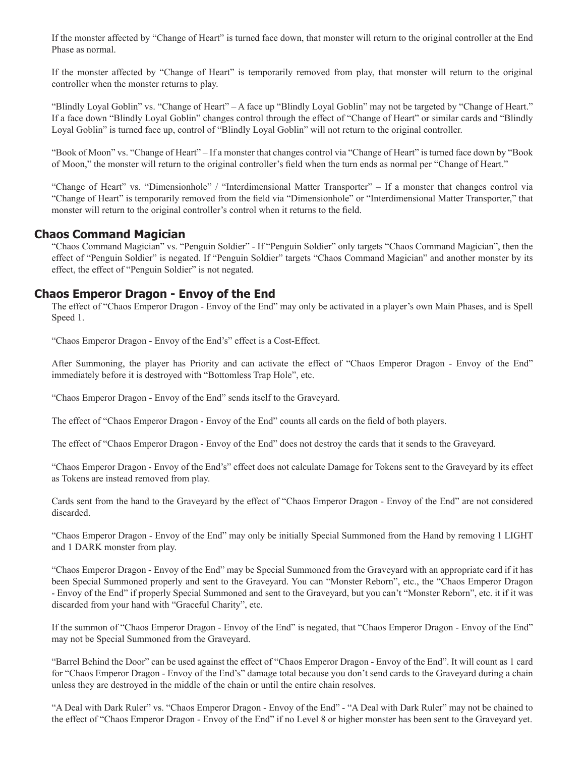If the monster affected by "Change of Heart" is turned face down, that monster will return to the original controller at the End Phase as normal.

If the monster affected by "Change of Heart" is temporarily removed from play, that monster will return to the original controller when the monster returns to play.

"Blindly Loyal Goblin" vs. "Change of Heart" – A face up "Blindly Loyal Goblin" may not be targeted by "Change of Heart." If a face down "Blindly Loyal Goblin" changes control through the effect of "Change of Heart" or similar cards and "Blindly Loyal Goblin" is turned face up, control of "Blindly Loyal Goblin" will not return to the original controller.

"Book of Moon" vs. "Change of Heart" – If a monster that changes control via "Change of Heart" is turned face down by "Book of Moon," the monster will return to the original controller's field when the turn ends as normal per "Change of Heart."

"Change of Heart" vs. "Dimensionhole" / "Interdimensional Matter Transporter" – If a monster that changes control via "Change of Heart" is temporarily removed from the field via "Dimensionhole" or "Interdimensional Matter Transporter," that monster will return to the original controller's control when it returns to the field.

## **Chaos Command Magician**

"Chaos Command Magician" vs. "Penguin Soldier" - If "Penguin Soldier" only targets "Chaos Command Magician", then the effect of "Penguin Soldier" is negated. If "Penguin Soldier" targets "Chaos Command Magician" and another monster by its effect, the effect of "Penguin Soldier" is not negated.

## **Chaos Emperor Dragon - Envoy of the End**

The effect of "Chaos Emperor Dragon - Envoy of the End" may only be activated in a player's own Main Phases, and is Spell Speed 1.

"Chaos Emperor Dragon - Envoy of the End's" effect is a Cost-Effect.

After Summoning, the player has Priority and can activate the effect of "Chaos Emperor Dragon - Envoy of the End" immediately before it is destroyed with "Bottomless Trap Hole", etc.

"Chaos Emperor Dragon - Envoy of the End" sends itself to the Graveyard.

The effect of "Chaos Emperor Dragon - Envoy of the End" counts all cards on the field of both players.

The effect of "Chaos Emperor Dragon - Envoy of the End" does not destroy the cards that it sends to the Graveyard.

"Chaos Emperor Dragon - Envoy of the End's" effect does not calculate Damage for Tokens sent to the Graveyard by its effect as Tokens are instead removed from play.

Cards sent from the hand to the Graveyard by the effect of "Chaos Emperor Dragon - Envoy of the End" are not considered discarded.

"Chaos Emperor Dragon - Envoy of the End" may only be initially Special Summoned from the Hand by removing 1 LIGHT and 1 DARK monster from play.

"Chaos Emperor Dragon - Envoy of the End" may be Special Summoned from the Graveyard with an appropriate card if it has been Special Summoned properly and sent to the Graveyard. You can "Monster Reborn", etc., the "Chaos Emperor Dragon - Envoy of the End" if properly Special Summoned and sent to the Graveyard, but you can't "Monster Reborn", etc. it if it was discarded from your hand with "Graceful Charity", etc.

If the summon of "Chaos Emperor Dragon - Envoy of the End" is negated, that "Chaos Emperor Dragon - Envoy of the End" may not be Special Summoned from the Graveyard.

"Barrel Behind the Door" can be used against the effect of "Chaos Emperor Dragon - Envoy of the End". It will count as 1 card for "Chaos Emperor Dragon - Envoy of the End's" damage total because you don't send cards to the Graveyard during a chain unless they are destroyed in the middle of the chain or until the entire chain resolves.

"A Deal with Dark Ruler" vs. "Chaos Emperor Dragon - Envoy of the End" - "A Deal with Dark Ruler" may not be chained to the effect of "Chaos Emperor Dragon - Envoy of the End" if no Level 8 or higher monster has been sent to the Graveyard yet.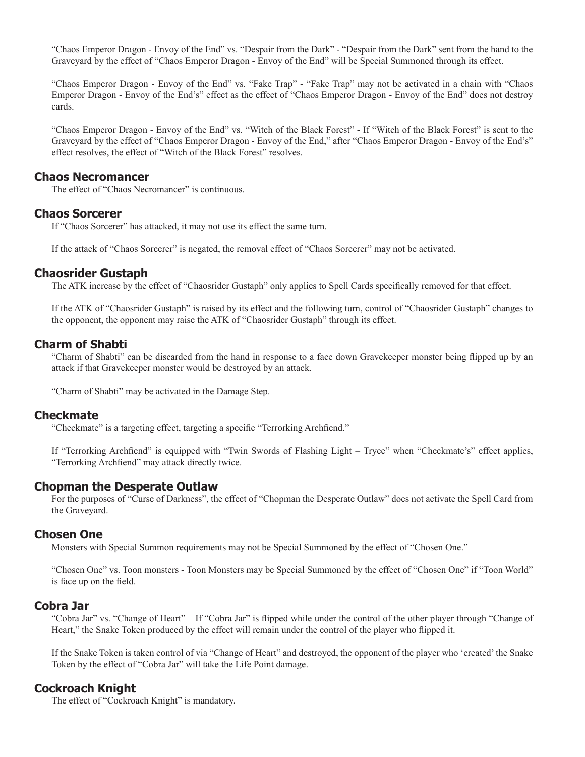"Chaos Emperor Dragon - Envoy of the End" vs. "Despair from the Dark" - "Despair from the Dark" sent from the hand to the Graveyard by the effect of "Chaos Emperor Dragon - Envoy of the End" will be Special Summoned through its effect.

"Chaos Emperor Dragon - Envoy of the End" vs. "Fake Trap" - "Fake Trap" may not be activated in a chain with "Chaos Emperor Dragon - Envoy of the End's" effect as the effect of "Chaos Emperor Dragon - Envoy of the End" does not destroy cards.

"Chaos Emperor Dragon - Envoy of the End" vs. "Witch of the Black Forest" - If "Witch of the Black Forest" is sent to the Graveyard by the effect of "Chaos Emperor Dragon - Envoy of the End," after "Chaos Emperor Dragon - Envoy of the End's" effect resolves, the effect of "Witch of the Black Forest" resolves.

#### **Chaos Necromancer**

The effect of "Chaos Necromancer" is continuous.

## **Chaos Sorcerer**

If "Chaos Sorcerer" has attacked, it may not use its effect the same turn.

If the attack of "Chaos Sorcerer" is negated, the removal effect of "Chaos Sorcerer" may not be activated.

## **Chaosrider Gustaph**

The ATK increase by the effect of "Chaosrider Gustaph" only applies to Spell Cards specifically removed for that effect.

If the ATK of "Chaosrider Gustaph" is raised by its effect and the following turn, control of "Chaosrider Gustaph" changes to the opponent, the opponent may raise the ATK of "Chaosrider Gustaph" through its effect.

## **Charm of Shabti**

"Charm of Shabti" can be discarded from the hand in response to a face down Gravekeeper monster being flipped up by an attack if that Gravekeeper monster would be destroyed by an attack.

"Charm of Shabti" may be activated in the Damage Step.

#### **Checkmate**

"Checkmate" is a targeting effect, targeting a specific "Terrorking Archfiend."

If "Terrorking Archfiend" is equipped with "Twin Swords of Flashing Light – Tryce" when "Checkmate's" effect applies, "Terrorking Archfiend" may attack directly twice.

## **Chopman the Desperate Outlaw**

For the purposes of "Curse of Darkness", the effect of "Chopman the Desperate Outlaw" does not activate the Spell Card from the Graveyard.

## **Chosen One**

Monsters with Special Summon requirements may not be Special Summoned by the effect of "Chosen One."

"Chosen One" vs. Toon monsters - Toon Monsters may be Special Summoned by the effect of "Chosen One" if "Toon World" is face up on the field.

#### **Cobra Jar**

"Cobra Jar" vs. "Change of Heart" – If "Cobra Jar" is flipped while under the control of the other player through "Change of Heart," the Snake Token produced by the effect will remain under the control of the player who flipped it.

If the Snake Token is taken control of via "Change of Heart" and destroyed, the opponent of the player who 'created' the Snake Token by the effect of "Cobra Jar" will take the Life Point damage.

# **Cockroach Knight**

The effect of "Cockroach Knight" is mandatory.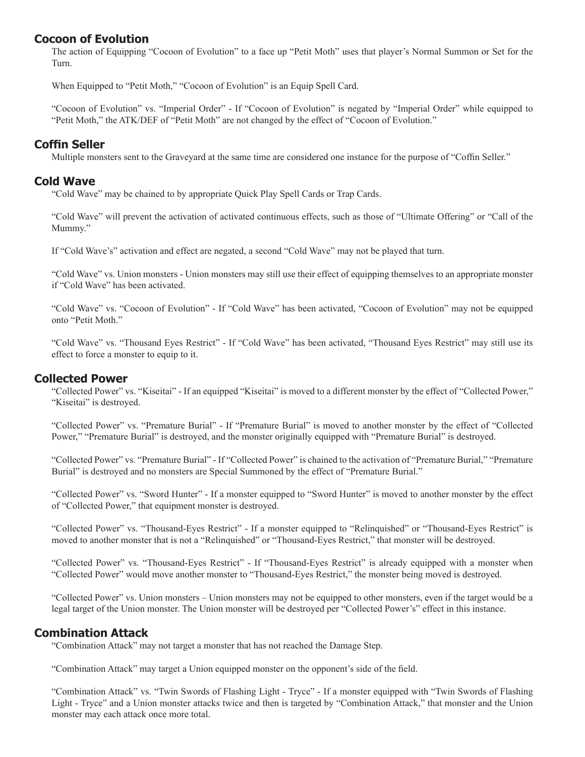## **Cocoon of Evolution**

The action of Equipping "Cocoon of Evolution" to a face up "Petit Moth" uses that player's Normal Summon or Set for the Turn.

When Equipped to "Petit Moth," "Cocoon of Evolution" is an Equip Spell Card.

"Cocoon of Evolution" vs. "Imperial Order" - If "Cocoon of Evolution" is negated by "Imperial Order" while equipped to "Petit Moth," the ATK/DEF of "Petit Moth" are not changed by the effect of "Cocoon of Evolution."

## **Coffin Seller**

Multiple monsters sent to the Graveyard at the same time are considered one instance for the purpose of "Coffin Seller."

## **Cold Wave**

"Cold Wave" may be chained to by appropriate Quick Play Spell Cards or Trap Cards.

"Cold Wave" will prevent the activation of activated continuous effects, such as those of "Ultimate Offering" or "Call of the Mummy."

If "Cold Wave's" activation and effect are negated, a second "Cold Wave" may not be played that turn.

"Cold Wave" vs. Union monsters - Union monsters may still use their effect of equipping themselves to an appropriate monster if "Cold Wave" has been activated.

"Cold Wave" vs. "Cocoon of Evolution" - If "Cold Wave" has been activated, "Cocoon of Evolution" may not be equipped onto "Petit Moth."

"Cold Wave" vs. "Thousand Eyes Restrict" - If "Cold Wave" has been activated, "Thousand Eyes Restrict" may still use its effect to force a monster to equip to it.

#### **Collected Power**

"Collected Power" vs. "Kiseitai" - If an equipped "Kiseitai" is moved to a different monster by the effect of "Collected Power," "Kiseitai" is destroyed.

"Collected Power" vs. "Premature Burial" - If "Premature Burial" is moved to another monster by the effect of "Collected Power," "Premature Burial" is destroyed, and the monster originally equipped with "Premature Burial" is destroyed.

"Collected Power" vs. "Premature Burial" - If "Collected Power" is chained to the activation of "Premature Burial," "Premature Burial" is destroyed and no monsters are Special Summoned by the effect of "Premature Burial."

"Collected Power" vs. "Sword Hunter" - If a monster equipped to "Sword Hunter" is moved to another monster by the effect of "Collected Power," that equipment monster is destroyed.

"Collected Power" vs. "Thousand-Eyes Restrict" - If a monster equipped to "Relinquished" or "Thousand-Eyes Restrict" is moved to another monster that is not a "Relinquished" or "Thousand-Eyes Restrict," that monster will be destroyed.

"Collected Power" vs. "Thousand-Eyes Restrict" - If "Thousand-Eyes Restrict" is already equipped with a monster when "Collected Power" would move another monster to "Thousand-Eyes Restrict," the monster being moved is destroyed.

"Collected Power" vs. Union monsters – Union monsters may not be equipped to other monsters, even if the target would be a legal target of the Union monster. The Union monster will be destroyed per "Collected Power's" effect in this instance.

## **Combination Attack**

"Combination Attack" may not target a monster that has not reached the Damage Step.

"Combination Attack" may target a Union equipped monster on the opponent's side of the field.

"Combination Attack" vs. "Twin Swords of Flashing Light - Tryce" - If a monster equipped with "Twin Swords of Flashing Light - Tryce" and a Union monster attacks twice and then is targeted by "Combination Attack," that monster and the Union monster may each attack once more total.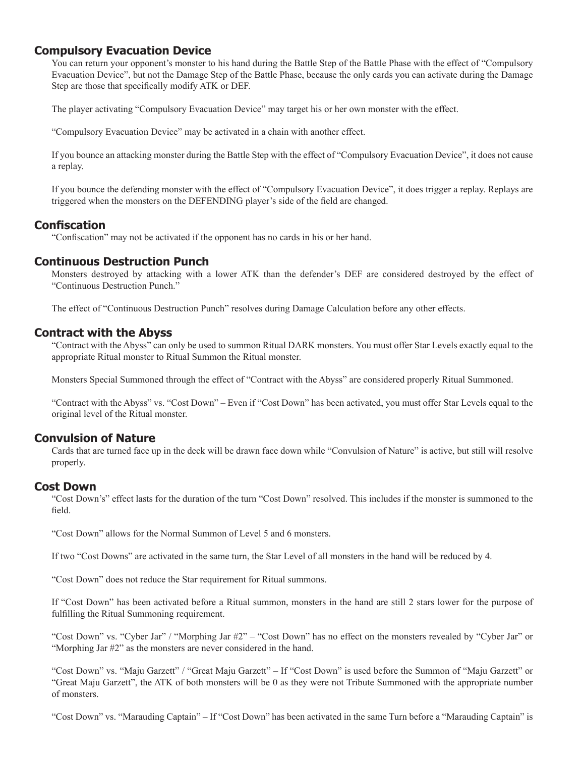# **Compulsory Evacuation Device**

You can return your opponent's monster to his hand during the Battle Step of the Battle Phase with the effect of "Compulsory Evacuation Device", but not the Damage Step of the Battle Phase, because the only cards you can activate during the Damage Step are those that specifically modify ATK or DEF.

The player activating "Compulsory Evacuation Device" may target his or her own monster with the effect.

"Compulsory Evacuation Device" may be activated in a chain with another effect.

If you bounce an attacking monster during the Battle Step with the effect of "Compulsory Evacuation Device", it does not cause a replay.

If you bounce the defending monster with the effect of "Compulsory Evacuation Device", it does trigger a replay. Replays are triggered when the monsters on the DEFENDING player's side of the field are changed.

## **Confiscation**

"Confiscation" may not be activated if the opponent has no cards in his or her hand.

## **Continuous Destruction Punch**

Monsters destroyed by attacking with a lower ATK than the defender's DEF are considered destroyed by the effect of "Continuous Destruction Punch."

The effect of "Continuous Destruction Punch" resolves during Damage Calculation before any other effects.

## **Contract with the Abyss**

"Contract with the Abyss" can only be used to summon Ritual DARK monsters. You must offer Star Levels exactly equal to the appropriate Ritual monster to Ritual Summon the Ritual monster.

Monsters Special Summoned through the effect of "Contract with the Abyss" are considered properly Ritual Summoned.

"Contract with the Abyss" vs. "Cost Down" – Even if "Cost Down" has been activated, you must offer Star Levels equal to the original level of the Ritual monster.

## **Convulsion of Nature**

Cards that are turned face up in the deck will be drawn face down while "Convulsion of Nature" is active, but still will resolve properly.

#### **Cost Down**

"Cost Down's" effect lasts for the duration of the turn "Cost Down" resolved. This includes if the monster is summoned to the field.

"Cost Down" allows for the Normal Summon of Level 5 and 6 monsters.

If two "Cost Downs" are activated in the same turn, the Star Level of all monsters in the hand will be reduced by 4.

"Cost Down" does not reduce the Star requirement for Ritual summons.

If "Cost Down" has been activated before a Ritual summon, monsters in the hand are still 2 stars lower for the purpose of fulfilling the Ritual Summoning requirement.

"Cost Down" vs. "Cyber Jar" / "Morphing Jar #2" – "Cost Down" has no effect on the monsters revealed by "Cyber Jar" or "Morphing Jar #2" as the monsters are never considered in the hand.

"Cost Down" vs. "Maju Garzett" / "Great Maju Garzett" – If "Cost Down" is used before the Summon of "Maju Garzett" or "Great Maju Garzett", the ATK of both monsters will be 0 as they were not Tribute Summoned with the appropriate number of monsters.

"Cost Down" vs. "Marauding Captain" – If "Cost Down" has been activated in the same Turn before a "Marauding Captain" is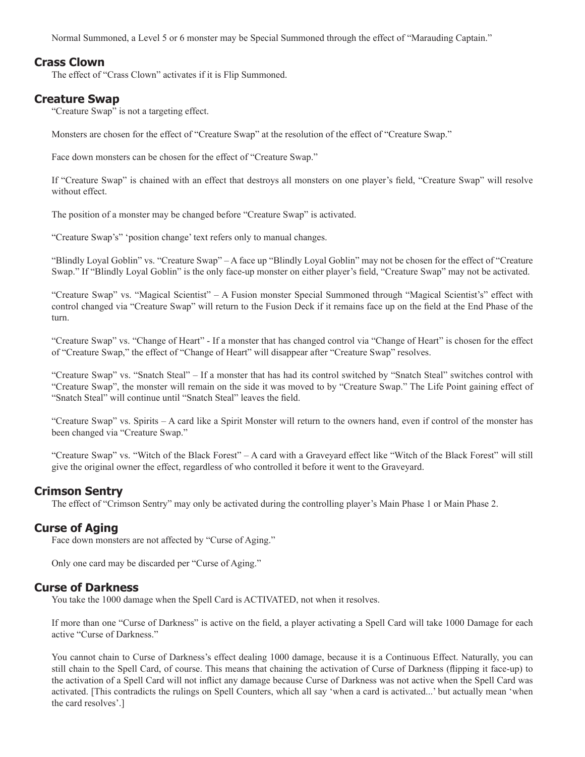Normal Summoned, a Level 5 or 6 monster may be Special Summoned through the effect of "Marauding Captain."

## **Crass Clown**

The effect of "Crass Clown" activates if it is Flip Summoned.

#### **Creature Swap**

"Creature Swap" is not a targeting effect.

Monsters are chosen for the effect of "Creature Swap" at the resolution of the effect of "Creature Swap."

Face down monsters can be chosen for the effect of "Creature Swap."

If "Creature Swap" is chained with an effect that destroys all monsters on one player's field, "Creature Swap" will resolve without effect.

The position of a monster may be changed before "Creature Swap" is activated.

"Creature Swap's" 'position change' text refers only to manual changes.

"Blindly Loyal Goblin" vs. "Creature Swap" – A face up "Blindly Loyal Goblin" may not be chosen for the effect of "Creature Swap." If "Blindly Loyal Goblin" is the only face-up monster on either player's field, "Creature Swap" may not be activated.

"Creature Swap" vs. "Magical Scientist" – A Fusion monster Special Summoned through "Magical Scientist's" effect with control changed via "Creature Swap" will return to the Fusion Deck if it remains face up on the field at the End Phase of the turn.

"Creature Swap" vs. "Change of Heart" - If a monster that has changed control via "Change of Heart" is chosen for the effect of "Creature Swap," the effect of "Change of Heart" will disappear after "Creature Swap" resolves.

"Creature Swap" vs. "Snatch Steal" – If a monster that has had its control switched by "Snatch Steal" switches control with "Creature Swap", the monster will remain on the side it was moved to by "Creature Swap." The Life Point gaining effect of "Snatch Steal" will continue until "Snatch Steal" leaves the field.

"Creature Swap" vs. Spirits – A card like a Spirit Monster will return to the owners hand, even if control of the monster has been changed via "Creature Swap."

"Creature Swap" vs. "Witch of the Black Forest" – A card with a Graveyard effect like "Witch of the Black Forest" will still give the original owner the effect, regardless of who controlled it before it went to the Graveyard.

#### **Crimson Sentry**

The effect of "Crimson Sentry" may only be activated during the controlling player's Main Phase 1 or Main Phase 2.

## **Curse of Aging**

Face down monsters are not affected by "Curse of Aging."

Only one card may be discarded per "Curse of Aging."

#### **Curse of Darkness**

You take the 1000 damage when the Spell Card is ACTIVATED, not when it resolves.

If more than one "Curse of Darkness" is active on the field, a player activating a Spell Card will take 1000 Damage for each active "Curse of Darkness."

You cannot chain to Curse of Darkness's effect dealing 1000 damage, because it is a Continuous Effect. Naturally, you can still chain to the Spell Card, of course. This means that chaining the activation of Curse of Darkness (flipping it face-up) to the activation of a Spell Card will not inflict any damage because Curse of Darkness was not active when the Spell Card was activated. [This contradicts the rulings on Spell Counters, which all say 'when a card is activated...' but actually mean 'when the card resolves'.]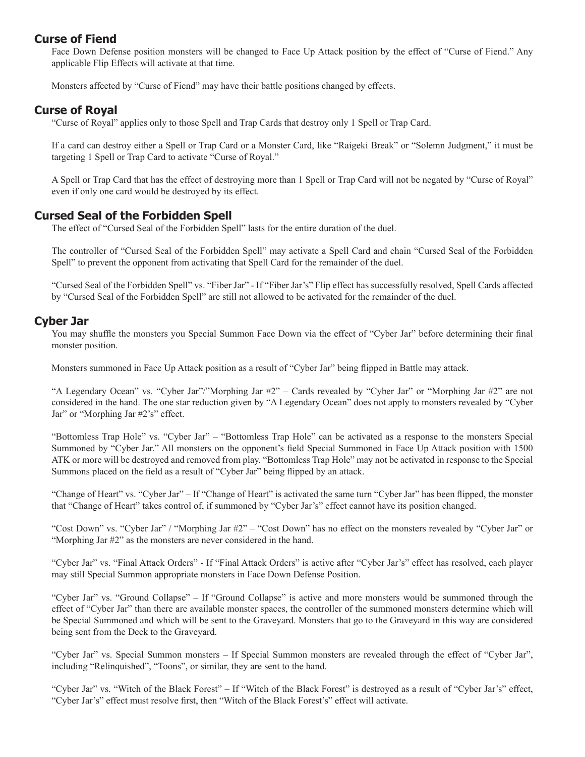# **Curse of Fiend**

Face Down Defense position monsters will be changed to Face Up Attack position by the effect of "Curse of Fiend." Any applicable Flip Effects will activate at that time.

Monsters affected by "Curse of Fiend" may have their battle positions changed by effects.

## **Curse of Royal**

"Curse of Royal" applies only to those Spell and Trap Cards that destroy only 1 Spell or Trap Card.

If a card can destroy either a Spell or Trap Card or a Monster Card, like "Raigeki Break" or "Solemn Judgment," it must be targeting 1 Spell or Trap Card to activate "Curse of Royal."

A Spell or Trap Card that has the effect of destroying more than 1 Spell or Trap Card will not be negated by "Curse of Royal" even if only one card would be destroyed by its effect.

## **Cursed Seal of the Forbidden Spell**

The effect of "Cursed Seal of the Forbidden Spell" lasts for the entire duration of the duel.

The controller of "Cursed Seal of the Forbidden Spell" may activate a Spell Card and chain "Cursed Seal of the Forbidden Spell" to prevent the opponent from activating that Spell Card for the remainder of the duel.

"Cursed Seal of the Forbidden Spell" vs. "Fiber Jar" - If "Fiber Jar's" Flip effect has successfully resolved, Spell Cards affected by "Cursed Seal of the Forbidden Spell" are still not allowed to be activated for the remainder of the duel.

## **Cyber Jar**

You may shuffle the monsters you Special Summon Face Down via the effect of "Cyber Jar" before determining their final monster position.

Monsters summoned in Face Up Attack position as a result of "Cyber Jar" being flipped in Battle may attack.

"A Legendary Ocean" vs. "Cyber Jar"/"Morphing Jar #2" – Cards revealed by "Cyber Jar" or "Morphing Jar #2" are not considered in the hand. The one star reduction given by "A Legendary Ocean" does not apply to monsters revealed by "Cyber Jar" or "Morphing Jar #2's" effect.

"Bottomless Trap Hole" vs. "Cyber Jar" – "Bottomless Trap Hole" can be activated as a response to the monsters Special Summoned by "Cyber Jar." All monsters on the opponent's field Special Summoned in Face Up Attack position with 1500 ATK or more will be destroyed and removed from play. "Bottomless Trap Hole" may not be activated in response to the Special Summons placed on the field as a result of "Cyber Jar" being flipped by an attack.

"Change of Heart" vs. "Cyber Jar" – If "Change of Heart" is activated the same turn "Cyber Jar" has been flipped, the monster that "Change of Heart" takes control of, if summoned by "Cyber Jar's" effect cannot have its position changed.

"Cost Down" vs. "Cyber Jar" / "Morphing Jar #2" – "Cost Down" has no effect on the monsters revealed by "Cyber Jar" or "Morphing Jar #2" as the monsters are never considered in the hand.

"Cyber Jar" vs. "Final Attack Orders" - If "Final Attack Orders" is active after "Cyber Jar's" effect has resolved, each player may still Special Summon appropriate monsters in Face Down Defense Position.

"Cyber Jar" vs. "Ground Collapse" – If "Ground Collapse" is active and more monsters would be summoned through the effect of "Cyber Jar" than there are available monster spaces, the controller of the summoned monsters determine which will be Special Summoned and which will be sent to the Graveyard. Monsters that go to the Graveyard in this way are considered being sent from the Deck to the Graveyard.

"Cyber Jar" vs. Special Summon monsters – If Special Summon monsters are revealed through the effect of "Cyber Jar", including "Relinquished", "Toons", or similar, they are sent to the hand.

"Cyber Jar" vs. "Witch of the Black Forest" – If "Witch of the Black Forest" is destroyed as a result of "Cyber Jar's" effect, "Cyber Jar's" effect must resolve first, then "Witch of the Black Forest's" effect will activate.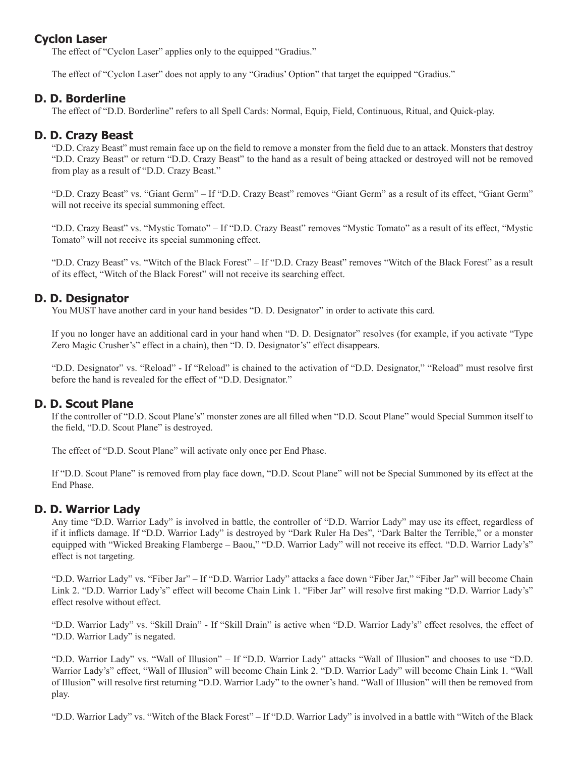# **Cyclon Laser**

The effect of "Cyclon Laser" applies only to the equipped "Gradius."

The effect of "Cyclon Laser" does not apply to any "Gradius' Option" that target the equipped "Gradius."

# **D. D. Borderline**

The effect of "D.D. Borderline" refers to all Spell Cards: Normal, Equip, Field, Continuous, Ritual, and Quick-play.

# **D. D. Crazy Beast**

"D.D. Crazy Beast" must remain face up on the field to remove a monster from the field due to an attack. Monsters that destroy "D.D. Crazy Beast" or return "D.D. Crazy Beast" to the hand as a result of being attacked or destroyed will not be removed from play as a result of "D.D. Crazy Beast."

"D.D. Crazy Beast" vs. "Giant Germ" – If "D.D. Crazy Beast" removes "Giant Germ" as a result of its effect, "Giant Germ" will not receive its special summoning effect.

"D.D. Crazy Beast" vs. "Mystic Tomato" – If "D.D. Crazy Beast" removes "Mystic Tomato" as a result of its effect, "Mystic Tomato" will not receive its special summoning effect.

"D.D. Crazy Beast" vs. "Witch of the Black Forest" – If "D.D. Crazy Beast" removes "Witch of the Black Forest" as a result of its effect, "Witch of the Black Forest" will not receive its searching effect.

# **D. D. Designator**

You MUST have another card in your hand besides "D. D. Designator" in order to activate this card.

If you no longer have an additional card in your hand when "D. D. Designator" resolves (for example, if you activate "Type Zero Magic Crusher's" effect in a chain), then "D. D. Designator's" effect disappears.

"D.D. Designator" vs. "Reload" - If "Reload" is chained to the activation of "D.D. Designator," "Reload" must resolve first before the hand is revealed for the effect of "D.D. Designator."

# **D. D. Scout Plane**

If the controller of "D.D. Scout Plane's" monster zones are all filled when "D.D. Scout Plane" would Special Summon itself to the field, "D.D. Scout Plane" is destroyed.

The effect of "D.D. Scout Plane" will activate only once per End Phase.

If "D.D. Scout Plane" is removed from play face down, "D.D. Scout Plane" will not be Special Summoned by its effect at the End Phase.

## **D. D. Warrior Lady**

Any time "D.D. Warrior Lady" is involved in battle, the controller of "D.D. Warrior Lady" may use its effect, regardless of if it inflicts damage. If "D.D. Warrior Lady" is destroyed by "Dark Ruler Ha Des", "Dark Balter the Terrible," or a monster equipped with "Wicked Breaking Flamberge – Baou," "D.D. Warrior Lady" will not receive its effect. "D.D. Warrior Lady's" effect is not targeting.

"D.D. Warrior Lady" vs. "Fiber Jar" – If "D.D. Warrior Lady" attacks a face down "Fiber Jar," "Fiber Jar" will become Chain Link 2. "D.D. Warrior Lady's" effect will become Chain Link 1. "Fiber Jar" will resolve first making "D.D. Warrior Lady's" effect resolve without effect.

"D.D. Warrior Lady" vs. "Skill Drain" - If "Skill Drain" is active when "D.D. Warrior Lady's" effect resolves, the effect of "D.D. Warrior Lady" is negated.

"D.D. Warrior Lady" vs. "Wall of Illusion" – If "D.D. Warrior Lady" attacks "Wall of Illusion" and chooses to use "D.D. Warrior Lady's" effect, "Wall of Illusion" will become Chain Link 2. "D.D. Warrior Lady" will become Chain Link 1. "Wall of Illusion" will resolve first returning "D.D. Warrior Lady" to the owner's hand. "Wall of Illusion" will then be removed from play.

"D.D. Warrior Lady" vs. "Witch of the Black Forest" – If "D.D. Warrior Lady" is involved in a battle with "Witch of the Black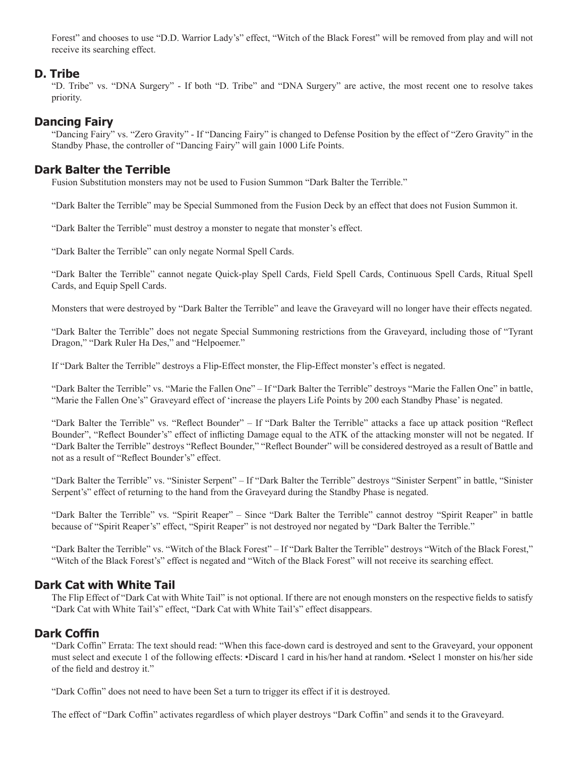Forest" and chooses to use "D.D. Warrior Lady's" effect, "Witch of the Black Forest" will be removed from play and will not receive its searching effect.

## **D. Tribe**

"D. Tribe" vs. "DNA Surgery" - If both "D. Tribe" and "DNA Surgery" are active, the most recent one to resolve takes priority.

# **Dancing Fairy**

"Dancing Fairy" vs. "Zero Gravity" - If "Dancing Fairy" is changed to Defense Position by the effect of "Zero Gravity" in the Standby Phase, the controller of "Dancing Fairy" will gain 1000 Life Points.

# **Dark Balter the Terrible**

Fusion Substitution monsters may not be used to Fusion Summon "Dark Balter the Terrible."

"Dark Balter the Terrible" may be Special Summoned from the Fusion Deck by an effect that does not Fusion Summon it.

"Dark Balter the Terrible" must destroy a monster to negate that monster's effect.

"Dark Balter the Terrible" can only negate Normal Spell Cards.

"Dark Balter the Terrible" cannot negate Quick-play Spell Cards, Field Spell Cards, Continuous Spell Cards, Ritual Spell Cards, and Equip Spell Cards.

Monsters that were destroyed by "Dark Balter the Terrible" and leave the Graveyard will no longer have their effects negated.

"Dark Balter the Terrible" does not negate Special Summoning restrictions from the Graveyard, including those of "Tyrant Dragon," "Dark Ruler Ha Des," and "Helpoemer."

If "Dark Balter the Terrible" destroys a Flip-Effect monster, the Flip-Effect monster's effect is negated.

"Dark Balter the Terrible" vs. "Marie the Fallen One" – If "Dark Balter the Terrible" destroys "Marie the Fallen One" in battle, "Marie the Fallen One's" Graveyard effect of 'increase the players Life Points by 200 each Standby Phase' is negated.

"Dark Balter the Terrible" vs. "Reflect Bounder" – If "Dark Balter the Terrible" attacks a face up attack position "Reflect Bounder", "Reflect Bounder's" effect of inflicting Damage equal to the ATK of the attacking monster will not be negated. If "Dark Balter the Terrible" destroys "Reflect Bounder," "Reflect Bounder" will be considered destroyed as a result of Battle and not as a result of "Reflect Bounder's" effect.

"Dark Balter the Terrible" vs. "Sinister Serpent" – If "Dark Balter the Terrible" destroys "Sinister Serpent" in battle, "Sinister Serpent's" effect of returning to the hand from the Graveyard during the Standby Phase is negated.

"Dark Balter the Terrible" vs. "Spirit Reaper" – Since "Dark Balter the Terrible" cannot destroy "Spirit Reaper" in battle because of "Spirit Reaper's" effect, "Spirit Reaper" is not destroyed nor negated by "Dark Balter the Terrible."

"Dark Balter the Terrible" vs. "Witch of the Black Forest" – If "Dark Balter the Terrible" destroys "Witch of the Black Forest," "Witch of the Black Forest's" effect is negated and "Witch of the Black Forest" will not receive its searching effect.

# **Dark Cat with White Tail**

The Flip Effect of "Dark Cat with White Tail" is not optional. If there are not enough monsters on the respective fields to satisfy "Dark Cat with White Tail's" effect, "Dark Cat with White Tail's" effect disappears.

## **Dark Coffin**

"Dark Coffin" Errata: The text should read: "When this face-down card is destroyed and sent to the Graveyard, your opponent must select and execute 1 of the following effects: •Discard 1 card in his/her hand at random. •Select 1 monster on his/her side of the field and destroy it."

"Dark Coffin" does not need to have been Set a turn to trigger its effect if it is destroyed.

The effect of "Dark Coffin" activates regardless of which player destroys "Dark Coffin" and sends it to the Graveyard.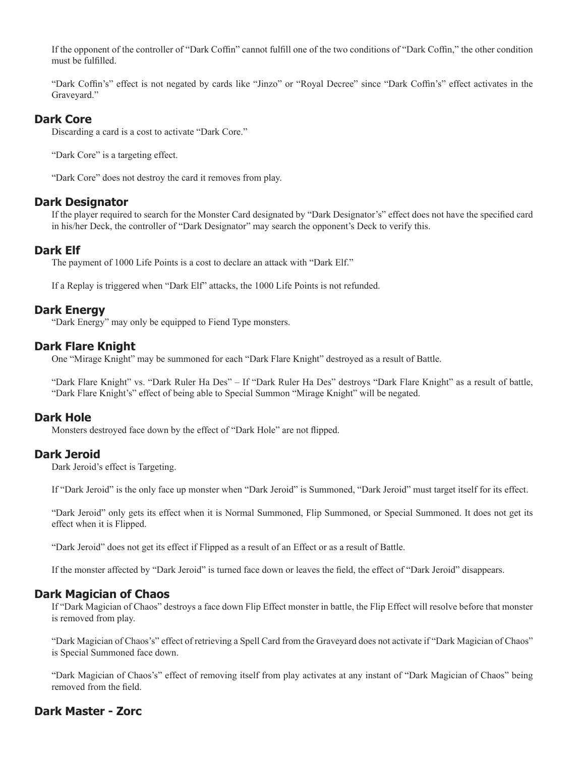If the opponent of the controller of "Dark Coffin" cannot fulfill one of the two conditions of "Dark Coffin," the other condition must be fulfilled.

"Dark Coffin's" effect is not negated by cards like "Jinzo" or "Royal Decree" since "Dark Coffin's" effect activates in the Graveyard."

## **Dark Core**

Discarding a card is a cost to activate "Dark Core."

"Dark Core" is a targeting effect.

"Dark Core" does not destroy the card it removes from play.

#### **Dark Designator**

If the player required to search for the Monster Card designated by "Dark Designator's" effect does not have the specified card in his/her Deck, the controller of "Dark Designator" may search the opponent's Deck to verify this.

## **Dark Elf**

The payment of 1000 Life Points is a cost to declare an attack with "Dark Elf."

If a Replay is triggered when "Dark Elf" attacks, the 1000 Life Points is not refunded.

# **Dark Energy**

"Dark Energy" may only be equipped to Fiend Type monsters.

## **Dark Flare Knight**

One "Mirage Knight" may be summoned for each "Dark Flare Knight" destroyed as a result of Battle.

"Dark Flare Knight" vs. "Dark Ruler Ha Des" – If "Dark Ruler Ha Des" destroys "Dark Flare Knight" as a result of battle, "Dark Flare Knight's" effect of being able to Special Summon "Mirage Knight" will be negated.

## **Dark Hole**

Monsters destroyed face down by the effect of "Dark Hole" are not flipped.

## **Dark Jeroid**

Dark Jeroid's effect is Targeting.

If "Dark Jeroid" is the only face up monster when "Dark Jeroid" is Summoned, "Dark Jeroid" must target itself for its effect.

"Dark Jeroid" only gets its effect when it is Normal Summoned, Flip Summoned, or Special Summoned. It does not get its effect when it is Flipped.

"Dark Jeroid" does not get its effect if Flipped as a result of an Effect or as a result of Battle.

If the monster affected by "Dark Jeroid" is turned face down or leaves the field, the effect of "Dark Jeroid" disappears.

## **Dark Magician of Chaos**

If "Dark Magician of Chaos" destroys a face down Flip Effect monster in battle, the Flip Effect will resolve before that monster is removed from play.

"Dark Magician of Chaos's" effect of retrieving a Spell Card from the Graveyard does not activate if "Dark Magician of Chaos" is Special Summoned face down.

"Dark Magician of Chaos's" effect of removing itself from play activates at any instant of "Dark Magician of Chaos" being removed from the field.

# **Dark Master - Zorc**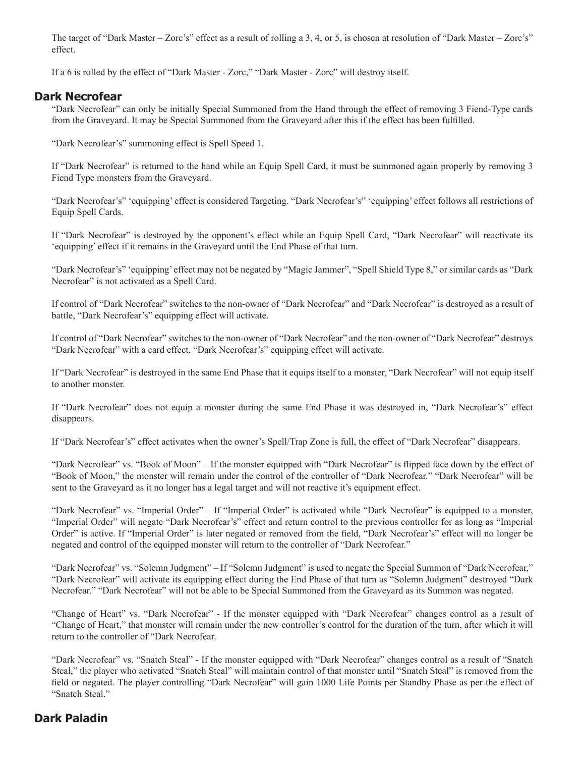The target of "Dark Master – Zorc's" effect as a result of rolling a 3, 4, or 5, is chosen at resolution of "Dark Master – Zorc's" effect.

If a 6 is rolled by the effect of "Dark Master - Zorc," "Dark Master - Zorc" will destroy itself.

#### **Dark Necrofear**

"Dark Necrofear" can only be initially Special Summoned from the Hand through the effect of removing 3 Fiend-Type cards from the Graveyard. It may be Special Summoned from the Graveyard after this if the effect has been fulfilled.

"Dark Necrofear's" summoning effect is Spell Speed 1.

If "Dark Necrofear" is returned to the hand while an Equip Spell Card, it must be summoned again properly by removing 3 Fiend Type monsters from the Graveyard.

"Dark Necrofear's" 'equipping' effect is considered Targeting. "Dark Necrofear's" 'equipping' effect follows all restrictions of Equip Spell Cards.

If "Dark Necrofear" is destroyed by the opponent's effect while an Equip Spell Card, "Dark Necrofear" will reactivate its 'equipping' effect if it remains in the Graveyard until the End Phase of that turn.

"Dark Necrofear's" 'equipping' effect may not be negated by "Magic Jammer", "Spell Shield Type 8," or similar cards as "Dark Necrofear" is not activated as a Spell Card.

If control of "Dark Necrofear" switches to the non-owner of "Dark Necrofear" and "Dark Necrofear" is destroyed as a result of battle, "Dark Necrofear's" equipping effect will activate.

If control of "Dark Necrofear" switches to the non-owner of "Dark Necrofear" and the non-owner of "Dark Necrofear" destroys "Dark Necrofear" with a card effect, "Dark Necrofear's" equipping effect will activate.

If "Dark Necrofear" is destroyed in the same End Phase that it equips itself to a monster, "Dark Necrofear" will not equip itself to another monster.

If "Dark Necrofear" does not equip a monster during the same End Phase it was destroyed in, "Dark Necrofear's" effect disappears.

If "Dark Necrofear's" effect activates when the owner's Spell/Trap Zone is full, the effect of "Dark Necrofear" disappears.

"Dark Necrofear" vs. "Book of Moon" – If the monster equipped with "Dark Necrofear" is flipped face down by the effect of "Book of Moon," the monster will remain under the control of the controller of "Dark Necrofear." "Dark Necrofear" will be sent to the Graveyard as it no longer has a legal target and will not reactive it's equipment effect.

"Dark Necrofear" vs. "Imperial Order" – If "Imperial Order" is activated while "Dark Necrofear" is equipped to a monster, "Imperial Order" will negate "Dark Necrofear's" effect and return control to the previous controller for as long as "Imperial Order" is active. If "Imperial Order" is later negated or removed from the field, "Dark Necrofear's" effect will no longer be negated and control of the equipped monster will return to the controller of "Dark Necrofear."

"Dark Necrofear" vs. "Solemn Judgment" – If "Solemn Judgment" is used to negate the Special Summon of "Dark Necrofear," "Dark Necrofear" will activate its equipping effect during the End Phase of that turn as "Solemn Judgment" destroyed "Dark Necrofear." "Dark Necrofear" will not be able to be Special Summoned from the Graveyard as its Summon was negated.

"Change of Heart" vs. "Dark Necrofear" - If the monster equipped with "Dark Necrofear" changes control as a result of "Change of Heart," that monster will remain under the new controller's control for the duration of the turn, after which it will return to the controller of "Dark Necrofear.

"Dark Necrofear" vs. "Snatch Steal" - If the monster equipped with "Dark Necrofear" changes control as a result of "Snatch Steal," the player who activated "Snatch Steal" will maintain control of that monster until "Snatch Steal" is removed from the field or negated. The player controlling "Dark Necrofear" will gain 1000 Life Points per Standby Phase as per the effect of "Snatch Steal."

# **Dark Paladin**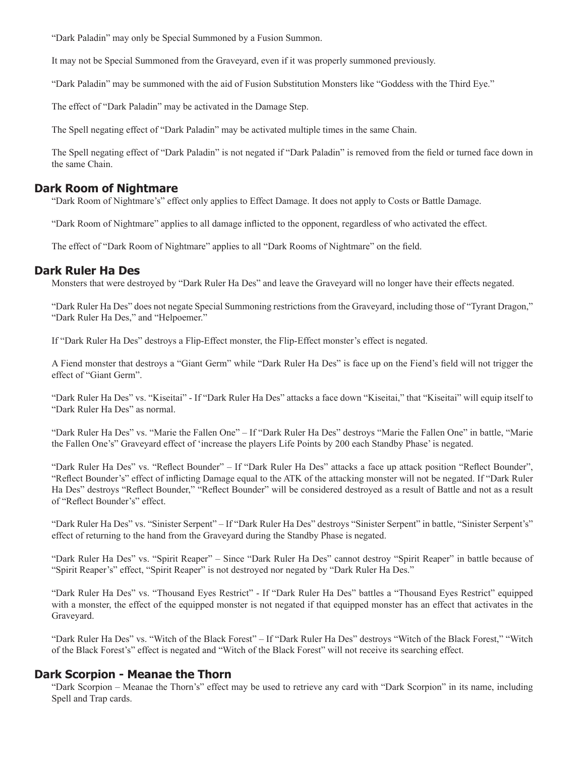"Dark Paladin" may only be Special Summoned by a Fusion Summon.

It may not be Special Summoned from the Graveyard, even if it was properly summoned previously.

"Dark Paladin" may be summoned with the aid of Fusion Substitution Monsters like "Goddess with the Third Eye."

The effect of "Dark Paladin" may be activated in the Damage Step.

The Spell negating effect of "Dark Paladin" may be activated multiple times in the same Chain.

The Spell negating effect of "Dark Paladin" is not negated if "Dark Paladin" is removed from the field or turned face down in the same Chain.

#### **Dark Room of Nightmare**

"Dark Room of Nightmare's" effect only applies to Effect Damage. It does not apply to Costs or Battle Damage.

"Dark Room of Nightmare" applies to all damage inflicted to the opponent, regardless of who activated the effect.

The effect of "Dark Room of Nightmare" applies to all "Dark Rooms of Nightmare" on the field.

#### **Dark Ruler Ha Des**

Monsters that were destroyed by "Dark Ruler Ha Des" and leave the Graveyard will no longer have their effects negated.

"Dark Ruler Ha Des" does not negate Special Summoning restrictions from the Graveyard, including those of "Tyrant Dragon," "Dark Ruler Ha Des," and "Helpoemer."

If "Dark Ruler Ha Des" destroys a Flip-Effect monster, the Flip-Effect monster's effect is negated.

A Fiend monster that destroys a "Giant Germ" while "Dark Ruler Ha Des" is face up on the Fiend's field will not trigger the effect of "Giant Germ".

"Dark Ruler Ha Des" vs. "Kiseitai" - If "Dark Ruler Ha Des" attacks a face down "Kiseitai," that "Kiseitai" will equip itself to "Dark Ruler Ha Des" as normal.

"Dark Ruler Ha Des" vs. "Marie the Fallen One" – If "Dark Ruler Ha Des" destroys "Marie the Fallen One" in battle, "Marie the Fallen One's" Graveyard effect of 'increase the players Life Points by 200 each Standby Phase' is negated.

"Dark Ruler Ha Des" vs. "Reflect Bounder" – If "Dark Ruler Ha Des" attacks a face up attack position "Reflect Bounder", "Reflect Bounder's" effect of inflicting Damage equal to the ATK of the attacking monster will not be negated. If "Dark Ruler Ha Des" destroys "Reflect Bounder," "Reflect Bounder" will be considered destroyed as a result of Battle and not as a result of "Reflect Bounder's" effect.

"Dark Ruler Ha Des" vs. "Sinister Serpent" – If "Dark Ruler Ha Des" destroys "Sinister Serpent" in battle, "Sinister Serpent's" effect of returning to the hand from the Graveyard during the Standby Phase is negated.

"Dark Ruler Ha Des" vs. "Spirit Reaper" – Since "Dark Ruler Ha Des" cannot destroy "Spirit Reaper" in battle because of "Spirit Reaper's" effect, "Spirit Reaper" is not destroyed nor negated by "Dark Ruler Ha Des."

"Dark Ruler Ha Des" vs. "Thousand Eyes Restrict" - If "Dark Ruler Ha Des" battles a "Thousand Eyes Restrict" equipped with a monster, the effect of the equipped monster is not negated if that equipped monster has an effect that activates in the Graveyard.

"Dark Ruler Ha Des" vs. "Witch of the Black Forest" – If "Dark Ruler Ha Des" destroys "Witch of the Black Forest," "Witch of the Black Forest's" effect is negated and "Witch of the Black Forest" will not receive its searching effect.

#### **Dark Scorpion - Meanae the Thorn**

"Dark Scorpion – Meanae the Thorn's" effect may be used to retrieve any card with "Dark Scorpion" in its name, including Spell and Trap cards.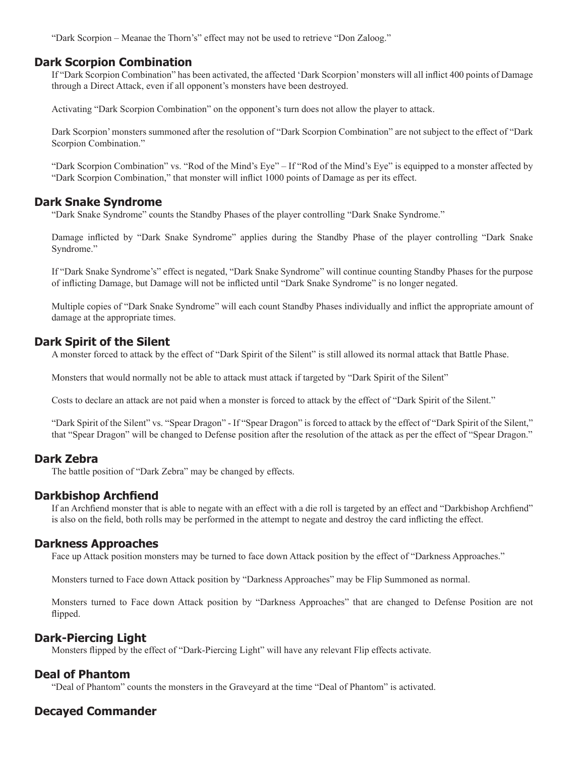"Dark Scorpion – Meanae the Thorn's" effect may not be used to retrieve "Don Zaloog."

### **Dark Scorpion Combination**

If "Dark Scorpion Combination" has been activated, the affected 'Dark Scorpion' monsters will all inflict 400 points of Damage through a Direct Attack, even if all opponent's monsters have been destroyed.

Activating "Dark Scorpion Combination" on the opponent's turn does not allow the player to attack.

Dark Scorpion' monsters summoned after the resolution of "Dark Scorpion Combination" are not subject to the effect of "Dark Scorpion Combination."

"Dark Scorpion Combination" vs. "Rod of the Mind's Eye" – If "Rod of the Mind's Eye" is equipped to a monster affected by "Dark Scorpion Combination," that monster will inflict 1000 points of Damage as per its effect.

### **Dark Snake Syndrome**

"Dark Snake Syndrome" counts the Standby Phases of the player controlling "Dark Snake Syndrome."

Damage inflicted by "Dark Snake Syndrome" applies during the Standby Phase of the player controlling "Dark Snake Syndrome."

If "Dark Snake Syndrome's" effect is negated, "Dark Snake Syndrome" will continue counting Standby Phases for the purpose of inflicting Damage, but Damage will not be inflicted until "Dark Snake Syndrome" is no longer negated.

Multiple copies of "Dark Snake Syndrome" will each count Standby Phases individually and inflict the appropriate amount of damage at the appropriate times.

### **Dark Spirit of the Silent**

A monster forced to attack by the effect of "Dark Spirit of the Silent" is still allowed its normal attack that Battle Phase.

Monsters that would normally not be able to attack must attack if targeted by "Dark Spirit of the Silent"

Costs to declare an attack are not paid when a monster is forced to attack by the effect of "Dark Spirit of the Silent."

"Dark Spirit of the Silent" vs. "Spear Dragon" - If "Spear Dragon" is forced to attack by the effect of "Dark Spirit of the Silent," that "Spear Dragon" will be changed to Defense position after the resolution of the attack as per the effect of "Spear Dragon."

### **Dark Zebra**

The battle position of "Dark Zebra" may be changed by effects.

### **Darkbishop Archfiend**

If an Archfiend monster that is able to negate with an effect with a die roll is targeted by an effect and "Darkbishop Archfiend" is also on the field, both rolls may be performed in the attempt to negate and destroy the card inflicting the effect.

### **Darkness Approaches**

Face up Attack position monsters may be turned to face down Attack position by the effect of "Darkness Approaches."

Monsters turned to Face down Attack position by "Darkness Approaches" may be Flip Summoned as normal.

Monsters turned to Face down Attack position by "Darkness Approaches" that are changed to Defense Position are not flipped.

# **Dark-Piercing Light**

Monsters flipped by the effect of "Dark-Piercing Light" will have any relevant Flip effects activate.

### **Deal of Phantom**

"Deal of Phantom" counts the monsters in the Graveyard at the time "Deal of Phantom" is activated.

# **Decayed Commander**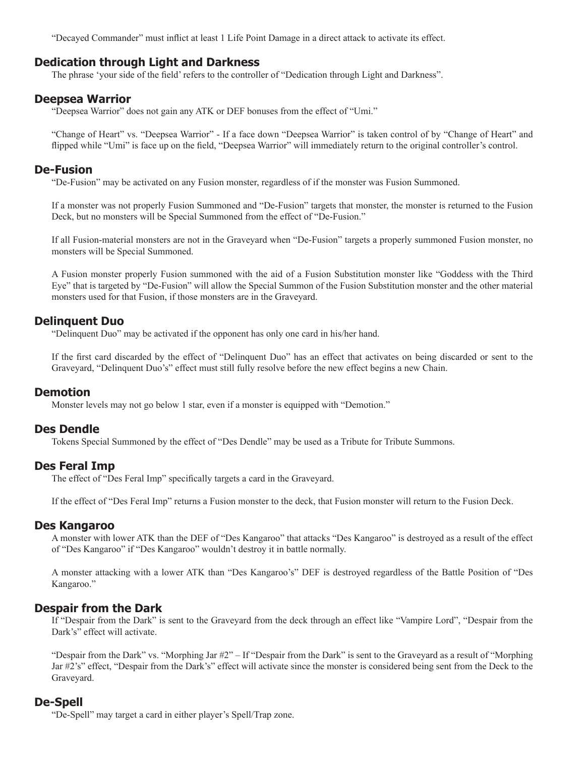"Decayed Commander" must inflict at least 1 Life Point Damage in a direct attack to activate its effect.

### **Dedication through Light and Darkness**

The phrase 'your side of the field' refers to the controller of "Dedication through Light and Darkness".

### **Deepsea Warrior**

"Deepsea Warrior" does not gain any ATK or DEF bonuses from the effect of "Umi."

"Change of Heart" vs. "Deepsea Warrior" - If a face down "Deepsea Warrior" is taken control of by "Change of Heart" and flipped while "Umi" is face up on the field, "Deepsea Warrior" will immediately return to the original controller's control.

### **De-Fusion**

"De-Fusion" may be activated on any Fusion monster, regardless of if the monster was Fusion Summoned.

If a monster was not properly Fusion Summoned and "De-Fusion" targets that monster, the monster is returned to the Fusion Deck, but no monsters will be Special Summoned from the effect of "De-Fusion."

If all Fusion-material monsters are not in the Graveyard when "De-Fusion" targets a properly summoned Fusion monster, no monsters will be Special Summoned.

A Fusion monster properly Fusion summoned with the aid of a Fusion Substitution monster like "Goddess with the Third Eye" that is targeted by "De-Fusion" will allow the Special Summon of the Fusion Substitution monster and the other material monsters used for that Fusion, if those monsters are in the Graveyard.

# **Delinquent Duo**

"Delinquent Duo" may be activated if the opponent has only one card in his/her hand.

If the first card discarded by the effect of "Delinquent Duo" has an effect that activates on being discarded or sent to the Graveyard, "Delinquent Duo's" effect must still fully resolve before the new effect begins a new Chain.

### **Demotion**

Monster levels may not go below 1 star, even if a monster is equipped with "Demotion."

### **Des Dendle**

Tokens Special Summoned by the effect of "Des Dendle" may be used as a Tribute for Tribute Summons.

# **Des Feral Imp**

The effect of "Des Feral Imp" specifically targets a card in the Graveyard.

If the effect of "Des Feral Imp" returns a Fusion monster to the deck, that Fusion monster will return to the Fusion Deck.

### **Des Kangaroo**

A monster with lower ATK than the DEF of "Des Kangaroo" that attacks "Des Kangaroo" is destroyed as a result of the effect of "Des Kangaroo" if "Des Kangaroo" wouldn't destroy it in battle normally.

A monster attacking with a lower ATK than "Des Kangaroo's" DEF is destroyed regardless of the Battle Position of "Des Kangaroo."

# **Despair from the Dark**

If "Despair from the Dark" is sent to the Graveyard from the deck through an effect like "Vampire Lord", "Despair from the Dark's" effect will activate.

"Despair from the Dark" vs. "Morphing Jar #2" – If "Despair from the Dark" is sent to the Graveyard as a result of "Morphing Jar #2's" effect, "Despair from the Dark's" effect will activate since the monster is considered being sent from the Deck to the Graveyard.

# **De-Spell**

"De-Spell" may target a card in either player's Spell/Trap zone.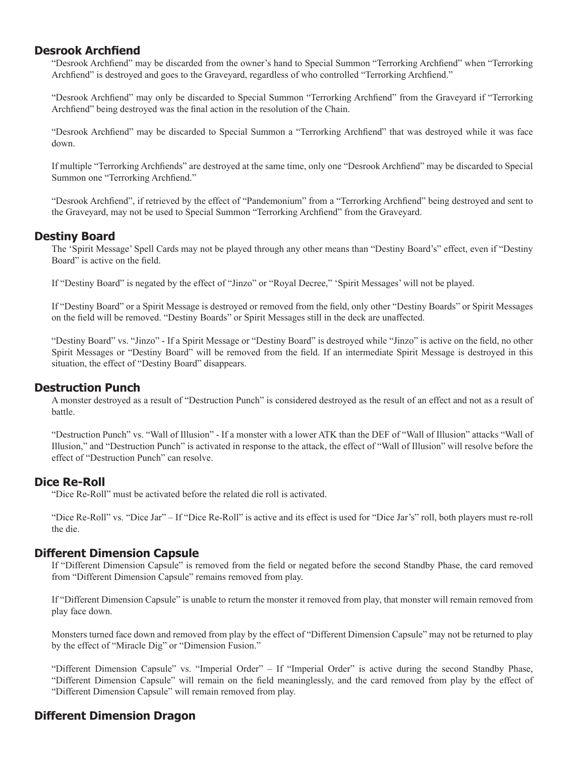# **Desrook Archfiend**

"Desrook Archfiend" may be discarded from the owner's hand to Special Summon "Terrorking Archfiend" when "Terrorking Archfiend" is destroyed and goes to the Graveyard, regardless of who controlled "Terrorking Archfiend."

"Desrook Archfiend" may only be discarded to Special Summon "Terrorking Archfiend" from the Graveyard if "Terrorking Archfiend" being destroyed was the final action in the resolution of the Chain.

"Desrook Archfiend" may be discarded to Special Summon a "Terrorking Archfiend" that was destroyed while it was face down.

If multiple "Terrorking Archfiends" are destroyed at the same time, only one "Desrook Archfiend" may be discarded to Special Summon one "Terrorking Archfiend."

"Desrook Archfiend", if retrieved by the effect of "Pandemonium" from a "Terrorking Archfiend" being destroyed and sent to the Graveyard, may not be used to Special Summon "Terrorking Archfiend" from the Graveyard.

# **Destiny Board**

The 'Spirit Message' Spell Cards may not be played through any other means than "Destiny Board's" effect, even if "Destiny Board" is active on the field.

If "Destiny Board" is negated by the effect of "Jinzo" or "Royal Decree," 'Spirit Messages' will not be played.

If "Destiny Board" or a Spirit Message is destroyed or removed from the field, only other "Destiny Boards" or Spirit Messages on the field will be removed. "Destiny Boards" or Spirit Messages still in the deck are unaffected.

"Destiny Board" vs. "Jinzo" - If a Spirit Message or "Destiny Board" is destroyed while "Jinzo" is active on the field, no other Spirit Messages or "Destiny Board" will be removed from the field. If an intermediate Spirit Message is destroyed in this situation, the effect of "Destiny Board" disappears.

# **Destruction Punch**

A monster destroyed as a result of "Destruction Punch" is considered destroyed as the result of an effect and not as a result of battle.

"Destruction Punch" vs. "Wall of Illusion" - If a monster with a lower ATK than the DEF of "Wall of Illusion" attacks "Wall of Illusion," and "Destruction Punch" is activated in response to the attack, the effect of "Wall of Illusion" will resolve before the effect of "Destruction Punch" can resolve.

# **Dice Re-Roll**

"Dice Re-Roll" must be activated before the related die roll is activated.

"Dice Re-Roll" vs. "Dice Jar" – If "Dice Re-Roll" is active and its effect is used for "Dice Jar's" roll, both players must re-roll the die.

# **Different Dimension Capsule**

If "Different Dimension Capsule" is removed from the field or negated before the second Standby Phase, the card removed from "Different Dimension Capsule" remains removed from play.

If "Different Dimension Capsule" is unable to return the monster it removed from play, that monster will remain removed from play face down.

Monsters turned face down and removed from play by the effect of "Different Dimension Capsule" may not be returned to play by the effect of "Miracle Dig" or "Dimension Fusion."

"Different Dimension Capsule" vs. "Imperial Order" – If "Imperial Order" is active during the second Standby Phase, "Different Dimension Capsule" will remain on the field meaninglessly, and the card removed from play by the effect of "Different Dimension Capsule" will remain removed from play.

# **Different Dimension Dragon**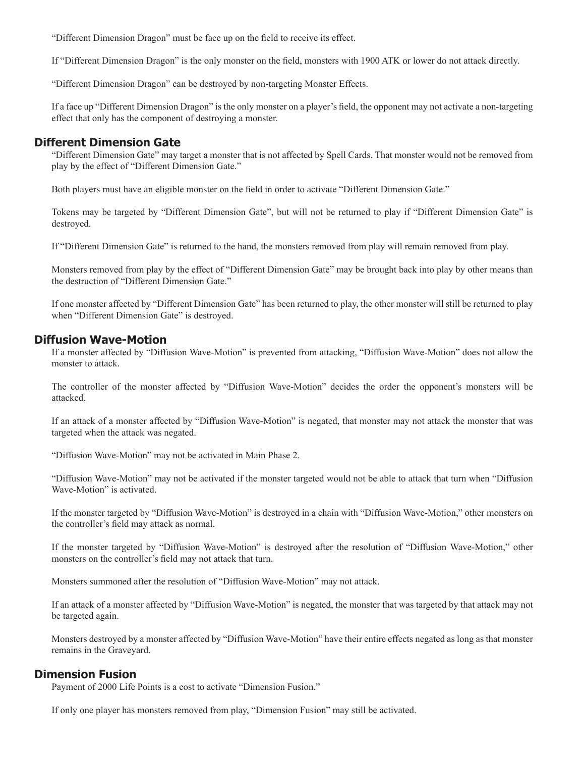"Different Dimension Dragon" must be face up on the field to receive its effect.

If "Different Dimension Dragon" is the only monster on the field, monsters with 1900 ATK or lower do not attack directly.

"Different Dimension Dragon" can be destroyed by non-targeting Monster Effects.

If a face up "Different Dimension Dragon" is the only monster on a player's field, the opponent may not activate a non-targeting effect that only has the component of destroying a monster.

### **Different Dimension Gate**

"Different Dimension Gate" may target a monster that is not affected by Spell Cards. That monster would not be removed from play by the effect of "Different Dimension Gate."

Both players must have an eligible monster on the field in order to activate "Different Dimension Gate."

Tokens may be targeted by "Different Dimension Gate", but will not be returned to play if "Different Dimension Gate" is destroyed.

If "Different Dimension Gate" is returned to the hand, the monsters removed from play will remain removed from play.

Monsters removed from play by the effect of "Different Dimension Gate" may be brought back into play by other means than the destruction of "Different Dimension Gate."

If one monster affected by "Different Dimension Gate" has been returned to play, the other monster will still be returned to play when "Different Dimension Gate" is destroyed.

### **Diffusion Wave-Motion**

If a monster affected by "Diffusion Wave-Motion" is prevented from attacking, "Diffusion Wave-Motion" does not allow the monster to attack.

The controller of the monster affected by "Diffusion Wave-Motion" decides the order the opponent's monsters will be attacked.

If an attack of a monster affected by "Diffusion Wave-Motion" is negated, that monster may not attack the monster that was targeted when the attack was negated.

"Diffusion Wave-Motion" may not be activated in Main Phase 2.

"Diffusion Wave-Motion" may not be activated if the monster targeted would not be able to attack that turn when "Diffusion Wave-Motion" is activated.

If the monster targeted by "Diffusion Wave-Motion" is destroyed in a chain with "Diffusion Wave-Motion," other monsters on the controller's field may attack as normal.

If the monster targeted by "Diffusion Wave-Motion" is destroyed after the resolution of "Diffusion Wave-Motion," other monsters on the controller's field may not attack that turn.

Monsters summoned after the resolution of "Diffusion Wave-Motion" may not attack.

If an attack of a monster affected by "Diffusion Wave-Motion" is negated, the monster that was targeted by that attack may not be targeted again.

Monsters destroyed by a monster affected by "Diffusion Wave-Motion" have their entire effects negated as long as that monster remains in the Graveyard.

### **Dimension Fusion**

Payment of 2000 Life Points is a cost to activate "Dimension Fusion."

If only one player has monsters removed from play, "Dimension Fusion" may still be activated.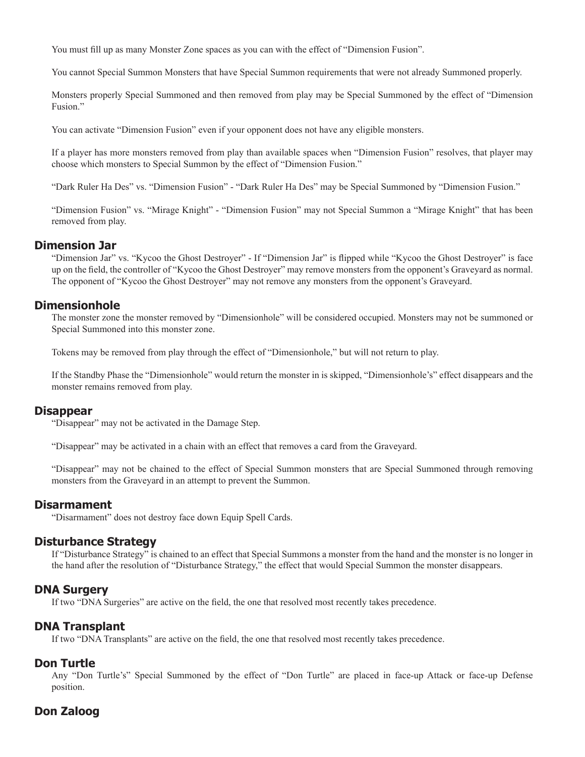You must fill up as many Monster Zone spaces as you can with the effect of "Dimension Fusion".

You cannot Special Summon Monsters that have Special Summon requirements that were not already Summoned properly.

Monsters properly Special Summoned and then removed from play may be Special Summoned by the effect of "Dimension Fusion."

You can activate "Dimension Fusion" even if your opponent does not have any eligible monsters.

If a player has more monsters removed from play than available spaces when "Dimension Fusion" resolves, that player may choose which monsters to Special Summon by the effect of "Dimension Fusion."

"Dark Ruler Ha Des" vs. "Dimension Fusion" - "Dark Ruler Ha Des" may be Special Summoned by "Dimension Fusion."

"Dimension Fusion" vs. "Mirage Knight" - "Dimension Fusion" may not Special Summon a "Mirage Knight" that has been removed from play.

### **Dimension Jar**

"Dimension Jar" vs. "Kycoo the Ghost Destroyer" - If "Dimension Jar" is flipped while "Kycoo the Ghost Destroyer" is face up on the field, the controller of "Kycoo the Ghost Destroyer" may remove monsters from the opponent's Graveyard as normal. The opponent of "Kycoo the Ghost Destroyer" may not remove any monsters from the opponent's Graveyard.

### **Dimensionhole**

The monster zone the monster removed by "Dimensionhole" will be considered occupied. Monsters may not be summoned or Special Summoned into this monster zone.

Tokens may be removed from play through the effect of "Dimensionhole," but will not return to play.

If the Standby Phase the "Dimensionhole" would return the monster in is skipped, "Dimensionhole's" effect disappears and the monster remains removed from play.

#### **Disappear**

"Disappear" may not be activated in the Damage Step.

"Disappear" may be activated in a chain with an effect that removes a card from the Graveyard.

"Disappear" may not be chained to the effect of Special Summon monsters that are Special Summoned through removing monsters from the Graveyard in an attempt to prevent the Summon.

#### **Disarmament**

"Disarmament" does not destroy face down Equip Spell Cards.

# **Disturbance Strategy**

If "Disturbance Strategy" is chained to an effect that Special Summons a monster from the hand and the monster is no longer in the hand after the resolution of "Disturbance Strategy," the effect that would Special Summon the monster disappears.

### **DNA Surgery**

If two "DNA Surgeries" are active on the field, the one that resolved most recently takes precedence.

# **DNA Transplant**

If two "DNA Transplants" are active on the field, the one that resolved most recently takes precedence.

#### **Don Turtle**

Any "Don Turtle's" Special Summoned by the effect of "Don Turtle" are placed in face-up Attack or face-up Defense position.

# **Don Zaloog**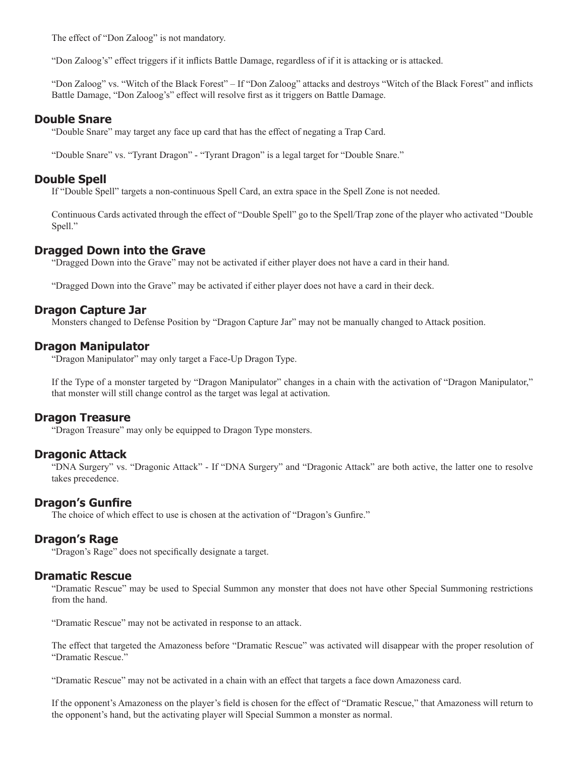The effect of "Don Zaloog" is not mandatory.

"Don Zaloog's" effect triggers if it inflicts Battle Damage, regardless of if it is attacking or is attacked.

"Don Zaloog" vs. "Witch of the Black Forest" – If "Don Zaloog" attacks and destroys "Witch of the Black Forest" and inflicts Battle Damage, "Don Zaloog's" effect will resolve first as it triggers on Battle Damage.

### **Double Snare**

"Double Snare" may target any face up card that has the effect of negating a Trap Card.

"Double Snare" vs. "Tyrant Dragon" - "Tyrant Dragon" is a legal target for "Double Snare."

### **Double Spell**

If "Double Spell" targets a non-continuous Spell Card, an extra space in the Spell Zone is not needed.

Continuous Cards activated through the effect of "Double Spell" go to the Spell/Trap zone of the player who activated "Double Spell."

### **Dragged Down into the Grave**

"Dragged Down into the Grave" may not be activated if either player does not have a card in their hand.

"Dragged Down into the Grave" may be activated if either player does not have a card in their deck.

### **Dragon Capture Jar**

Monsters changed to Defense Position by "Dragon Capture Jar" may not be manually changed to Attack position.

### **Dragon Manipulator**

"Dragon Manipulator" may only target a Face-Up Dragon Type.

If the Type of a monster targeted by "Dragon Manipulator" changes in a chain with the activation of "Dragon Manipulator," that monster will still change control as the target was legal at activation.

### **Dragon Treasure**

"Dragon Treasure" may only be equipped to Dragon Type monsters.

### **Dragonic Attack**

"DNA Surgery" vs. "Dragonic Attack" - If "DNA Surgery" and "Dragonic Attack" are both active, the latter one to resolve takes precedence.

### **Dragon's Gunfire**

The choice of which effect to use is chosen at the activation of "Dragon's Gunfire."

### **Dragon's Rage**

"Dragon's Rage" does not specifically designate a target.

### **Dramatic Rescue**

"Dramatic Rescue" may be used to Special Summon any monster that does not have other Special Summoning restrictions from the hand.

"Dramatic Rescue" may not be activated in response to an attack.

The effect that targeted the Amazoness before "Dramatic Rescue" was activated will disappear with the proper resolution of "Dramatic Rescue."

"Dramatic Rescue" may not be activated in a chain with an effect that targets a face down Amazoness card.

If the opponent's Amazoness on the player's field is chosen for the effect of "Dramatic Rescue," that Amazoness will return to the opponent's hand, but the activating player will Special Summon a monster as normal.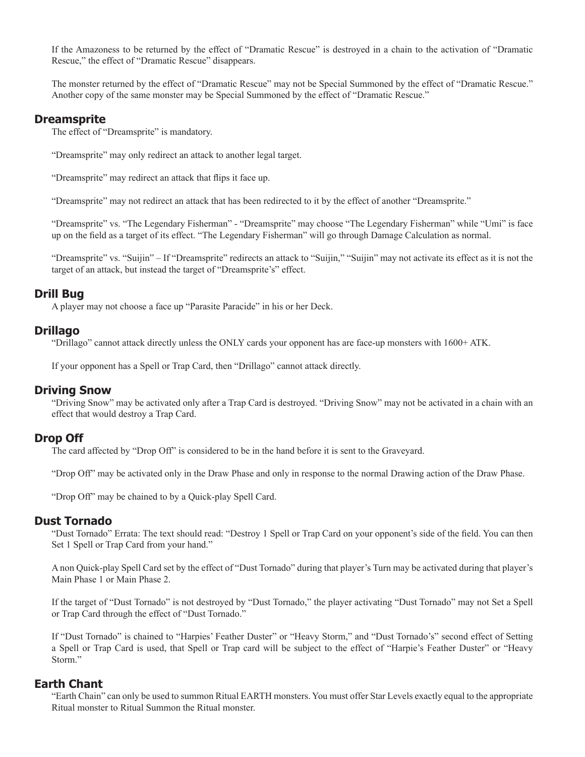If the Amazoness to be returned by the effect of "Dramatic Rescue" is destroyed in a chain to the activation of "Dramatic Rescue," the effect of "Dramatic Rescue" disappears.

The monster returned by the effect of "Dramatic Rescue" may not be Special Summoned by the effect of "Dramatic Rescue." Another copy of the same monster may be Special Summoned by the effect of "Dramatic Rescue."

### **Dreamsprite**

The effect of "Dreamsprite" is mandatory.

"Dreamsprite" may only redirect an attack to another legal target.

"Dreamsprite" may redirect an attack that flips it face up.

"Dreamsprite" may not redirect an attack that has been redirected to it by the effect of another "Dreamsprite."

"Dreamsprite" vs. "The Legendary Fisherman" - "Dreamsprite" may choose "The Legendary Fisherman" while "Umi" is face up on the field as a target of its effect. "The Legendary Fisherman" will go through Damage Calculation as normal.

"Dreamsprite" vs. "Suijin" – If "Dreamsprite" redirects an attack to "Suijin," "Suijin" may not activate its effect as it is not the target of an attack, but instead the target of "Dreamsprite's" effect.

# **Drill Bug**

A player may not choose a face up "Parasite Paracide" in his or her Deck.

### **Drillago**

"Drillago" cannot attack directly unless the ONLY cards your opponent has are face-up monsters with 1600+ ATK.

If your opponent has a Spell or Trap Card, then "Drillago" cannot attack directly.

### **Driving Snow**

"Driving Snow" may be activated only after a Trap Card is destroyed. "Driving Snow" may not be activated in a chain with an effect that would destroy a Trap Card.

### **Drop Off**

The card affected by "Drop Off" is considered to be in the hand before it is sent to the Graveyard.

"Drop Off" may be activated only in the Draw Phase and only in response to the normal Drawing action of the Draw Phase.

"Drop Off" may be chained to by a Quick-play Spell Card.

#### **Dust Tornado**

"Dust Tornado" Errata: The text should read: "Destroy 1 Spell or Trap Card on your opponent's side of the field. You can then Set 1 Spell or Trap Card from your hand."

A non Quick-play Spell Card set by the effect of "Dust Tornado" during that player's Turn may be activated during that player's Main Phase 1 or Main Phase 2.

If the target of "Dust Tornado" is not destroyed by "Dust Tornado," the player activating "Dust Tornado" may not Set a Spell or Trap Card through the effect of "Dust Tornado."

If "Dust Tornado" is chained to "Harpies' Feather Duster" or "Heavy Storm," and "Dust Tornado's" second effect of Setting a Spell or Trap Card is used, that Spell or Trap card will be subject to the effect of "Harpie's Feather Duster" or "Heavy Storm."

### **Earth Chant**

"Earth Chain" can only be used to summon Ritual EARTH monsters. You must offer Star Levels exactly equal to the appropriate Ritual monster to Ritual Summon the Ritual monster.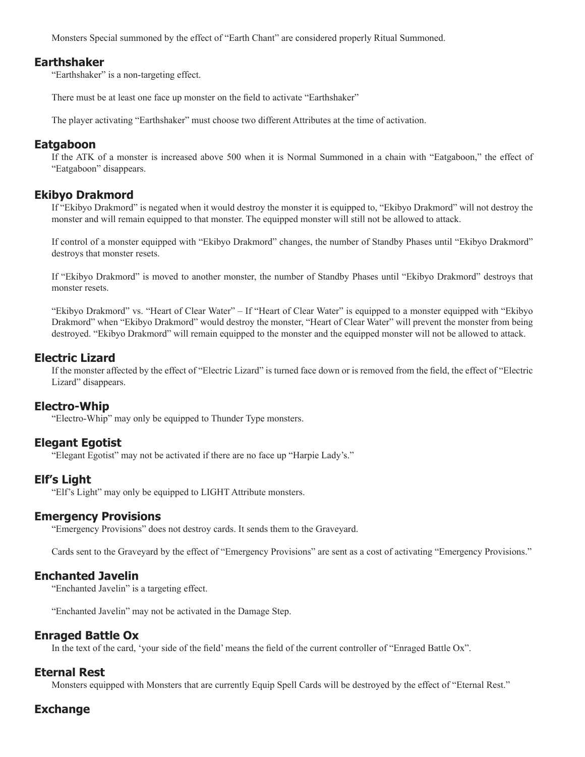Monsters Special summoned by the effect of "Earth Chant" are considered properly Ritual Summoned.

#### **Earthshaker**

"Earthshaker" is a non-targeting effect.

There must be at least one face up monster on the field to activate "Earthshaker"

The player activating "Earthshaker" must choose two different Attributes at the time of activation.

#### **Eatgaboon**

If the ATK of a monster is increased above 500 when it is Normal Summoned in a chain with "Eatgaboon," the effect of "Eatgaboon" disappears.

### **Ekibyo Drakmord**

If "Ekibyo Drakmord" is negated when it would destroy the monster it is equipped to, "Ekibyo Drakmord" will not destroy the monster and will remain equipped to that monster. The equipped monster will still not be allowed to attack.

If control of a monster equipped with "Ekibyo Drakmord" changes, the number of Standby Phases until "Ekibyo Drakmord" destroys that monster resets.

If "Ekibyo Drakmord" is moved to another monster, the number of Standby Phases until "Ekibyo Drakmord" destroys that monster resets.

"Ekibyo Drakmord" vs. "Heart of Clear Water" – If "Heart of Clear Water" is equipped to a monster equipped with "Ekibyo Drakmord" when "Ekibyo Drakmord" would destroy the monster, "Heart of Clear Water" will prevent the monster from being destroyed. "Ekibyo Drakmord" will remain equipped to the monster and the equipped monster will not be allowed to attack.

### **Electric Lizard**

If the monster affected by the effect of "Electric Lizard" is turned face down or is removed from the field, the effect of "Electric Lizard" disappears.

# **Electro-Whip**

"Electro-Whip" may only be equipped to Thunder Type monsters.

### **Elegant Egotist**

"Elegant Egotist" may not be activated if there are no face up "Harpie Lady's."

### **Elf's Light**

"Elf's Light" may only be equipped to LIGHT Attribute monsters.

#### **Emergency Provisions**

"Emergency Provisions" does not destroy cards. It sends them to the Graveyard.

Cards sent to the Graveyard by the effect of "Emergency Provisions" are sent as a cost of activating "Emergency Provisions."

### **Enchanted Javelin**

"Enchanted Javelin" is a targeting effect.

"Enchanted Javelin" may not be activated in the Damage Step.

### **Enraged Battle Ox**

In the text of the card, 'your side of the field' means the field of the current controller of "Enraged Battle Ox".

### **Eternal Rest**

Monsters equipped with Monsters that are currently Equip Spell Cards will be destroyed by the effect of "Eternal Rest."

# **Exchange**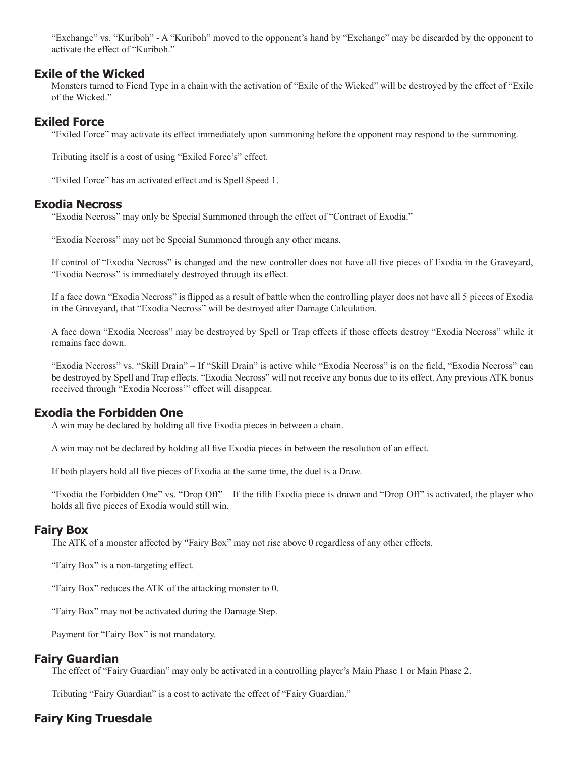"Exchange" vs. "Kuriboh" - A "Kuriboh" moved to the opponent's hand by "Exchange" may be discarded by the opponent to activate the effect of "Kuriboh."

### **Exile of the Wicked**

Monsters turned to Fiend Type in a chain with the activation of "Exile of the Wicked" will be destroyed by the effect of "Exile of the Wicked."

# **Exiled Force**

"Exiled Force" may activate its effect immediately upon summoning before the opponent may respond to the summoning.

Tributing itself is a cost of using "Exiled Force's" effect.

"Exiled Force" has an activated effect and is Spell Speed 1.

### **Exodia Necross**

"Exodia Necross" may only be Special Summoned through the effect of "Contract of Exodia."

"Exodia Necross" may not be Special Summoned through any other means.

If control of "Exodia Necross" is changed and the new controller does not have all five pieces of Exodia in the Graveyard, "Exodia Necross" is immediately destroyed through its effect.

If a face down "Exodia Necross" is flipped as a result of battle when the controlling player does not have all 5 pieces of Exodia in the Graveyard, that "Exodia Necross" will be destroyed after Damage Calculation.

A face down "Exodia Necross" may be destroyed by Spell or Trap effects if those effects destroy "Exodia Necross" while it remains face down.

"Exodia Necross" vs. "Skill Drain" – If "Skill Drain" is active while "Exodia Necross" is on the field, "Exodia Necross" can be destroyed by Spell and Trap effects. "Exodia Necross" will not receive any bonus due to its effect. Any previous ATK bonus received through "Exodia Necross'" effect will disappear.

# **Exodia the Forbidden One**

A win may be declared by holding all five Exodia pieces in between a chain.

A win may not be declared by holding all five Exodia pieces in between the resolution of an effect.

If both players hold all five pieces of Exodia at the same time, the duel is a Draw.

"Exodia the Forbidden One" vs. "Drop Off" – If the fifth Exodia piece is drawn and "Drop Off" is activated, the player who holds all five pieces of Exodia would still win.

# **Fairy Box**

The ATK of a monster affected by "Fairy Box" may not rise above 0 regardless of any other effects.

"Fairy Box" is a non-targeting effect.

"Fairy Box" reduces the ATK of the attacking monster to 0.

"Fairy Box" may not be activated during the Damage Step.

Payment for "Fairy Box" is not mandatory.

# **Fairy Guardian**

The effect of "Fairy Guardian" may only be activated in a controlling player's Main Phase 1 or Main Phase 2.

Tributing "Fairy Guardian" is a cost to activate the effect of "Fairy Guardian."

# **Fairy King Truesdale**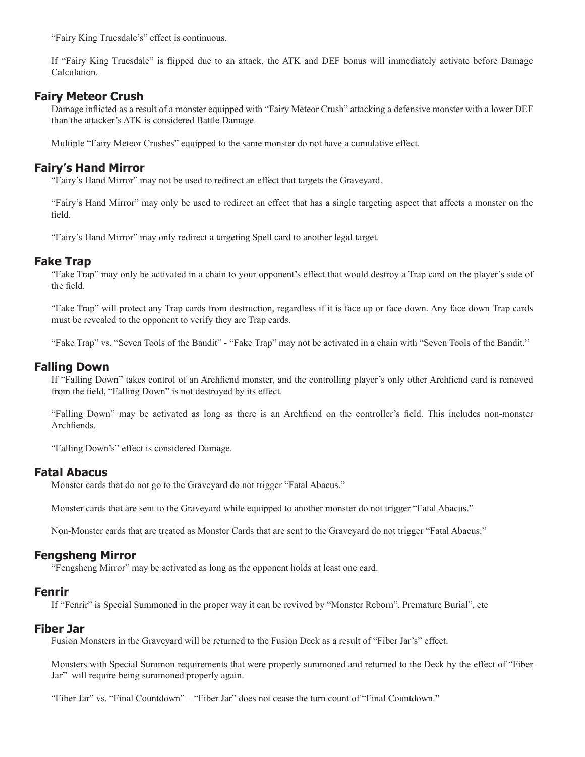"Fairy King Truesdale's" effect is continuous.

If "Fairy King Truesdale" is flipped due to an attack, the ATK and DEF bonus will immediately activate before Damage Calculation.

# **Fairy Meteor Crush**

Damage inflicted as a result of a monster equipped with "Fairy Meteor Crush" attacking a defensive monster with a lower DEF than the attacker's ATK is considered Battle Damage.

Multiple "Fairy Meteor Crushes" equipped to the same monster do not have a cumulative effect.

# **Fairy's Hand Mirror**

"Fairy's Hand Mirror" may not be used to redirect an effect that targets the Graveyard.

"Fairy's Hand Mirror" may only be used to redirect an effect that has a single targeting aspect that affects a monster on the field.

"Fairy's Hand Mirror" may only redirect a targeting Spell card to another legal target.

# **Fake Trap**

"Fake Trap" may only be activated in a chain to your opponent's effect that would destroy a Trap card on the player's side of the field.

"Fake Trap" will protect any Trap cards from destruction, regardless if it is face up or face down. Any face down Trap cards must be revealed to the opponent to verify they are Trap cards.

"Fake Trap" vs. "Seven Tools of the Bandit" - "Fake Trap" may not be activated in a chain with "Seven Tools of the Bandit."

# **Falling Down**

If "Falling Down" takes control of an Archfiend monster, and the controlling player's only other Archfiend card is removed from the field, "Falling Down" is not destroyed by its effect.

"Falling Down" may be activated as long as there is an Archfiend on the controller's field. This includes non-monster Archfiends

"Falling Down's" effect is considered Damage.

### **Fatal Abacus**

Monster cards that do not go to the Graveyard do not trigger "Fatal Abacus."

Monster cards that are sent to the Graveyard while equipped to another monster do not trigger "Fatal Abacus."

Non-Monster cards that are treated as Monster Cards that are sent to the Graveyard do not trigger "Fatal Abacus."

### **Fengsheng Mirror**

"Fengsheng Mirror" may be activated as long as the opponent holds at least one card.

### **Fenrir**

If "Fenrir" is Special Summoned in the proper way it can be revived by "Monster Reborn", Premature Burial", etc

### **Fiber Jar**

Fusion Monsters in the Graveyard will be returned to the Fusion Deck as a result of "Fiber Jar's" effect.

Monsters with Special Summon requirements that were properly summoned and returned to the Deck by the effect of "Fiber Jar" will require being summoned properly again.

"Fiber Jar" vs. "Final Countdown" – "Fiber Jar" does not cease the turn count of "Final Countdown."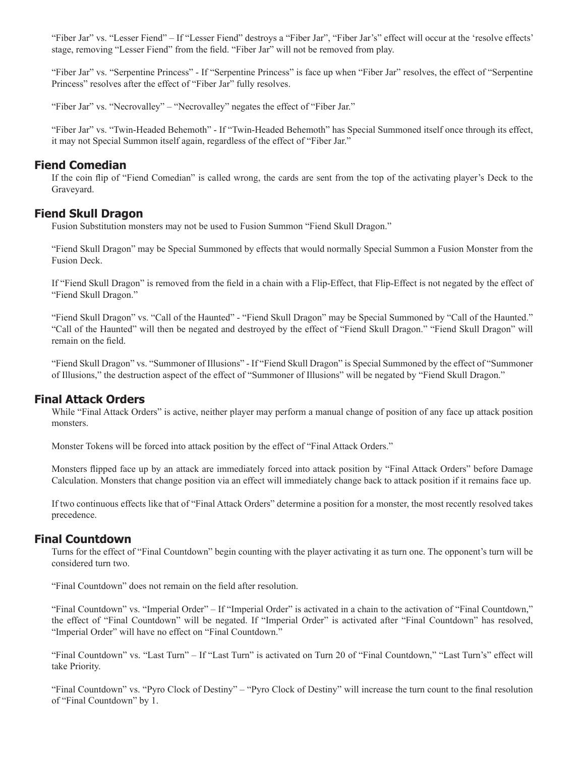"Fiber Jar" vs. "Lesser Fiend" – If "Lesser Fiend" destroys a "Fiber Jar", "Fiber Jar's" effect will occur at the 'resolve effects' stage, removing "Lesser Fiend" from the field. "Fiber Jar" will not be removed from play.

"Fiber Jar" vs. "Serpentine Princess" - If "Serpentine Princess" is face up when "Fiber Jar" resolves, the effect of "Serpentine Princess" resolves after the effect of "Fiber Jar" fully resolves.

"Fiber Jar" vs. "Necrovalley" – "Necrovalley" negates the effect of "Fiber Jar."

"Fiber Jar" vs. "Twin-Headed Behemoth" - If "Twin-Headed Behemoth" has Special Summoned itself once through its effect, it may not Special Summon itself again, regardless of the effect of "Fiber Jar."

#### **Fiend Comedian**

If the coin flip of "Fiend Comedian" is called wrong, the cards are sent from the top of the activating player's Deck to the Graveyard.

### **Fiend Skull Dragon**

Fusion Substitution monsters may not be used to Fusion Summon "Fiend Skull Dragon."

"Fiend Skull Dragon" may be Special Summoned by effects that would normally Special Summon a Fusion Monster from the Fusion Deck.

If "Fiend Skull Dragon" is removed from the field in a chain with a Flip-Effect, that Flip-Effect is not negated by the effect of "Fiend Skull Dragon."

"Fiend Skull Dragon" vs. "Call of the Haunted" - "Fiend Skull Dragon" may be Special Summoned by "Call of the Haunted." "Call of the Haunted" will then be negated and destroyed by the effect of "Fiend Skull Dragon." "Fiend Skull Dragon" will remain on the field.

"Fiend Skull Dragon" vs. "Summoner of Illusions" - If "Fiend Skull Dragon" is Special Summoned by the effect of "Summoner of Illusions," the destruction aspect of the effect of "Summoner of Illusions" will be negated by "Fiend Skull Dragon."

### **Final Attack Orders**

While "Final Attack Orders" is active, neither player may perform a manual change of position of any face up attack position monsters.

Monster Tokens will be forced into attack position by the effect of "Final Attack Orders."

Monsters flipped face up by an attack are immediately forced into attack position by "Final Attack Orders" before Damage Calculation. Monsters that change position via an effect will immediately change back to attack position if it remains face up.

If two continuous effects like that of "Final Attack Orders" determine a position for a monster, the most recently resolved takes precedence.

#### **Final Countdown**

Turns for the effect of "Final Countdown" begin counting with the player activating it as turn one. The opponent's turn will be considered turn two.

"Final Countdown" does not remain on the field after resolution.

"Final Countdown" vs. "Imperial Order" – If "Imperial Order" is activated in a chain to the activation of "Final Countdown," the effect of "Final Countdown" will be negated. If "Imperial Order" is activated after "Final Countdown" has resolved, "Imperial Order" will have no effect on "Final Countdown."

"Final Countdown" vs. "Last Turn" – If "Last Turn" is activated on Turn 20 of "Final Countdown," "Last Turn's" effect will take Priority.

"Final Countdown" vs. "Pyro Clock of Destiny" – "Pyro Clock of Destiny" will increase the turn count to the final resolution of "Final Countdown" by 1.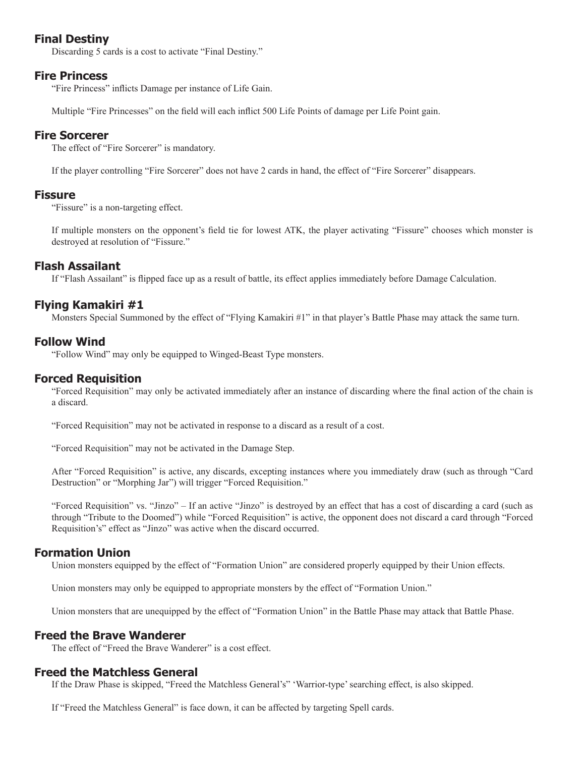# **Final Destiny**

Discarding 5 cards is a cost to activate "Final Destiny."

# **Fire Princess**

"Fire Princess" inflicts Damage per instance of Life Gain.

Multiple "Fire Princesses" on the field will each inflict 500 Life Points of damage per Life Point gain.

# **Fire Sorcerer**

The effect of "Fire Sorcerer" is mandatory.

If the player controlling "Fire Sorcerer" does not have 2 cards in hand, the effect of "Fire Sorcerer" disappears.

### **Fissure**

"Fissure" is a non-targeting effect.

If multiple monsters on the opponent's field tie for lowest ATK, the player activating "Fissure" chooses which monster is destroyed at resolution of "Fissure."

# **Flash Assailant**

If "Flash Assailant" is flipped face up as a result of battle, its effect applies immediately before Damage Calculation.

# **Flying Kamakiri #1**

Monsters Special Summoned by the effect of "Flying Kamakiri #1" in that player's Battle Phase may attack the same turn.

# **Follow Wind**

"Follow Wind" may only be equipped to Winged-Beast Type monsters.

# **Forced Requisition**

"Forced Requisition" may only be activated immediately after an instance of discarding where the final action of the chain is a discard.

"Forced Requisition" may not be activated in response to a discard as a result of a cost.

"Forced Requisition" may not be activated in the Damage Step.

After "Forced Requisition" is active, any discards, excepting instances where you immediately draw (such as through "Card Destruction" or "Morphing Jar") will trigger "Forced Requisition."

"Forced Requisition" vs. "Jinzo" – If an active "Jinzo" is destroyed by an effect that has a cost of discarding a card (such as through "Tribute to the Doomed") while "Forced Requisition" is active, the opponent does not discard a card through "Forced Requisition's" effect as "Jinzo" was active when the discard occurred.

# **Formation Union**

Union monsters equipped by the effect of "Formation Union" are considered properly equipped by their Union effects.

Union monsters may only be equipped to appropriate monsters by the effect of "Formation Union."

Union monsters that are unequipped by the effect of "Formation Union" in the Battle Phase may attack that Battle Phase.

# **Freed the Brave Wanderer**

The effect of "Freed the Brave Wanderer" is a cost effect.

# **Freed the Matchless General**

If the Draw Phase is skipped, "Freed the Matchless General's" 'Warrior-type' searching effect, is also skipped.

If "Freed the Matchless General" is face down, it can be affected by targeting Spell cards.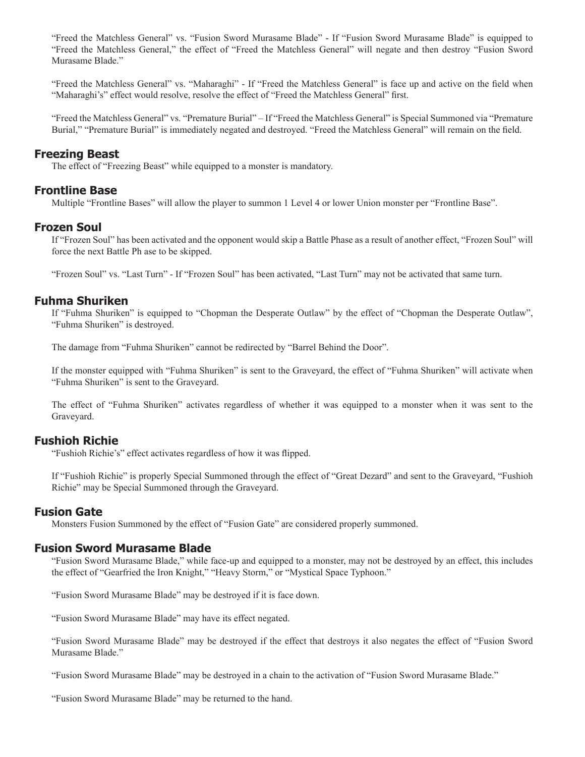"Freed the Matchless General" vs. "Fusion Sword Murasame Blade" - If "Fusion Sword Murasame Blade" is equipped to "Freed the Matchless General," the effect of "Freed the Matchless General" will negate and then destroy "Fusion Sword Murasame Blade."

"Freed the Matchless General" vs. "Maharaghi" - If "Freed the Matchless General" is face up and active on the field when "Maharaghi's" effect would resolve, resolve the effect of "Freed the Matchless General" first.

"Freed the Matchless General" vs. "Premature Burial" – If "Freed the Matchless General" is Special Summoned via "Premature Burial," "Premature Burial" is immediately negated and destroyed. "Freed the Matchless General" will remain on the field.

# **Freezing Beast**

The effect of "Freezing Beast" while equipped to a monster is mandatory.

### **Frontline Base**

Multiple "Frontline Bases" will allow the player to summon 1 Level 4 or lower Union monster per "Frontline Base".

# **Frozen Soul**

If "Frozen Soul" has been activated and the opponent would skip a Battle Phase as a result of another effect, "Frozen Soul" will force the next Battle Ph ase to be skipped.

"Frozen Soul" vs. "Last Turn" - If "Frozen Soul" has been activated, "Last Turn" may not be activated that same turn.

### **Fuhma Shuriken**

If "Fuhma Shuriken" is equipped to "Chopman the Desperate Outlaw" by the effect of "Chopman the Desperate Outlaw", "Fuhma Shuriken" is destroyed.

The damage from "Fuhma Shuriken" cannot be redirected by "Barrel Behind the Door".

If the monster equipped with "Fuhma Shuriken" is sent to the Graveyard, the effect of "Fuhma Shuriken" will activate when "Fuhma Shuriken" is sent to the Graveyard.

The effect of "Fuhma Shuriken" activates regardless of whether it was equipped to a monster when it was sent to the Graveyard.

### **Fushioh Richie**

"Fushioh Richie's" effect activates regardless of how it was flipped.

If "Fushioh Richie" is properly Special Summoned through the effect of "Great Dezard" and sent to the Graveyard, "Fushioh Richie" may be Special Summoned through the Graveyard.

### **Fusion Gate**

Monsters Fusion Summoned by the effect of "Fusion Gate" are considered properly summoned.

### **Fusion Sword Murasame Blade**

"Fusion Sword Murasame Blade," while face-up and equipped to a monster, may not be destroyed by an effect, this includes the effect of "Gearfried the Iron Knight," "Heavy Storm," or "Mystical Space Typhoon."

"Fusion Sword Murasame Blade" may be destroyed if it is face down.

"Fusion Sword Murasame Blade" may have its effect negated.

"Fusion Sword Murasame Blade" may be destroyed if the effect that destroys it also negates the effect of "Fusion Sword Murasame Blade."

"Fusion Sword Murasame Blade" may be destroyed in a chain to the activation of "Fusion Sword Murasame Blade."

"Fusion Sword Murasame Blade" may be returned to the hand.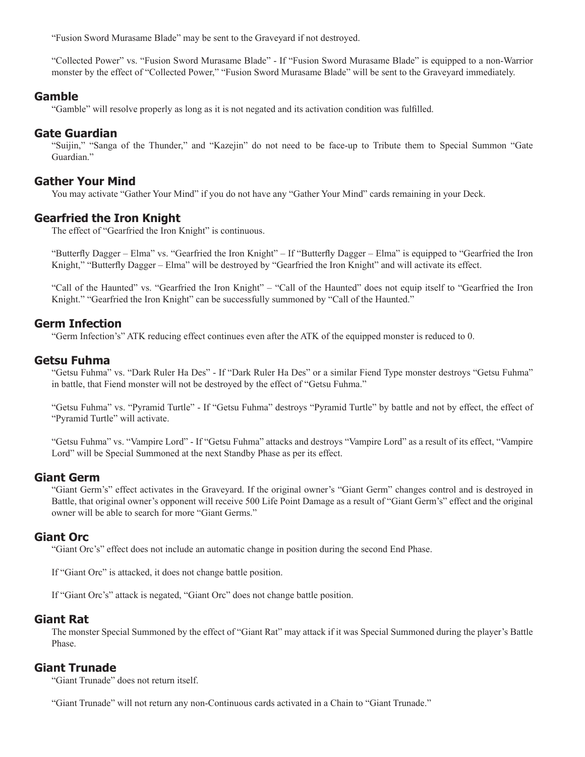"Fusion Sword Murasame Blade" may be sent to the Graveyard if not destroyed.

"Collected Power" vs. "Fusion Sword Murasame Blade" - If "Fusion Sword Murasame Blade" is equipped to a non-Warrior monster by the effect of "Collected Power," "Fusion Sword Murasame Blade" will be sent to the Graveyard immediately.

#### **Gamble**

"Gamble" will resolve properly as long as it is not negated and its activation condition was fulfilled.

### **Gate Guardian**

"Suijin," "Sanga of the Thunder," and "Kazejin" do not need to be face-up to Tribute them to Special Summon "Gate Guardian."

### **Gather Your Mind**

You may activate "Gather Your Mind" if you do not have any "Gather Your Mind" cards remaining in your Deck.

### **Gearfried the Iron Knight**

The effect of "Gearfried the Iron Knight" is continuous.

"Butterfly Dagger – Elma" vs. "Gearfried the Iron Knight" – If "Butterfly Dagger – Elma" is equipped to "Gearfried the Iron Knight," "Butterfly Dagger – Elma" will be destroyed by "Gearfried the Iron Knight" and will activate its effect.

"Call of the Haunted" vs. "Gearfried the Iron Knight" – "Call of the Haunted" does not equip itself to "Gearfried the Iron Knight." "Gearfried the Iron Knight" can be successfully summoned by "Call of the Haunted."

### **Germ Infection**

"Germ Infection's" ATK reducing effect continues even after the ATK of the equipped monster is reduced to 0.

### **Getsu Fuhma**

"Getsu Fuhma" vs. "Dark Ruler Ha Des" - If "Dark Ruler Ha Des" or a similar Fiend Type monster destroys "Getsu Fuhma" in battle, that Fiend monster will not be destroyed by the effect of "Getsu Fuhma."

"Getsu Fuhma" vs. "Pyramid Turtle" - If "Getsu Fuhma" destroys "Pyramid Turtle" by battle and not by effect, the effect of "Pyramid Turtle" will activate.

"Getsu Fuhma" vs. "Vampire Lord" - If "Getsu Fuhma" attacks and destroys "Vampire Lord" as a result of its effect, "Vampire Lord" will be Special Summoned at the next Standby Phase as per its effect.

### **Giant Germ**

"Giant Germ's" effect activates in the Graveyard. If the original owner's "Giant Germ" changes control and is destroyed in Battle, that original owner's opponent will receive 500 Life Point Damage as a result of "Giant Germ's" effect and the original owner will be able to search for more "Giant Germs."

### **Giant Orc**

"Giant Orc's" effect does not include an automatic change in position during the second End Phase.

If "Giant Orc" is attacked, it does not change battle position.

If "Giant Orc's" attack is negated, "Giant Orc" does not change battle position.

### **Giant Rat**

The monster Special Summoned by the effect of "Giant Rat" may attack if it was Special Summoned during the player's Battle Phase.

# **Giant Trunade**

"Giant Trunade" does not return itself.

"Giant Trunade" will not return any non-Continuous cards activated in a Chain to "Giant Trunade."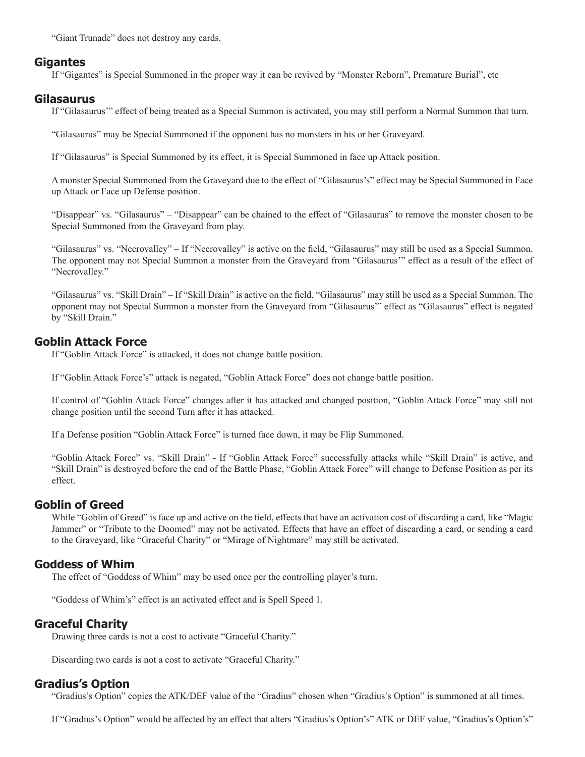"Giant Trunade" does not destroy any cards.

### **Gigantes**

If "Gigantes" is Special Summoned in the proper way it can be revived by "Monster Reborn", Premature Burial", etc

### **Gilasaurus**

If "Gilasaurus'" effect of being treated as a Special Summon is activated, you may still perform a Normal Summon that turn.

"Gilasaurus" may be Special Summoned if the opponent has no monsters in his or her Graveyard.

If "Gilasaurus" is Special Summoned by its effect, it is Special Summoned in face up Attack position.

A monster Special Summoned from the Graveyard due to the effect of "Gilasaurus's" effect may be Special Summoned in Face up Attack or Face up Defense position.

"Disappear" vs. "Gilasaurus" – "Disappear" can be chained to the effect of "Gilasaurus" to remove the monster chosen to be Special Summoned from the Graveyard from play.

"Gilasaurus" vs. "Necrovalley" – If "Necrovalley" is active on the field, "Gilasaurus" may still be used as a Special Summon. The opponent may not Special Summon a monster from the Graveyard from "Gilasaurus'" effect as a result of the effect of "Necrovalley."

"Gilasaurus" vs. "Skill Drain" – If "Skill Drain" is active on the field, "Gilasaurus" may still be used as a Special Summon. The opponent may not Special Summon a monster from the Graveyard from "Gilasaurus'" effect as "Gilasaurus" effect is negated by "Skill Drain."

# **Goblin Attack Force**

If "Goblin Attack Force" is attacked, it does not change battle position.

If "Goblin Attack Force's" attack is negated, "Goblin Attack Force" does not change battle position.

If control of "Goblin Attack Force" changes after it has attacked and changed position, "Goblin Attack Force" may still not change position until the second Turn after it has attacked.

If a Defense position "Goblin Attack Force" is turned face down, it may be Flip Summoned.

"Goblin Attack Force" vs. "Skill Drain" - If "Goblin Attack Force" successfully attacks while "Skill Drain" is active, and "Skill Drain" is destroyed before the end of the Battle Phase, "Goblin Attack Force" will change to Defense Position as per its effect.

# **Goblin of Greed**

While "Goblin of Greed" is face up and active on the field, effects that have an activation cost of discarding a card, like "Magic Jammer" or "Tribute to the Doomed" may not be activated. Effects that have an effect of discarding a card, or sending a card to the Graveyard, like "Graceful Charity" or "Mirage of Nightmare" may still be activated.

# **Goddess of Whim**

The effect of "Goddess of Whim" may be used once per the controlling player's turn.

"Goddess of Whim's" effect is an activated effect and is Spell Speed 1.

# **Graceful Charity**

Drawing three cards is not a cost to activate "Graceful Charity."

Discarding two cards is not a cost to activate "Graceful Charity."

# **Gradius's Option**

"Gradius's Option" copies the ATK/DEF value of the "Gradius" chosen when "Gradius's Option" is summoned at all times.

If "Gradius's Option" would be affected by an effect that alters "Gradius's Option's" ATK or DEF value, "Gradius's Option's"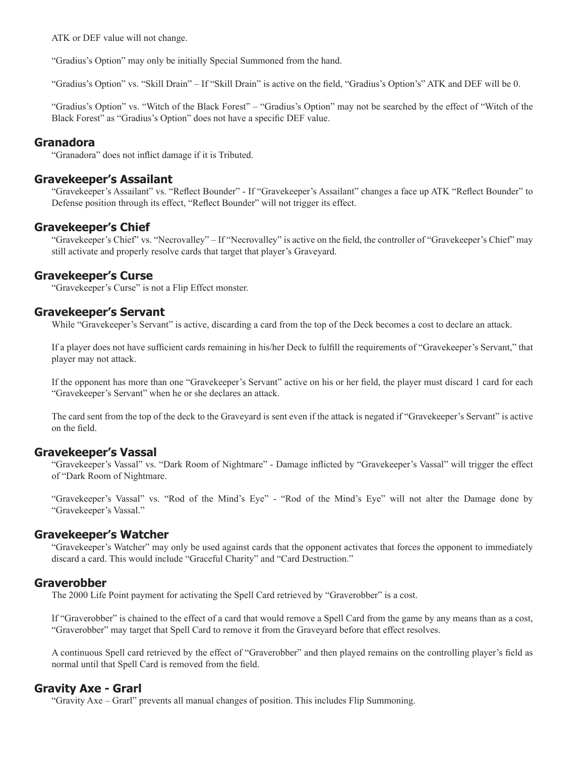ATK or DEF value will not change.

"Gradius's Option" may only be initially Special Summoned from the hand.

"Gradius's Option" vs. "Skill Drain" – If "Skill Drain" is active on the field, "Gradius's Option's" ATK and DEF will be 0.

"Gradius's Option" vs. "Witch of the Black Forest" – "Gradius's Option" may not be searched by the effect of "Witch of the Black Forest" as "Gradius's Option" does not have a specific DEF value.

#### **Granadora**

"Granadora" does not inflict damage if it is Tributed.

### **Gravekeeper's Assailant**

"Gravekeeper's Assailant" vs. "Reflect Bounder" - If "Gravekeeper's Assailant" changes a face up ATK "Reflect Bounder" to Defense position through its effect, "Reflect Bounder" will not trigger its effect.

### **Gravekeeper's Chief**

"Gravekeeper's Chief" vs. "Necrovalley" – If "Necrovalley" is active on the field, the controller of "Gravekeeper's Chief" may still activate and properly resolve cards that target that player's Graveyard.

### **Gravekeeper's Curse**

"Gravekeeper's Curse" is not a Flip Effect monster.

### **Gravekeeper's Servant**

While "Gravekeeper's Servant" is active, discarding a card from the top of the Deck becomes a cost to declare an attack.

If a player does not have sufficient cards remaining in his/her Deck to fulfill the requirements of "Gravekeeper's Servant," that player may not attack.

If the opponent has more than one "Gravekeeper's Servant" active on his or her field, the player must discard 1 card for each "Gravekeeper's Servant" when he or she declares an attack.

The card sent from the top of the deck to the Graveyard is sent even if the attack is negated if "Gravekeeper's Servant" is active on the field.

### **Gravekeeper's Vassal**

"Gravekeeper's Vassal" vs. "Dark Room of Nightmare" - Damage inflicted by "Gravekeeper's Vassal" will trigger the effect of "Dark Room of Nightmare.

"Gravekeeper's Vassal" vs. "Rod of the Mind's Eye" - "Rod of the Mind's Eye" will not alter the Damage done by "Gravekeeper's Vassal."

### **Gravekeeper's Watcher**

"Gravekeeper's Watcher" may only be used against cards that the opponent activates that forces the opponent to immediately discard a card. This would include "Graceful Charity" and "Card Destruction."

### **Graverobber**

The 2000 Life Point payment for activating the Spell Card retrieved by "Graverobber" is a cost.

If "Graverobber" is chained to the effect of a card that would remove a Spell Card from the game by any means than as a cost, "Graverobber" may target that Spell Card to remove it from the Graveyard before that effect resolves.

A continuous Spell card retrieved by the effect of "Graverobber" and then played remains on the controlling player's field as normal until that Spell Card is removed from the field.

# **Gravity Axe - Grarl**

"Gravity Axe – Grarl" prevents all manual changes of position. This includes Flip Summoning.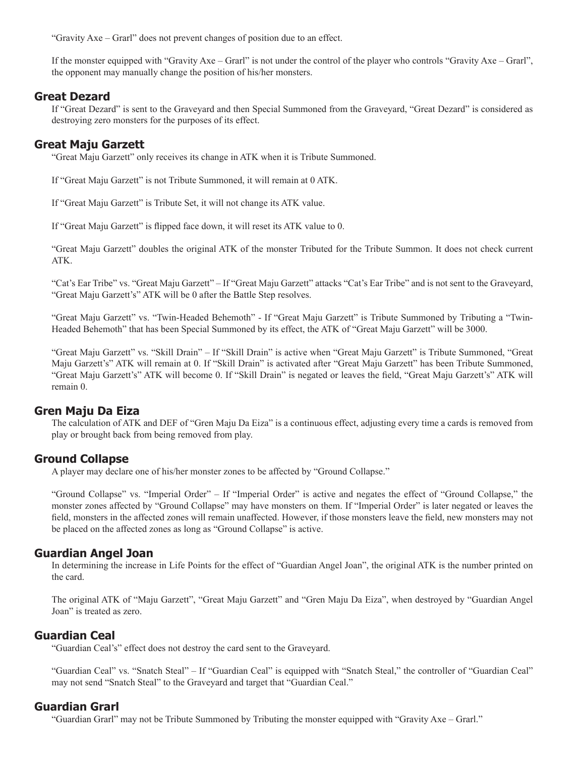"Gravity Axe – Grarl" does not prevent changes of position due to an effect.

If the monster equipped with "Gravity Axe – Grarl" is not under the control of the player who controls "Gravity Axe – Grarl", the opponent may manually change the position of his/her monsters.

### **Great Dezard**

If "Great Dezard" is sent to the Graveyard and then Special Summoned from the Graveyard, "Great Dezard" is considered as destroying zero monsters for the purposes of its effect.

### **Great Maju Garzett**

"Great Maju Garzett" only receives its change in ATK when it is Tribute Summoned.

If "Great Maju Garzett" is not Tribute Summoned, it will remain at 0 ATK.

If "Great Maju Garzett" is Tribute Set, it will not change its ATK value.

If "Great Maju Garzett" is flipped face down, it will reset its ATK value to 0.

"Great Maju Garzett" doubles the original ATK of the monster Tributed for the Tribute Summon. It does not check current ATK.

"Cat's Ear Tribe" vs. "Great Maju Garzett" – If "Great Maju Garzett" attacks "Cat's Ear Tribe" and is not sent to the Graveyard, "Great Maju Garzett's" ATK will be 0 after the Battle Step resolves.

"Great Maju Garzett" vs. "Twin-Headed Behemoth" - If "Great Maju Garzett" is Tribute Summoned by Tributing a "Twin-Headed Behemoth" that has been Special Summoned by its effect, the ATK of "Great Maju Garzett" will be 3000.

"Great Maju Garzett" vs. "Skill Drain" – If "Skill Drain" is active when "Great Maju Garzett" is Tribute Summoned, "Great Maju Garzett's" ATK will remain at 0. If "Skill Drain" is activated after "Great Maju Garzett" has been Tribute Summoned, "Great Maju Garzett's" ATK will become 0. If "Skill Drain" is negated or leaves the field, "Great Maju Garzett's" ATK will remain 0.

# **Gren Maju Da Eiza**

The calculation of ATK and DEF of "Gren Maju Da Eiza" is a continuous effect, adjusting every time a cards is removed from play or brought back from being removed from play.

# **Ground Collapse**

A player may declare one of his/her monster zones to be affected by "Ground Collapse."

"Ground Collapse" vs. "Imperial Order" – If "Imperial Order" is active and negates the effect of "Ground Collapse," the monster zones affected by "Ground Collapse" may have monsters on them. If "Imperial Order" is later negated or leaves the field, monsters in the affected zones will remain unaffected. However, if those monsters leave the field, new monsters may not be placed on the affected zones as long as "Ground Collapse" is active.

# **Guardian Angel Joan**

In determining the increase in Life Points for the effect of "Guardian Angel Joan", the original ATK is the number printed on the card.

The original ATK of "Maju Garzett", "Great Maju Garzett" and "Gren Maju Da Eiza", when destroyed by "Guardian Angel Joan" is treated as zero.

### **Guardian Ceal**

"Guardian Ceal's" effect does not destroy the card sent to the Graveyard.

"Guardian Ceal" vs. "Snatch Steal" – If "Guardian Ceal" is equipped with "Snatch Steal," the controller of "Guardian Ceal" may not send "Snatch Steal" to the Graveyard and target that "Guardian Ceal."

# **Guardian Grarl**

"Guardian Grarl" may not be Tribute Summoned by Tributing the monster equipped with "Gravity Axe – Grarl."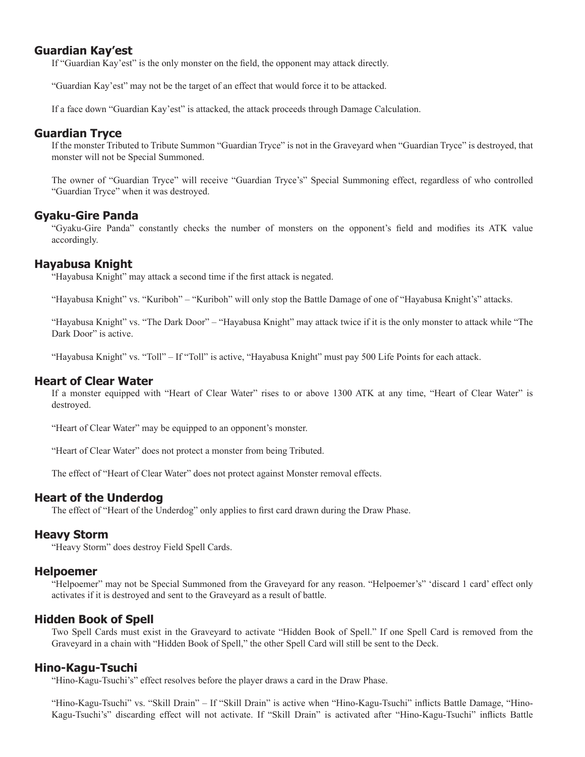### **Guardian Kay'est**

If "Guardian Kay'est" is the only monster on the field, the opponent may attack directly.

"Guardian Kay'est" may not be the target of an effect that would force it to be attacked.

If a face down "Guardian Kay'est" is attacked, the attack proceeds through Damage Calculation.

### **Guardian Tryce**

If the monster Tributed to Tribute Summon "Guardian Tryce" is not in the Graveyard when "Guardian Tryce" is destroyed, that monster will not be Special Summoned.

The owner of "Guardian Tryce" will receive "Guardian Tryce's" Special Summoning effect, regardless of who controlled "Guardian Tryce" when it was destroyed.

### **Gyaku-Gire Panda**

"Gyaku-Gire Panda" constantly checks the number of monsters on the opponent's field and modifies its ATK value accordingly.

#### **Hayabusa Knight**

"Hayabusa Knight" may attack a second time if the first attack is negated.

"Hayabusa Knight" vs. "Kuriboh" – "Kuriboh" will only stop the Battle Damage of one of "Hayabusa Knight's" attacks.

"Hayabusa Knight" vs. "The Dark Door" – "Hayabusa Knight" may attack twice if it is the only monster to attack while "The Dark Door" is active.

"Hayabusa Knight" vs. "Toll" – If "Toll" is active, "Hayabusa Knight" must pay 500 Life Points for each attack.

#### **Heart of Clear Water**

If a monster equipped with "Heart of Clear Water" rises to or above 1300 ATK at any time, "Heart of Clear Water" is destroyed.

"Heart of Clear Water" may be equipped to an opponent's monster.

"Heart of Clear Water" does not protect a monster from being Tributed.

The effect of "Heart of Clear Water" does not protect against Monster removal effects.

#### **Heart of the Underdog**

The effect of "Heart of the Underdog" only applies to first card drawn during the Draw Phase.

#### **Heavy Storm**

"Heavy Storm" does destroy Field Spell Cards.

#### **Helpoemer**

"Helpoemer" may not be Special Summoned from the Graveyard for any reason. "Helpoemer's" 'discard 1 card' effect only activates if it is destroyed and sent to the Graveyard as a result of battle.

#### **Hidden Book of Spell**

Two Spell Cards must exist in the Graveyard to activate "Hidden Book of Spell." If one Spell Card is removed from the Graveyard in a chain with "Hidden Book of Spell," the other Spell Card will still be sent to the Deck.

#### **Hino-Kagu-Tsuchi**

"Hino-Kagu-Tsuchi's" effect resolves before the player draws a card in the Draw Phase.

"Hino-Kagu-Tsuchi" vs. "Skill Drain" – If "Skill Drain" is active when "Hino-Kagu-Tsuchi" inflicts Battle Damage, "Hino-Kagu-Tsuchi's" discarding effect will not activate. If "Skill Drain" is activated after "Hino-Kagu-Tsuchi" inflicts Battle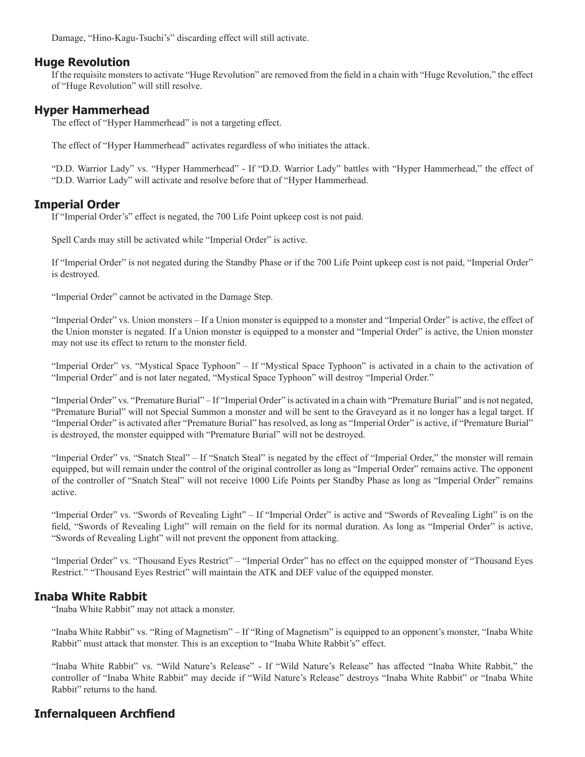Damage, "Hino-Kagu-Tsuchi's" discarding effect will still activate.

### **Huge Revolution**

If the requisite monsters to activate "Huge Revolution" are removed from the field in a chain with "Huge Revolution," the effect of "Huge Revolution" will still resolve.

### **Hyper Hammerhead**

The effect of "Hyper Hammerhead" is not a targeting effect.

The effect of "Hyper Hammerhead" activates regardless of who initiates the attack.

"D.D. Warrior Lady" vs. "Hyper Hammerhead" - If "D.D. Warrior Lady" battles with "Hyper Hammerhead," the effect of "D.D. Warrior Lady" will activate and resolve before that of "Hyper Hammerhead.

# **Imperial Order**

If "Imperial Order's" effect is negated, the 700 Life Point upkeep cost is not paid.

Spell Cards may still be activated while "Imperial Order" is active.

If "Imperial Order" is not negated during the Standby Phase or if the 700 Life Point upkeep cost is not paid, "Imperial Order" is destroyed.

"Imperial Order" cannot be activated in the Damage Step.

"Imperial Order" vs. Union monsters – If a Union monster is equipped to a monster and "Imperial Order" is active, the effect of the Union monster is negated. If a Union monster is equipped to a monster and "Imperial Order" is active, the Union monster may not use its effect to return to the monster field.

"Imperial Order" vs. "Mystical Space Typhoon" – If "Mystical Space Typhoon" is activated in a chain to the activation of "Imperial Order" and is not later negated, "Mystical Space Typhoon" will destroy "Imperial Order."

"Imperial Order" vs. "Premature Burial" – If "Imperial Order" is activated in a chain with "Premature Burial" and is not negated, "Premature Burial" will not Special Summon a monster and will be sent to the Graveyard as it no longer has a legal target. If "Imperial Order" is activated after "Premature Burial" has resolved, as long as "Imperial Order" is active, if "Premature Burial" is destroyed, the monster equipped with "Premature Burial" will not be destroyed.

"Imperial Order" vs. "Snatch Steal" – If "Snatch Steal" is negated by the effect of "Imperial Order," the monster will remain equipped, but will remain under the control of the original controller as long as "Imperial Order" remains active. The opponent of the controller of "Snatch Steal" will not receive 1000 Life Points per Standby Phase as long as "Imperial Order" remains active.

"Imperial Order" vs. "Swords of Revealing Light" – If "Imperial Order" is active and "Swords of Revealing Light" is on the field, "Swords of Revealing Light" will remain on the field for its normal duration. As long as "Imperial Order" is active, "Swords of Revealing Light" will not prevent the opponent from attacking.

"Imperial Order" vs. "Thousand Eyes Restrict" – "Imperial Order" has no effect on the equipped monster of "Thousand Eyes Restrict." "Thousand Eyes Restrict" will maintain the ATK and DEF value of the equipped monster.

### **Inaba White Rabbit**

"Inaba White Rabbit" may not attack a monster.

"Inaba White Rabbit" vs. "Ring of Magnetism" – If "Ring of Magnetism" is equipped to an opponent's monster, "Inaba White Rabbit" must attack that monster. This is an exception to "Inaba White Rabbit's" effect.

"Inaba White Rabbit" vs. "Wild Nature's Release" - If "Wild Nature's Release" has affected "Inaba White Rabbit," the controller of "Inaba White Rabbit" may decide if "Wild Nature's Release" destroys "Inaba White Rabbit" or "Inaba White Rabbit" returns to the hand.

# **Infernalqueen Archfiend**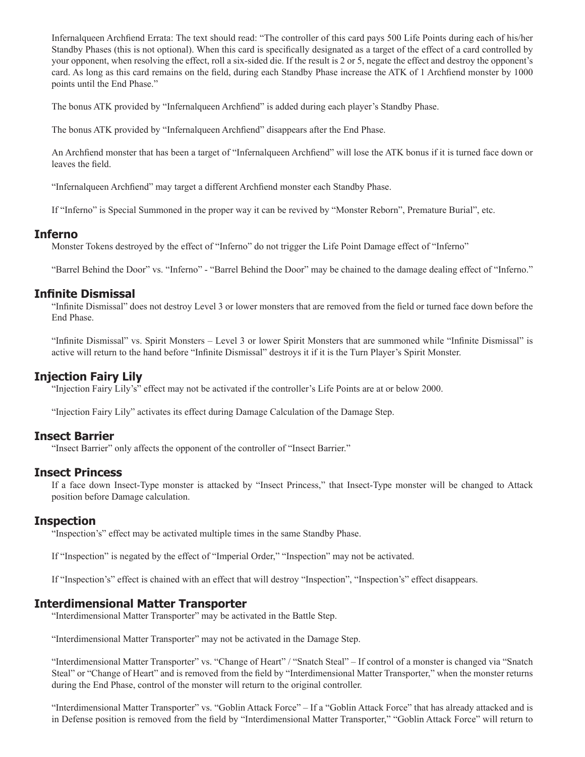Infernalqueen Archfiend Errata: The text should read: "The controller of this card pays 500 Life Points during each of his/her Standby Phases (this is not optional). When this card is specifically designated as a target of the effect of a card controlled by your opponent, when resolving the effect, roll a six-sided die. If the result is 2 or 5, negate the effect and destroy the opponent's card. As long as this card remains on the field, during each Standby Phase increase the ATK of 1 Archfiend monster by 1000 points until the End Phase."

The bonus ATK provided by "Infernalqueen Archfiend" is added during each player's Standby Phase.

The bonus ATK provided by "Infernalqueen Archfiend" disappears after the End Phase.

An Archfiend monster that has been a target of "Infernalqueen Archfiend" will lose the ATK bonus if it is turned face down or leaves the field.

"Infernalqueen Archfiend" may target a different Archfiend monster each Standby Phase.

If "Inferno" is Special Summoned in the proper way it can be revived by "Monster Reborn", Premature Burial", etc.

#### **Inferno**

Monster Tokens destroyed by the effect of "Inferno" do not trigger the Life Point Damage effect of "Inferno"

"Barrel Behind the Door" vs. "Inferno" - "Barrel Behind the Door" may be chained to the damage dealing effect of "Inferno."

### **Infinite Dismissal**

"Infinite Dismissal" does not destroy Level 3 or lower monsters that are removed from the field or turned face down before the End Phase.

"Infinite Dismissal" vs. Spirit Monsters – Level 3 or lower Spirit Monsters that are summoned while "Infinite Dismissal" is active will return to the hand before "Infinite Dismissal" destroys it if it is the Turn Player's Spirit Monster.

### **Injection Fairy Lily**

"Injection Fairy Lily's" effect may not be activated if the controller's Life Points are at or below 2000.

"Injection Fairy Lily" activates its effect during Damage Calculation of the Damage Step.

### **Insect Barrier**

"Insect Barrier" only affects the opponent of the controller of "Insect Barrier."

#### **Insect Princess**

If a face down Insect-Type monster is attacked by "Insect Princess," that Insect-Type monster will be changed to Attack position before Damage calculation.

#### **Inspection**

"Inspection's" effect may be activated multiple times in the same Standby Phase.

If "Inspection" is negated by the effect of "Imperial Order," "Inspection" may not be activated.

If "Inspection's" effect is chained with an effect that will destroy "Inspection", "Inspection's" effect disappears.

### **Interdimensional Matter Transporter**

"Interdimensional Matter Transporter" may be activated in the Battle Step.

"Interdimensional Matter Transporter" may not be activated in the Damage Step.

"Interdimensional Matter Transporter" vs. "Change of Heart" / "Snatch Steal" – If control of a monster is changed via "Snatch Steal" or "Change of Heart" and is removed from the field by "Interdimensional Matter Transporter," when the monster returns during the End Phase, control of the monster will return to the original controller.

"Interdimensional Matter Transporter" vs. "Goblin Attack Force" – If a "Goblin Attack Force" that has already attacked and is in Defense position is removed from the field by "Interdimensional Matter Transporter," "Goblin Attack Force" will return to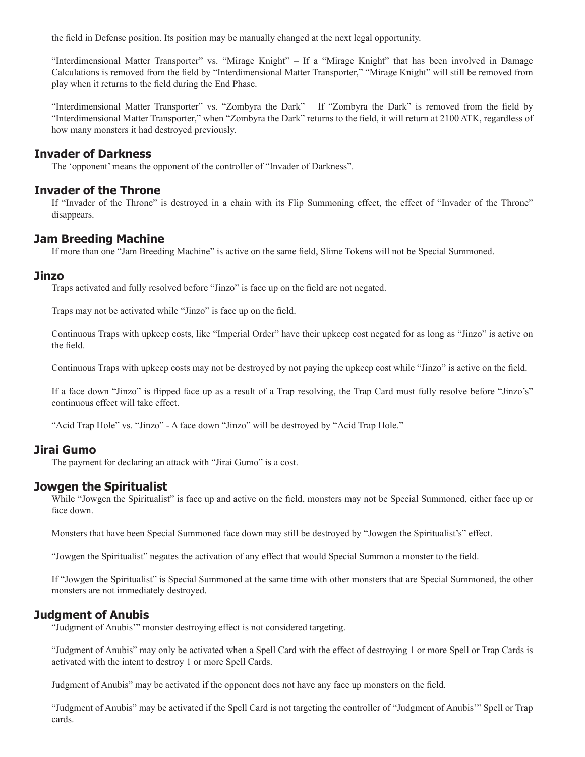the field in Defense position. Its position may be manually changed at the next legal opportunity.

"Interdimensional Matter Transporter" vs. "Mirage Knight" – If a "Mirage Knight" that has been involved in Damage Calculations is removed from the field by "Interdimensional Matter Transporter," "Mirage Knight" will still be removed from play when it returns to the field during the End Phase.

"Interdimensional Matter Transporter" vs. "Zombyra the Dark" – If "Zombyra the Dark" is removed from the field by "Interdimensional Matter Transporter," when "Zombyra the Dark" returns to the field, it will return at 2100 ATK, regardless of how many monsters it had destroyed previously.

### **Invader of Darkness**

The 'opponent' means the opponent of the controller of "Invader of Darkness".

### **Invader of the Throne**

If "Invader of the Throne" is destroyed in a chain with its Flip Summoning effect, the effect of "Invader of the Throne" disappears.

### **Jam Breeding Machine**

If more than one "Jam Breeding Machine" is active on the same field, Slime Tokens will not be Special Summoned.

### **Jinzo**

Traps activated and fully resolved before "Jinzo" is face up on the field are not negated.

Traps may not be activated while "Jinzo" is face up on the field.

Continuous Traps with upkeep costs, like "Imperial Order" have their upkeep cost negated for as long as "Jinzo" is active on the field.

Continuous Traps with upkeep costs may not be destroyed by not paying the upkeep cost while "Jinzo" is active on the field.

If a face down "Jinzo" is flipped face up as a result of a Trap resolving, the Trap Card must fully resolve before "Jinzo's" continuous effect will take effect.

"Acid Trap Hole" vs. "Jinzo" - A face down "Jinzo" will be destroyed by "Acid Trap Hole."

# **Jirai Gumo**

The payment for declaring an attack with "Jirai Gumo" is a cost.

### **Jowgen the Spiritualist**

While "Jowgen the Spiritualist" is face up and active on the field, monsters may not be Special Summoned, either face up or face down.

Monsters that have been Special Summoned face down may still be destroyed by "Jowgen the Spiritualist's" effect.

"Jowgen the Spiritualist" negates the activation of any effect that would Special Summon a monster to the field.

If "Jowgen the Spiritualist" is Special Summoned at the same time with other monsters that are Special Summoned, the other monsters are not immediately destroyed.

# **Judgment of Anubis**

"Judgment of Anubis'" monster destroying effect is not considered targeting.

"Judgment of Anubis" may only be activated when a Spell Card with the effect of destroying 1 or more Spell or Trap Cards is activated with the intent to destroy 1 or more Spell Cards.

Judgment of Anubis" may be activated if the opponent does not have any face up monsters on the field.

"Judgment of Anubis" may be activated if the Spell Card is not targeting the controller of "Judgment of Anubis'" Spell or Trap cards.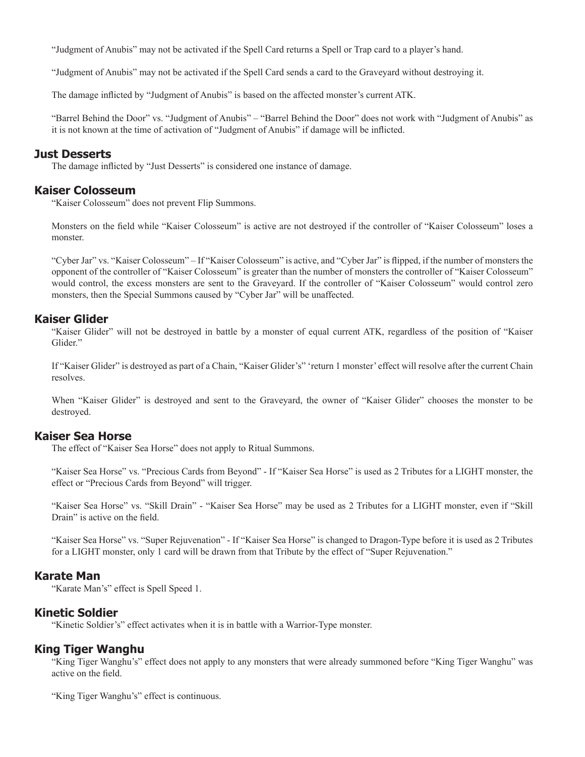"Judgment of Anubis" may not be activated if the Spell Card returns a Spell or Trap card to a player's hand.

"Judgment of Anubis" may not be activated if the Spell Card sends a card to the Graveyard without destroying it.

The damage inflicted by "Judgment of Anubis" is based on the affected monster's current ATK.

"Barrel Behind the Door" vs. "Judgment of Anubis" – "Barrel Behind the Door" does not work with "Judgment of Anubis" as it is not known at the time of activation of "Judgment of Anubis" if damage will be inflicted.

#### **Just Desserts**

The damage inflicted by "Just Desserts" is considered one instance of damage.

### **Kaiser Colosseum**

"Kaiser Colosseum" does not prevent Flip Summons.

Monsters on the field while "Kaiser Colosseum" is active are not destroyed if the controller of "Kaiser Colosseum" loses a monster.

"Cyber Jar" vs. "Kaiser Colosseum" – If "Kaiser Colosseum" is active, and "Cyber Jar" is flipped, if the number of monsters the opponent of the controller of "Kaiser Colosseum" is greater than the number of monsters the controller of "Kaiser Colosseum" would control, the excess monsters are sent to the Graveyard. If the controller of "Kaiser Colosseum" would control zero monsters, then the Special Summons caused by "Cyber Jar" will be unaffected.

### **Kaiser Glider**

"Kaiser Glider" will not be destroyed in battle by a monster of equal current ATK, regardless of the position of "Kaiser Glider."

If "Kaiser Glider" is destroyed as part of a Chain, "Kaiser Glider's" 'return 1 monster' effect will resolve after the current Chain resolves.

When "Kaiser Glider" is destroyed and sent to the Graveyard, the owner of "Kaiser Glider" chooses the monster to be destroyed.

### **Kaiser Sea Horse**

The effect of "Kaiser Sea Horse" does not apply to Ritual Summons.

"Kaiser Sea Horse" vs. "Precious Cards from Beyond" - If "Kaiser Sea Horse" is used as 2 Tributes for a LIGHT monster, the effect or "Precious Cards from Beyond" will trigger.

"Kaiser Sea Horse" vs. "Skill Drain" - "Kaiser Sea Horse" may be used as 2 Tributes for a LIGHT monster, even if "Skill Drain" is active on the field.

"Kaiser Sea Horse" vs. "Super Rejuvenation" - If "Kaiser Sea Horse" is changed to Dragon-Type before it is used as 2 Tributes for a LIGHT monster, only 1 card will be drawn from that Tribute by the effect of "Super Rejuvenation."

#### **Karate Man**

"Karate Man's" effect is Spell Speed 1.

#### **Kinetic Soldier**

"Kinetic Soldier's" effect activates when it is in battle with a Warrior-Type monster.

#### **King Tiger Wanghu**

"King Tiger Wanghu's" effect does not apply to any monsters that were already summoned before "King Tiger Wanghu" was active on the field.

"King Tiger Wanghu's" effect is continuous.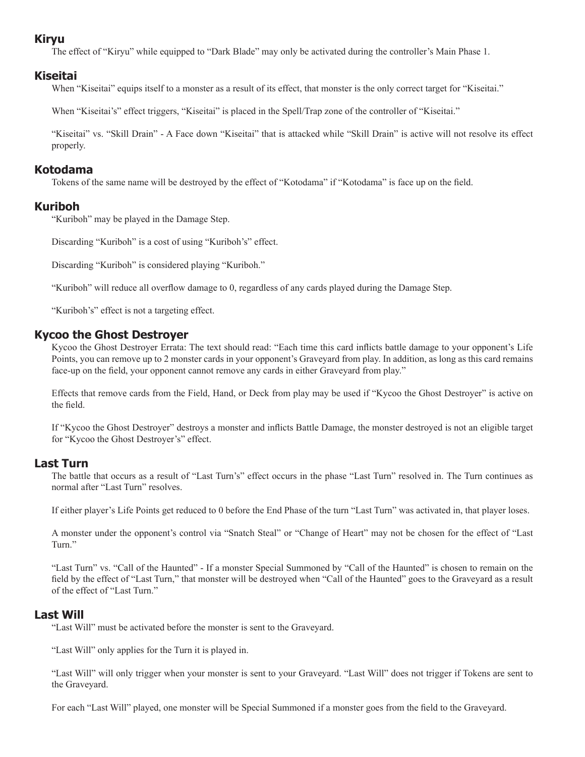# **Kiryu**

The effect of "Kiryu" while equipped to "Dark Blade" may only be activated during the controller's Main Phase 1.

# **Kiseitai**

When "Kiseitai" equips itself to a monster as a result of its effect, that monster is the only correct target for "Kiseitai."

When "Kiseitai's" effect triggers, "Kiseitai" is placed in the Spell/Trap zone of the controller of "Kiseitai."

"Kiseitai" vs. "Skill Drain" - A Face down "Kiseitai" that is attacked while "Skill Drain" is active will not resolve its effect properly.

# **Kotodama**

Tokens of the same name will be destroyed by the effect of "Kotodama" if "Kotodama" is face up on the field.

# **Kuriboh**

"Kuriboh" may be played in the Damage Step.

Discarding "Kuriboh" is a cost of using "Kuriboh's" effect.

Discarding "Kuriboh" is considered playing "Kuriboh."

"Kuriboh" will reduce all overflow damage to 0, regardless of any cards played during the Damage Step.

"Kuriboh's" effect is not a targeting effect.

# **Kycoo the Ghost Destroyer**

Kycoo the Ghost Destroyer Errata: The text should read: "Each time this card inflicts battle damage to your opponent's Life Points, you can remove up to 2 monster cards in your opponent's Graveyard from play. In addition, as long as this card remains face-up on the field, your opponent cannot remove any cards in either Graveyard from play."

Effects that remove cards from the Field, Hand, or Deck from play may be used if "Kycoo the Ghost Destroyer" is active on the field.

If "Kycoo the Ghost Destroyer" destroys a monster and inflicts Battle Damage, the monster destroyed is not an eligible target for "Kycoo the Ghost Destroyer's" effect.

# **Last Turn**

The battle that occurs as a result of "Last Turn's" effect occurs in the phase "Last Turn" resolved in. The Turn continues as normal after "Last Turn" resolves.

If either player's Life Points get reduced to 0 before the End Phase of the turn "Last Turn" was activated in, that player loses.

A monster under the opponent's control via "Snatch Steal" or "Change of Heart" may not be chosen for the effect of "Last Turn."

"Last Turn" vs. "Call of the Haunted" - If a monster Special Summoned by "Call of the Haunted" is chosen to remain on the field by the effect of "Last Turn," that monster will be destroyed when "Call of the Haunted" goes to the Graveyard as a result of the effect of "Last Turn."

# **Last Will**

"Last Will" must be activated before the monster is sent to the Graveyard.

"Last Will" only applies for the Turn it is played in.

"Last Will" will only trigger when your monster is sent to your Graveyard. "Last Will" does not trigger if Tokens are sent to the Graveyard.

For each "Last Will" played, one monster will be Special Summoned if a monster goes from the field to the Graveyard.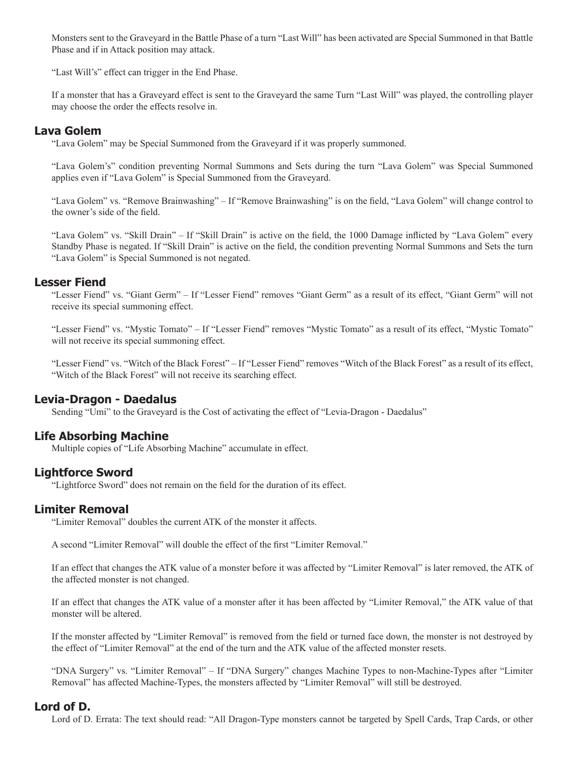Monsters sent to the Graveyard in the Battle Phase of a turn "Last Will" has been activated are Special Summoned in that Battle Phase and if in Attack position may attack.

"Last Will's" effect can trigger in the End Phase.

If a monster that has a Graveyard effect is sent to the Graveyard the same Turn "Last Will" was played, the controlling player may choose the order the effects resolve in.

### **Lava Golem**

"Lava Golem" may be Special Summoned from the Graveyard if it was properly summoned.

"Lava Golem's" condition preventing Normal Summons and Sets during the turn "Lava Golem" was Special Summoned applies even if "Lava Golem" is Special Summoned from the Graveyard.

"Lava Golem" vs. "Remove Brainwashing" – If "Remove Brainwashing" is on the field, "Lava Golem" will change control to the owner's side of the field.

"Lava Golem" vs. "Skill Drain" – If "Skill Drain" is active on the field, the 1000 Damage inflicted by "Lava Golem" every Standby Phase is negated. If "Skill Drain" is active on the field, the condition preventing Normal Summons and Sets the turn "Lava Golem" is Special Summoned is not negated.

### **Lesser Fiend**

"Lesser Fiend" vs. "Giant Germ" – If "Lesser Fiend" removes "Giant Germ" as a result of its effect, "Giant Germ" will not receive its special summoning effect.

"Lesser Fiend" vs. "Mystic Tomato" – If "Lesser Fiend" removes "Mystic Tomato" as a result of its effect, "Mystic Tomato" will not receive its special summoning effect.

"Lesser Fiend" vs. "Witch of the Black Forest" – If "Lesser Fiend" removes "Witch of the Black Forest" as a result of its effect, "Witch of the Black Forest" will not receive its searching effect.

### **Levia-Dragon - Daedalus**

Sending "Umi" to the Graveyard is the Cost of activating the effect of "Levia-Dragon - Daedalus"

# **Life Absorbing Machine**

Multiple copies of "Life Absorbing Machine" accumulate in effect.

### **Lightforce Sword**

"Lightforce Sword" does not remain on the field for the duration of its effect.

### **Limiter Removal**

"Limiter Removal" doubles the current ATK of the monster it affects.

A second "Limiter Removal" will double the effect of the first "Limiter Removal."

If an effect that changes the ATK value of a monster before it was affected by "Limiter Removal" is later removed, the ATK of the affected monster is not changed.

If an effect that changes the ATK value of a monster after it has been affected by "Limiter Removal," the ATK value of that monster will be altered.

If the monster affected by "Limiter Removal" is removed from the field or turned face down, the monster is not destroyed by the effect of "Limiter Removal" at the end of the turn and the ATK value of the affected monster resets.

"DNA Surgery" vs. "Limiter Removal" – If "DNA Surgery" changes Machine Types to non-Machine-Types after "Limiter Removal" has affected Machine-Types, the monsters affected by "Limiter Removal" will still be destroyed.

### **Lord of D.**

Lord of D. Errata: The text should read: "All Dragon-Type monsters cannot be targeted by Spell Cards, Trap Cards, or other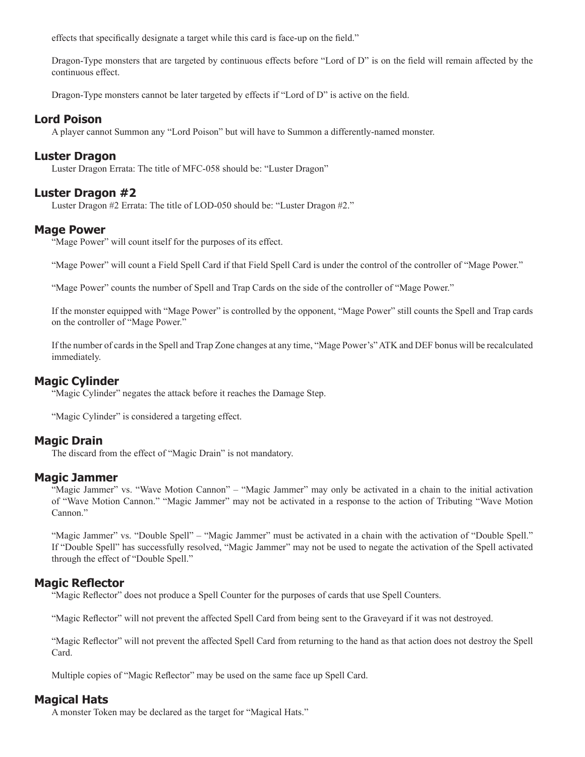effects that specifically designate a target while this card is face-up on the field."

Dragon-Type monsters that are targeted by continuous effects before "Lord of D" is on the field will remain affected by the continuous effect.

Dragon-Type monsters cannot be later targeted by effects if "Lord of D" is active on the field.

### **Lord Poison**

A player cannot Summon any "Lord Poison" but will have to Summon a differently-named monster.

### **Luster Dragon**

Luster Dragon Errata: The title of MFC-058 should be: "Luster Dragon"

### **Luster Dragon #2**

Luster Dragon #2 Errata: The title of LOD-050 should be: "Luster Dragon #2."

### **Mage Power**

"Mage Power" will count itself for the purposes of its effect.

"Mage Power" will count a Field Spell Card if that Field Spell Card is under the control of the controller of "Mage Power."

"Mage Power" counts the number of Spell and Trap Cards on the side of the controller of "Mage Power."

If the monster equipped with "Mage Power" is controlled by the opponent, "Mage Power" still counts the Spell and Trap cards on the controller of "Mage Power."

If the number of cards in the Spell and Trap Zone changes at any time, "Mage Power's" ATK and DEF bonus will be recalculated immediately.

### **Magic Cylinder**

"Magic Cylinder" negates the attack before it reaches the Damage Step.

"Magic Cylinder" is considered a targeting effect.

### **Magic Drain**

The discard from the effect of "Magic Drain" is not mandatory.

#### **Magic Jammer**

"Magic Jammer" vs. "Wave Motion Cannon" – "Magic Jammer" may only be activated in a chain to the initial activation of "Wave Motion Cannon." "Magic Jammer" may not be activated in a response to the action of Tributing "Wave Motion Cannon."

"Magic Jammer" vs. "Double Spell" – "Magic Jammer" must be activated in a chain with the activation of "Double Spell." If "Double Spell" has successfully resolved, "Magic Jammer" may not be used to negate the activation of the Spell activated through the effect of "Double Spell."

### **Magic Reflector**

"Magic Reflector" does not produce a Spell Counter for the purposes of cards that use Spell Counters.

"Magic Reflector" will not prevent the affected Spell Card from being sent to the Graveyard if it was not destroyed.

"Magic Reflector" will not prevent the affected Spell Card from returning to the hand as that action does not destroy the Spell Card.

Multiple copies of "Magic Reflector" may be used on the same face up Spell Card.

### **Magical Hats**

A monster Token may be declared as the target for "Magical Hats."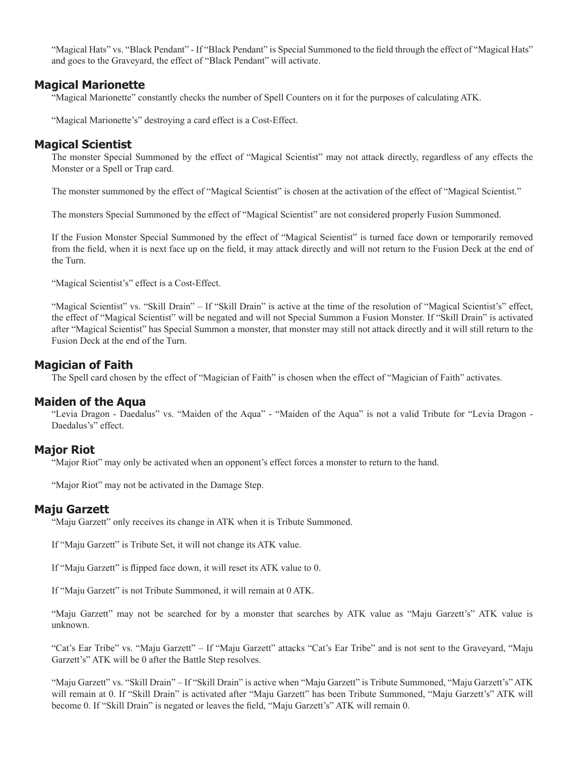"Magical Hats" vs. "Black Pendant" - If "Black Pendant" is Special Summoned to the field through the effect of "Magical Hats" and goes to the Graveyard, the effect of "Black Pendant" will activate.

### **Magical Marionette**

"Magical Marionette" constantly checks the number of Spell Counters on it for the purposes of calculating ATK.

"Magical Marionette's" destroying a card effect is a Cost-Effect.

### **Magical Scientist**

The monster Special Summoned by the effect of "Magical Scientist" may not attack directly, regardless of any effects the Monster or a Spell or Trap card.

The monster summoned by the effect of "Magical Scientist" is chosen at the activation of the effect of "Magical Scientist."

The monsters Special Summoned by the effect of "Magical Scientist" are not considered properly Fusion Summoned.

If the Fusion Monster Special Summoned by the effect of "Magical Scientist" is turned face down or temporarily removed from the field, when it is next face up on the field, it may attack directly and will not return to the Fusion Deck at the end of the Turn.

"Magical Scientist's" effect is a Cost-Effect.

"Magical Scientist" vs. "Skill Drain" – If "Skill Drain" is active at the time of the resolution of "Magical Scientist's" effect, the effect of "Magical Scientist" will be negated and will not Special Summon a Fusion Monster. If "Skill Drain" is activated after "Magical Scientist" has Special Summon a monster, that monster may still not attack directly and it will still return to the Fusion Deck at the end of the Turn.

### **Magician of Faith**

The Spell card chosen by the effect of "Magician of Faith" is chosen when the effect of "Magician of Faith" activates.

# **Maiden of the Aqua**

"Levia Dragon - Daedalus" vs. "Maiden of the Aqua" - "Maiden of the Aqua" is not a valid Tribute for "Levia Dragon - Daedalus's" effect.

# **Major Riot**

"Major Riot" may only be activated when an opponent's effect forces a monster to return to the hand.

"Major Riot" may not be activated in the Damage Step.

### **Maju Garzett**

"Maju Garzett" only receives its change in ATK when it is Tribute Summoned.

If "Maju Garzett" is Tribute Set, it will not change its ATK value.

If "Maju Garzett" is flipped face down, it will reset its ATK value to 0.

If "Maju Garzett" is not Tribute Summoned, it will remain at 0 ATK.

"Maju Garzett" may not be searched for by a monster that searches by ATK value as "Maju Garzett's" ATK value is unknown.

"Cat's Ear Tribe" vs. "Maju Garzett" – If "Maju Garzett" attacks "Cat's Ear Tribe" and is not sent to the Graveyard, "Maju Garzett's" ATK will be 0 after the Battle Step resolves.

"Maju Garzett" vs. "Skill Drain" – If "Skill Drain" is active when "Maju Garzett" is Tribute Summoned, "Maju Garzett's" ATK will remain at 0. If "Skill Drain" is activated after "Maju Garzett" has been Tribute Summoned, "Maju Garzett's" ATK will become 0. If "Skill Drain" is negated or leaves the field, "Maju Garzett's" ATK will remain 0.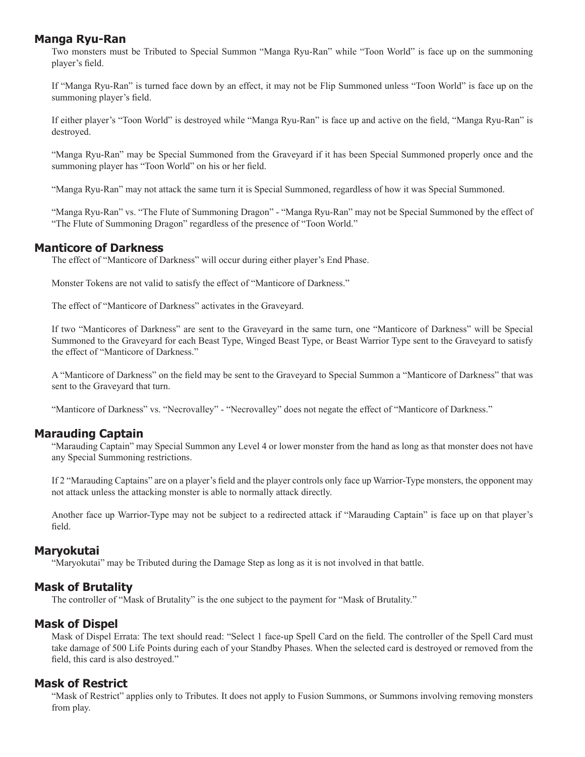# **Manga Ryu-Ran**

Two monsters must be Tributed to Special Summon "Manga Ryu-Ran" while "Toon World" is face up on the summoning player's field.

If "Manga Ryu-Ran" is turned face down by an effect, it may not be Flip Summoned unless "Toon World" is face up on the summoning player's field.

If either player's "Toon World" is destroyed while "Manga Ryu-Ran" is face up and active on the field, "Manga Ryu-Ran" is destroyed.

"Manga Ryu-Ran" may be Special Summoned from the Graveyard if it has been Special Summoned properly once and the summoning player has "Toon World" on his or her field.

"Manga Ryu-Ran" may not attack the same turn it is Special Summoned, regardless of how it was Special Summoned.

"Manga Ryu-Ran" vs. "The Flute of Summoning Dragon" - "Manga Ryu-Ran" may not be Special Summoned by the effect of "The Flute of Summoning Dragon" regardless of the presence of "Toon World."

# **Manticore of Darkness**

The effect of "Manticore of Darkness" will occur during either player's End Phase.

Monster Tokens are not valid to satisfy the effect of "Manticore of Darkness."

The effect of "Manticore of Darkness" activates in the Graveyard.

If two "Manticores of Darkness" are sent to the Graveyard in the same turn, one "Manticore of Darkness" will be Special Summoned to the Graveyard for each Beast Type, Winged Beast Type, or Beast Warrior Type sent to the Graveyard to satisfy the effect of "Manticore of Darkness."

A "Manticore of Darkness" on the field may be sent to the Gravevard to Special Summon a "Manticore of Darkness" that was sent to the Graveyard that turn.

"Manticore of Darkness" vs. "Necrovalley" - "Necrovalley" does not negate the effect of "Manticore of Darkness."

# **Marauding Captain**

"Marauding Captain" may Special Summon any Level 4 or lower monster from the hand as long as that monster does not have any Special Summoning restrictions.

If 2 "Marauding Captains" are on a player's field and the player controls only face up Warrior-Type monsters, the opponent may not attack unless the attacking monster is able to normally attack directly.

Another face up Warrior-Type may not be subject to a redirected attack if "Marauding Captain" is face up on that player's field.

### **Maryokutai**

"Maryokutai" may be Tributed during the Damage Step as long as it is not involved in that battle.

# **Mask of Brutality**

The controller of "Mask of Brutality" is the one subject to the payment for "Mask of Brutality."

# **Mask of Dispel**

Mask of Dispel Errata: The text should read: "Select 1 face-up Spell Card on the field. The controller of the Spell Card must take damage of 500 Life Points during each of your Standby Phases. When the selected card is destroyed or removed from the field, this card is also destroyed."

# **Mask of Restrict**

"Mask of Restrict" applies only to Tributes. It does not apply to Fusion Summons, or Summons involving removing monsters from play.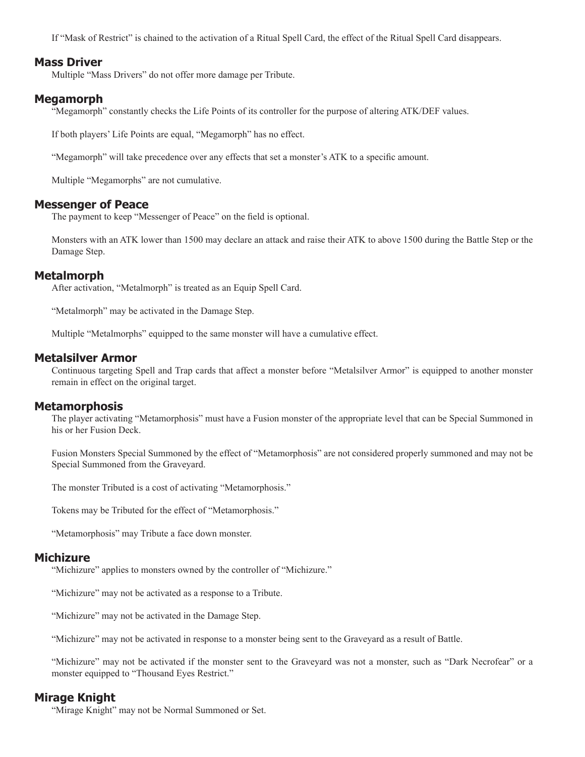If "Mask of Restrict" is chained to the activation of a Ritual Spell Card, the effect of the Ritual Spell Card disappears.

#### **Mass Driver**

Multiple "Mass Drivers" do not offer more damage per Tribute.

### **Megamorph**

"Megamorph" constantly checks the Life Points of its controller for the purpose of altering ATK/DEF values.

If both players' Life Points are equal, "Megamorph" has no effect.

"Megamorph" will take precedence over any effects that set a monster's ATK to a specifi c amount.

Multiple "Megamorphs" are not cumulative.

#### **Messenger of Peace**

The payment to keep "Messenger of Peace" on the field is optional.

Monsters with an ATK lower than 1500 may declare an attack and raise their ATK to above 1500 during the Battle Step or the Damage Step.

### **Metalmorph**

After activation, "Metalmorph" is treated as an Equip Spell Card.

"Metalmorph" may be activated in the Damage Step.

Multiple "Metalmorphs" equipped to the same monster will have a cumulative effect.

### **Metalsilver Armor**

Continuous targeting Spell and Trap cards that affect a monster before "Metalsilver Armor" is equipped to another monster remain in effect on the original target.

### **Metamorphosis**

The player activating "Metamorphosis" must have a Fusion monster of the appropriate level that can be Special Summoned in his or her Fusion Deck.

Fusion Monsters Special Summoned by the effect of "Metamorphosis" are not considered properly summoned and may not be Special Summoned from the Graveyard.

The monster Tributed is a cost of activating "Metamorphosis."

Tokens may be Tributed for the effect of "Metamorphosis."

"Metamorphosis" may Tribute a face down monster.

### **Michizure**

"Michizure" applies to monsters owned by the controller of "Michizure."

"Michizure" may not be activated as a response to a Tribute.

"Michizure" may not be activated in the Damage Step.

"Michizure" may not be activated in response to a monster being sent to the Graveyard as a result of Battle.

"Michizure" may not be activated if the monster sent to the Graveyard was not a monster, such as "Dark Necrofear" or a monster equipped to "Thousand Eyes Restrict."

# **Mirage Knight**

"Mirage Knight" may not be Normal Summoned or Set.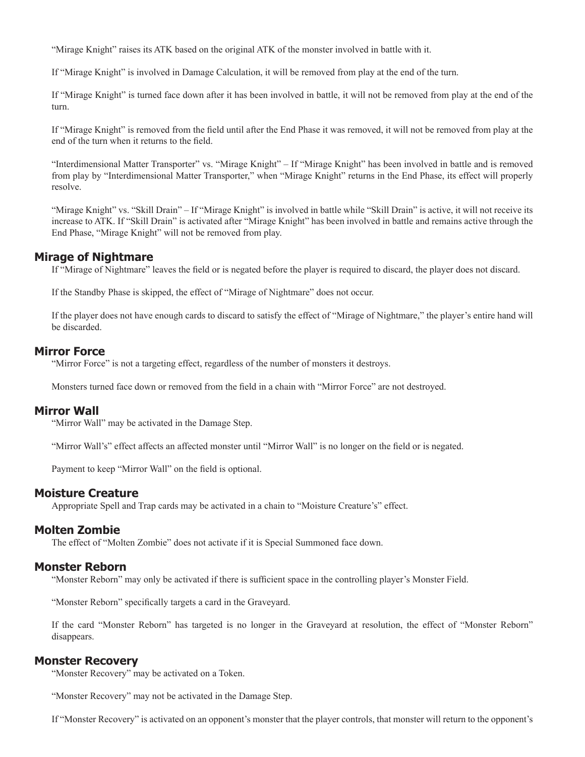"Mirage Knight" raises its ATK based on the original ATK of the monster involved in battle with it.

If "Mirage Knight" is involved in Damage Calculation, it will be removed from play at the end of the turn.

If "Mirage Knight" is turned face down after it has been involved in battle, it will not be removed from play at the end of the turn.

If "Mirage Knight" is removed from the field until after the End Phase it was removed, it will not be removed from play at the end of the turn when it returns to the field.

"Interdimensional Matter Transporter" vs. "Mirage Knight" – If "Mirage Knight" has been involved in battle and is removed from play by "Interdimensional Matter Transporter," when "Mirage Knight" returns in the End Phase, its effect will properly resolve.

"Mirage Knight" vs. "Skill Drain" – If "Mirage Knight" is involved in battle while "Skill Drain" is active, it will not receive its increase to ATK. If "Skill Drain" is activated after "Mirage Knight" has been involved in battle and remains active through the End Phase, "Mirage Knight" will not be removed from play.

### **Mirage of Nightmare**

If "Mirage of Nightmare" leaves the field or is negated before the player is required to discard, the player does not discard.

If the Standby Phase is skipped, the effect of "Mirage of Nightmare" does not occur.

If the player does not have enough cards to discard to satisfy the effect of "Mirage of Nightmare," the player's entire hand will be discarded.

### **Mirror Force**

"Mirror Force" is not a targeting effect, regardless of the number of monsters it destroys.

Monsters turned face down or removed from the field in a chain with "Mirror Force" are not destroyed.

#### **Mirror Wall**

"Mirror Wall" may be activated in the Damage Step.

"Mirror Wall's" effect affects an affected monster until "Mirror Wall" is no longer on the field or is negated.

Payment to keep "Mirror Wall" on the field is optional.

#### **Moisture Creature**

Appropriate Spell and Trap cards may be activated in a chain to "Moisture Creature's" effect.

### **Molten Zombie**

The effect of "Molten Zombie" does not activate if it is Special Summoned face down.

#### **Monster Reborn**

"Monster Reborn" may only be activated if there is sufficient space in the controlling player's Monster Field.

"Monster Reborn" specifically targets a card in the Graveyard.

If the card "Monster Reborn" has targeted is no longer in the Graveyard at resolution, the effect of "Monster Reborn" disappears.

#### **Monster Recovery**

"Monster Recovery" may be activated on a Token.

"Monster Recovery" may not be activated in the Damage Step.

If "Monster Recovery" is activated on an opponent's monster that the player controls, that monster will return to the opponent's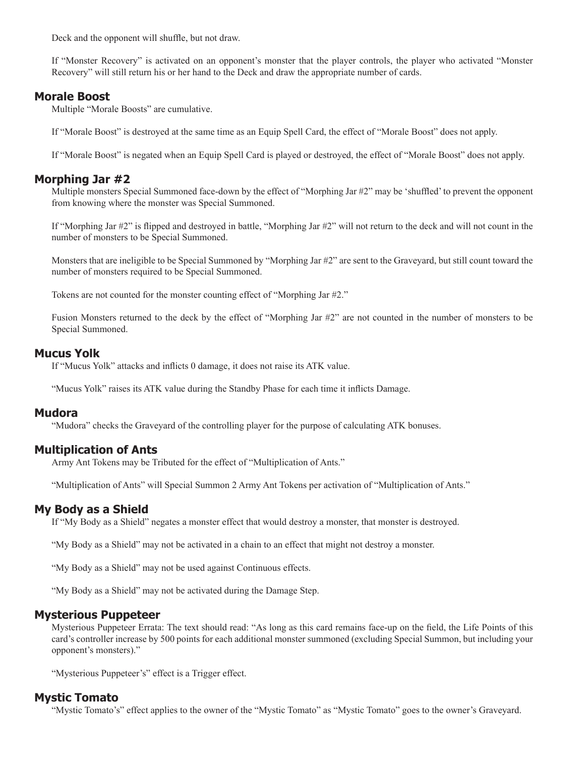Deck and the opponent will shuffle, but not draw.

If "Monster Recovery" is activated on an opponent's monster that the player controls, the player who activated "Monster Recovery" will still return his or her hand to the Deck and draw the appropriate number of cards.

### **Morale Boost**

Multiple "Morale Boosts" are cumulative.

If "Morale Boost" is destroyed at the same time as an Equip Spell Card, the effect of "Morale Boost" does not apply.

If "Morale Boost" is negated when an Equip Spell Card is played or destroyed, the effect of "Morale Boost" does not apply.

# **Morphing Jar #2**

Multiple monsters Special Summoned face-down by the effect of "Morphing Jar #2" may be 'shuffled' to prevent the opponent from knowing where the monster was Special Summoned.

If "Morphing Jar  $\#2$ " is flipped and destroyed in battle, "Morphing Jar  $\#2$ " will not return to the deck and will not count in the number of monsters to be Special Summoned.

Monsters that are ineligible to be Special Summoned by "Morphing Jar #2" are sent to the Graveyard, but still count toward the number of monsters required to be Special Summoned.

Tokens are not counted for the monster counting effect of "Morphing Jar #2."

Fusion Monsters returned to the deck by the effect of "Morphing Jar #2" are not counted in the number of monsters to be Special Summoned.

### **Mucus Yolk**

If "Mucus Yolk" attacks and inflicts 0 damage, it does not raise its ATK value.

"Mucus Yolk" raises its ATK value during the Standby Phase for each time it inflicts Damage.

#### **Mudora**

"Mudora" checks the Graveyard of the controlling player for the purpose of calculating ATK bonuses.

# **Multiplication of Ants**

Army Ant Tokens may be Tributed for the effect of "Multiplication of Ants."

"Multiplication of Ants" will Special Summon 2 Army Ant Tokens per activation of "Multiplication of Ants."

# **My Body as a Shield**

If "My Body as a Shield" negates a monster effect that would destroy a monster, that monster is destroyed.

"My Body as a Shield" may not be activated in a chain to an effect that might not destroy a monster.

"My Body as a Shield" may not be used against Continuous effects.

"My Body as a Shield" may not be activated during the Damage Step.

### **Mysterious Puppeteer**

Mysterious Puppeteer Errata: The text should read: "As long as this card remains face-up on the field, the Life Points of this card's controller increase by 500 points for each additional monster summoned (excluding Special Summon, but including your opponent's monsters)."

"Mysterious Puppeteer's" effect is a Trigger effect.

# **Mystic Tomato**

"Mystic Tomato's" effect applies to the owner of the "Mystic Tomato" as "Mystic Tomato" goes to the owner's Graveyard.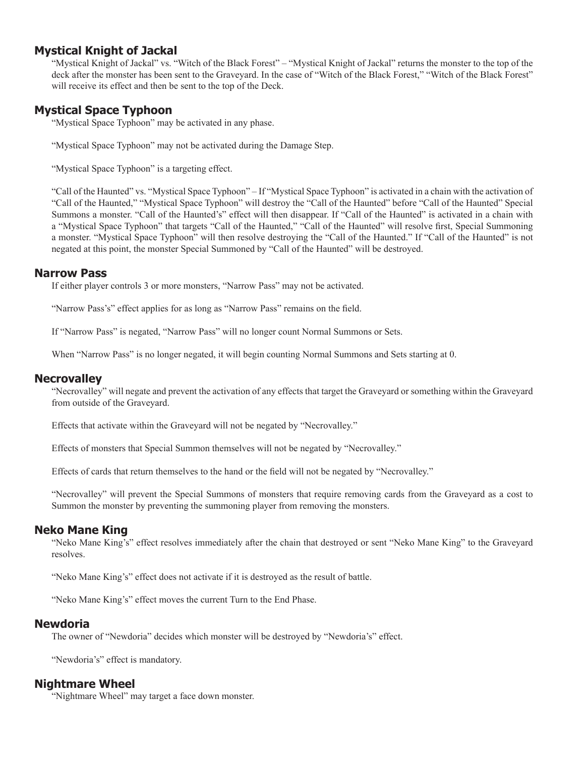# **Mystical Knight of Jackal**

"Mystical Knight of Jackal" vs. "Witch of the Black Forest" – "Mystical Knight of Jackal" returns the monster to the top of the deck after the monster has been sent to the Graveyard. In the case of "Witch of the Black Forest," "Witch of the Black Forest" will receive its effect and then be sent to the top of the Deck.

# **Mystical Space Typhoon**

"Mystical Space Typhoon" may be activated in any phase.

"Mystical Space Typhoon" may not be activated during the Damage Step.

"Mystical Space Typhoon" is a targeting effect.

"Call of the Haunted" vs. "Mystical Space Typhoon" – If "Mystical Space Typhoon" is activated in a chain with the activation of "Call of the Haunted," "Mystical Space Typhoon" will destroy the "Call of the Haunted" before "Call of the Haunted" Special Summons a monster. "Call of the Haunted's" effect will then disappear. If "Call of the Haunted" is activated in a chain with a "Mystical Space Typhoon" that targets "Call of the Haunted," "Call of the Haunted" will resolve first, Special Summoning a monster. "Mystical Space Typhoon" will then resolve destroying the "Call of the Haunted." If "Call of the Haunted" is not negated at this point, the monster Special Summoned by "Call of the Haunted" will be destroyed.

### **Narrow Pass**

If either player controls 3 or more monsters, "Narrow Pass" may not be activated.

"Narrow Pass's" effect applies for as long as "Narrow Pass" remains on the field.

If "Narrow Pass" is negated, "Narrow Pass" will no longer count Normal Summons or Sets.

When "Narrow Pass" is no longer negated, it will begin counting Normal Summons and Sets starting at 0.

### **Necrovalley**

"Necrovalley" will negate and prevent the activation of any effects that target the Graveyard or something within the Graveyard from outside of the Graveyard.

Effects that activate within the Graveyard will not be negated by "Necrovalley."

Effects of monsters that Special Summon themselves will not be negated by "Necrovalley."

Effects of cards that return themselves to the hand or the field will not be negated by "Necrovalley."

"Necrovalley" will prevent the Special Summons of monsters that require removing cards from the Graveyard as a cost to Summon the monster by preventing the summoning player from removing the monsters.

# **Neko Mane King**

"Neko Mane King's" effect resolves immediately after the chain that destroyed or sent "Neko Mane King" to the Graveyard resolves.

"Neko Mane King's" effect does not activate if it is destroyed as the result of battle.

"Neko Mane King's" effect moves the current Turn to the End Phase.

### **Newdoria**

The owner of "Newdoria" decides which monster will be destroyed by "Newdoria's" effect.

"Newdoria's" effect is mandatory.

### **Nightmare Wheel**

"Nightmare Wheel" may target a face down monster.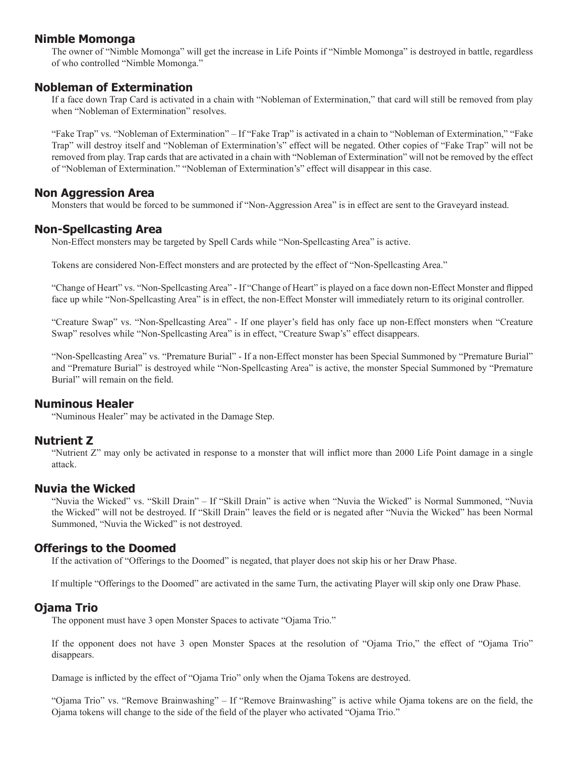# **Nimble Momonga**

The owner of "Nimble Momonga" will get the increase in Life Points if "Nimble Momonga" is destroyed in battle, regardless of who controlled "Nimble Momonga."

# **Nobleman of Extermination**

If a face down Trap Card is activated in a chain with "Nobleman of Extermination," that card will still be removed from play when "Nobleman of Extermination" resolves.

"Fake Trap" vs. "Nobleman of Extermination" – If "Fake Trap" is activated in a chain to "Nobleman of Extermination," "Fake Trap" will destroy itself and "Nobleman of Extermination's" effect will be negated. Other copies of "Fake Trap" will not be removed from play. Trap cards that are activated in a chain with "Nobleman of Extermination" will not be removed by the effect of "Nobleman of Extermination." "Nobleman of Extermination's" effect will disappear in this case.

### **Non Aggression Area**

Monsters that would be forced to be summoned if "Non-Aggression Area" is in effect are sent to the Graveyard instead.

### **Non-Spellcasting Area**

Non-Effect monsters may be targeted by Spell Cards while "Non-Spellcasting Area" is active.

Tokens are considered Non-Effect monsters and are protected by the effect of "Non-Spellcasting Area."

"Change of Heart" vs. "Non-Spellcasting Area" - If "Change of Heart" is played on a face down non-Effect Monster and flipped face up while "Non-Spellcasting Area" is in effect, the non-Effect Monster will immediately return to its original controller.

"Creature Swap" vs. "Non-Spellcasting Area" - If one player's field has only face up non-Effect monsters when "Creature Swap" resolves while "Non-Spellcasting Area" is in effect, "Creature Swap's" effect disappears.

"Non-Spellcasting Area" vs. "Premature Burial" - If a non-Effect monster has been Special Summoned by "Premature Burial" and "Premature Burial" is destroyed while "Non-Spellcasting Area" is active, the monster Special Summoned by "Premature Burial" will remain on the field.

### **Numinous Healer**

"Numinous Healer" may be activated in the Damage Step.

### **Nutrient Z**

"Nutrient Z" may only be activated in response to a monster that will inflict more than 2000 Life Point damage in a single attack.

### **Nuvia the Wicked**

"Nuvia the Wicked" vs. "Skill Drain" – If "Skill Drain" is active when "Nuvia the Wicked" is Normal Summoned, "Nuvia the Wicked" will not be destroyed. If "Skill Drain" leaves the field or is negated after "Nuvia the Wicked" has been Normal Summoned, "Nuvia the Wicked" is not destroyed.

### **Offerings to the Doomed**

If the activation of "Offerings to the Doomed" is negated, that player does not skip his or her Draw Phase.

If multiple "Offerings to the Doomed" are activated in the same Turn, the activating Player will skip only one Draw Phase.

### **Ojama Trio**

The opponent must have 3 open Monster Spaces to activate "Ojama Trio."

If the opponent does not have 3 open Monster Spaces at the resolution of "Ojama Trio," the effect of "Ojama Trio" disappears.

Damage is inflicted by the effect of "Ojama Trio" only when the Ojama Tokens are destroyed.

"Ojama Trio" vs. "Remove Brainwashing" – If "Remove Brainwashing" is active while Ojama tokens are on the field, the Ojama tokens will change to the side of the field of the player who activated "Ojama Trio."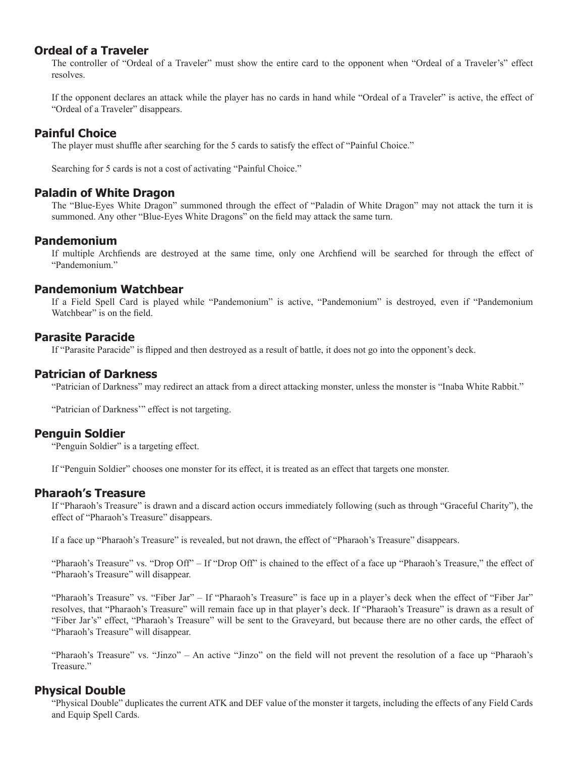# **Ordeal of a Traveler**

The controller of "Ordeal of a Traveler" must show the entire card to the opponent when "Ordeal of a Traveler's" effect resolves.

If the opponent declares an attack while the player has no cards in hand while "Ordeal of a Traveler" is active, the effect of "Ordeal of a Traveler" disappears.

# **Painful Choice**

The player must shuffle after searching for the 5 cards to satisfy the effect of "Painful Choice."

Searching for 5 cards is not a cost of activating "Painful Choice."

# **Paladin of White Dragon**

The "Blue-Eyes White Dragon" summoned through the effect of "Paladin of White Dragon" may not attack the turn it is summoned. Any other "Blue-Eyes White Dragons" on the field may attack the same turn.

# **Pandemonium**

If multiple Archfiends are destroyed at the same time, only one Archfiend will be searched for through the effect of "Pandemonium."

### **Pandemonium Watchbear**

If a Field Spell Card is played while "Pandemonium" is active, "Pandemonium" is destroyed, even if "Pandemonium Watchbear" is on the field.

# **Parasite Paracide**

If "Parasite Paracide" is flipped and then destroyed as a result of battle, it does not go into the opponent's deck.

# **Patrician of Darkness**

"Patrician of Darkness" may redirect an attack from a direct attacking monster, unless the monster is "Inaba White Rabbit."

"Patrician of Darkness"" effect is not targeting.

# **Penguin Soldier**

"Penguin Soldier" is a targeting effect.

If "Penguin Soldier" chooses one monster for its effect, it is treated as an effect that targets one monster.

### **Pharaoh's Treasure**

If "Pharaoh's Treasure" is drawn and a discard action occurs immediately following (such as through "Graceful Charity"), the effect of "Pharaoh's Treasure" disappears.

If a face up "Pharaoh's Treasure" is revealed, but not drawn, the effect of "Pharaoh's Treasure" disappears.

"Pharaoh's Treasure" vs. "Drop Off" – If "Drop Off" is chained to the effect of a face up "Pharaoh's Treasure," the effect of "Pharaoh's Treasure" will disappear.

"Pharaoh's Treasure" vs. "Fiber Jar" – If "Pharaoh's Treasure" is face up in a player's deck when the effect of "Fiber Jar" resolves, that "Pharaoh's Treasure" will remain face up in that player's deck. If "Pharaoh's Treasure" is drawn as a result of "Fiber Jar's" effect, "Pharaoh's Treasure" will be sent to the Graveyard, but because there are no other cards, the effect of "Pharaoh's Treasure" will disappear.

"Pharaoh's Treasure" vs. "Jinzo" – An active "Jinzo" on the field will not prevent the resolution of a face up "Pharaoh's Treasure."

# **Physical Double**

"Physical Double" duplicates the current ATK and DEF value of the monster it targets, including the effects of any Field Cards and Equip Spell Cards.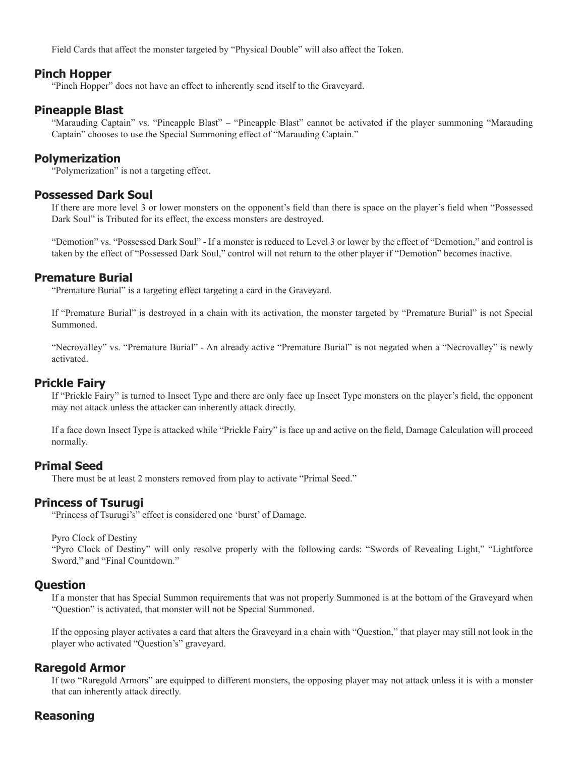Field Cards that affect the monster targeted by "Physical Double" will also affect the Token.

### **Pinch Hopper**

"Pinch Hopper" does not have an effect to inherently send itself to the Graveyard.

### **Pineapple Blast**

"Marauding Captain" vs. "Pineapple Blast" – "Pineapple Blast" cannot be activated if the player summoning "Marauding Captain" chooses to use the Special Summoning effect of "Marauding Captain."

### **Polymerization**

"Polymerization" is not a targeting effect.

### **Possessed Dark Soul**

If there are more level 3 or lower monsters on the opponent's field than there is space on the player's field when "Possessed Dark Soul" is Tributed for its effect, the excess monsters are destroyed.

"Demotion" vs. "Possessed Dark Soul" - If a monster is reduced to Level 3 or lower by the effect of "Demotion," and control is taken by the effect of "Possessed Dark Soul," control will not return to the other player if "Demotion" becomes inactive.

### **Premature Burial**

"Premature Burial" is a targeting effect targeting a card in the Graveyard.

If "Premature Burial" is destroyed in a chain with its activation, the monster targeted by "Premature Burial" is not Special Summoned.

"Necrovalley" vs. "Premature Burial" - An already active "Premature Burial" is not negated when a "Necrovalley" is newly activated.

### **Prickle Fairy**

If "Prickle Fairy" is turned to Insect Type and there are only face up Insect Type monsters on the player's field, the opponent may not attack unless the attacker can inherently attack directly.

If a face down Insect Type is attacked while "Prickle Fairy" is face up and active on the field, Damage Calculation will proceed normally.

# **Primal Seed**

There must be at least 2 monsters removed from play to activate "Primal Seed."

### **Princess of Tsurugi**

"Princess of Tsurugi's" effect is considered one 'burst' of Damage.

Pyro Clock of Destiny

"Pyro Clock of Destiny" will only resolve properly with the following cards: "Swords of Revealing Light," "Lightforce Sword," and "Final Countdown."

### **Question**

If a monster that has Special Summon requirements that was not properly Summoned is at the bottom of the Graveyard when "Question" is activated, that monster will not be Special Summoned.

If the opposing player activates a card that alters the Graveyard in a chain with "Question," that player may still not look in the player who activated "Question's" graveyard.

### **Raregold Armor**

If two "Raregold Armors" are equipped to different monsters, the opposing player may not attack unless it is with a monster that can inherently attack directly.

# **Reasoning**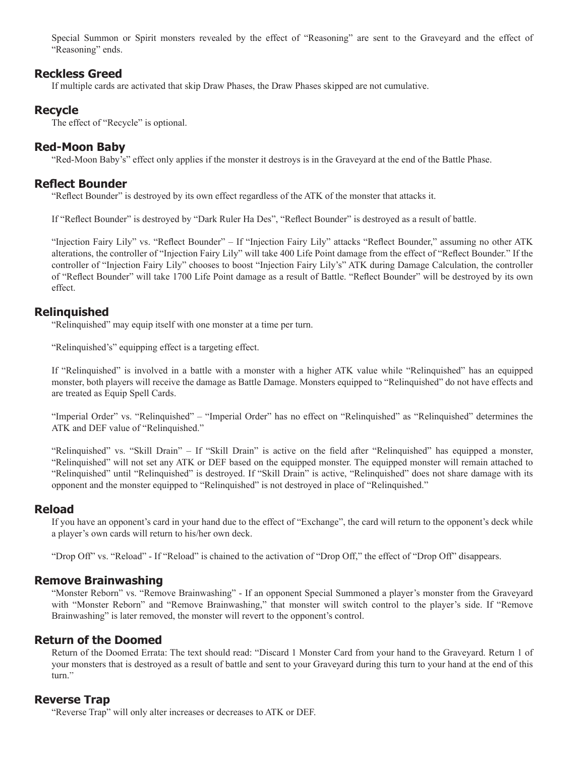Special Summon or Spirit monsters revealed by the effect of "Reasoning" are sent to the Graveyard and the effect of "Reasoning" ends.

### **Reckless Greed**

If multiple cards are activated that skip Draw Phases, the Draw Phases skipped are not cumulative.

### **Recycle**

The effect of "Recycle" is optional.

### **Red-Moon Baby**

"Red-Moon Baby's" effect only applies if the monster it destroys is in the Graveyard at the end of the Battle Phase.

### **Reflect Bounder**

"Reflect Bounder" is destroyed by its own effect regardless of the ATK of the monster that attacks it.

If "Reflect Bounder" is destroyed by "Dark Ruler Ha Des", "Reflect Bounder" is destroyed as a result of battle.

"Injection Fairy Lily" vs. "Reflect Bounder" – If "Injection Fairy Lily" attacks "Reflect Bounder," assuming no other ATK alterations, the controller of "Injection Fairy Lily" will take 400 Life Point damage from the effect of "Reflect Bounder." If the controller of "Injection Fairy Lily" chooses to boost "Injection Fairy Lily's" ATK during Damage Calculation, the controller of "Reflect Bounder" will take 1700 Life Point damage as a result of Battle. "Reflect Bounder" will be destroyed by its own effect.

### **Relinquished**

"Relinquished" may equip itself with one monster at a time per turn.

"Relinquished's" equipping effect is a targeting effect.

If "Relinquished" is involved in a battle with a monster with a higher ATK value while "Relinquished" has an equipped monster, both players will receive the damage as Battle Damage. Monsters equipped to "Relinquished" do not have effects and are treated as Equip Spell Cards.

"Imperial Order" vs. "Relinquished" – "Imperial Order" has no effect on "Relinquished" as "Relinquished" determines the ATK and DEF value of "Relinquished."

"Relinquished" vs. "Skill Drain" – If "Skill Drain" is active on the field after "Relinquished" has equipped a monster, "Relinquished" will not set any ATK or DEF based on the equipped monster. The equipped monster will remain attached to "Relinquished" until "Relinquished" is destroyed. If "Skill Drain" is active, "Relinquished" does not share damage with its opponent and the monster equipped to "Relinquished" is not destroyed in place of "Relinquished."

### **Reload**

If you have an opponent's card in your hand due to the effect of "Exchange", the card will return to the opponent's deck while a player's own cards will return to his/her own deck.

"Drop Off" vs. "Reload" - If "Reload" is chained to the activation of "Drop Off," the effect of "Drop Off" disappears.

#### **Remove Brainwashing**

"Monster Reborn" vs. "Remove Brainwashing" - If an opponent Special Summoned a player's monster from the Graveyard with "Monster Reborn" and "Remove Brainwashing," that monster will switch control to the player's side. If "Remove Brainwashing" is later removed, the monster will revert to the opponent's control.

### **Return of the Doomed**

Return of the Doomed Errata: The text should read: "Discard 1 Monster Card from your hand to the Graveyard. Return 1 of your monsters that is destroyed as a result of battle and sent to your Graveyard during this turn to your hand at the end of this turn."

# **Reverse Trap**

"Reverse Trap" will only alter increases or decreases to ATK or DEF.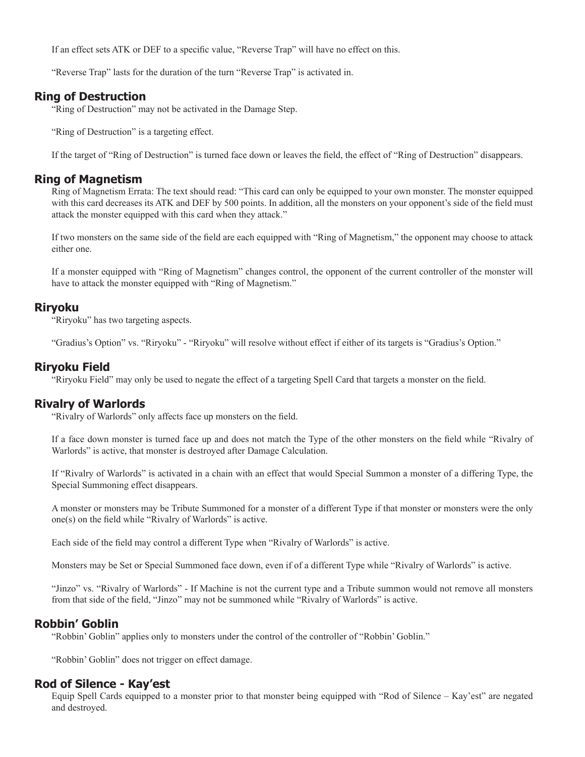If an effect sets ATK or DEF to a specific value, "Reverse Trap" will have no effect on this.

"Reverse Trap" lasts for the duration of the turn "Reverse Trap" is activated in.

# **Ring of Destruction**

"Ring of Destruction" may not be activated in the Damage Step.

"Ring of Destruction" is a targeting effect.

If the target of "Ring of Destruction" is turned face down or leaves the field, the effect of "Ring of Destruction" disappears.

# **Ring of Magnetism**

Ring of Magnetism Errata: The text should read: "This card can only be equipped to your own monster. The monster equipped with this card decreases its ATK and DEF by 500 points. In addition, all the monsters on your opponent's side of the field must attack the monster equipped with this card when they attack."

If two monsters on the same side of the field are each equipped with "Ring of Magnetism," the opponent may choose to attack either one.

If a monster equipped with "Ring of Magnetism" changes control, the opponent of the current controller of the monster will have to attack the monster equipped with "Ring of Magnetism."

# **Riryoku**

"Riryoku" has two targeting aspects.

"Gradius's Option" vs. "Riryoku" - "Riryoku" will resolve without effect if either of its targets is "Gradius's Option."

# **Riryoku Field**

"Riryoku Field" may only be used to negate the effect of a targeting Spell Card that targets a monster on the field.

# **Rivalry of Warlords**

"Rivalry of Warlords" only affects face up monsters on the field.

If a face down monster is turned face up and does not match the Type of the other monsters on the field while "Rivalry of Warlords" is active, that monster is destroyed after Damage Calculation.

If "Rivalry of Warlords" is activated in a chain with an effect that would Special Summon a monster of a differing Type, the Special Summoning effect disappears.

A monster or monsters may be Tribute Summoned for a monster of a different Type if that monster or monsters were the only one(s) on the field while "Rivalry of Warlords" is active.

Each side of the field may control a different Type when "Rivalry of Warlords" is active.

Monsters may be Set or Special Summoned face down, even if of a different Type while "Rivalry of Warlords" is active.

"Jinzo" vs. "Rivalry of Warlords" - If Machine is not the current type and a Tribute summon would not remove all monsters from that side of the field, "Jinzo" may not be summoned while "Rivalry of Warlords" is active.

# **Robbin' Goblin**

"Robbin' Goblin" applies only to monsters under the control of the controller of "Robbin' Goblin."

"Robbin' Goblin" does not trigger on effect damage.

# **Rod of Silence - Kay'est**

Equip Spell Cards equipped to a monster prior to that monster being equipped with "Rod of Silence – Kay'est" are negated and destroyed.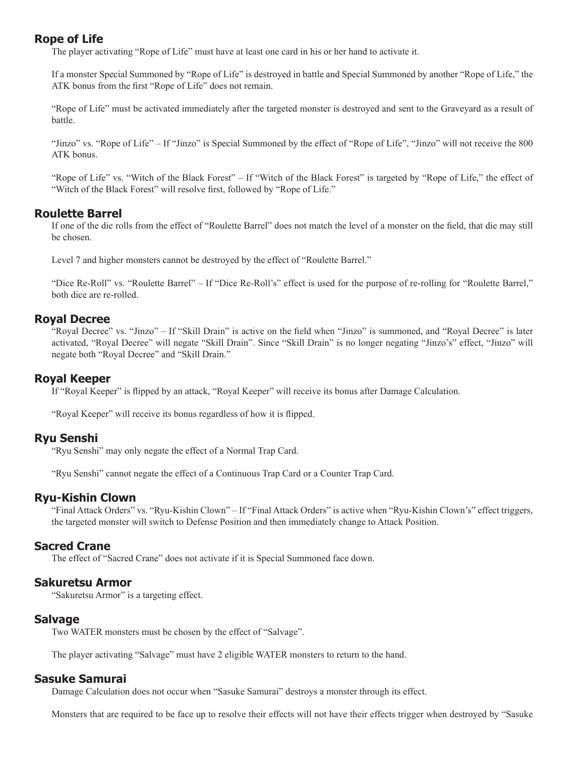# **Rope of Life**

The player activating "Rope of Life" must have at least one card in his or her hand to activate it.

If a monster Special Summoned by "Rope of Life" is destroyed in battle and Special Summoned by another "Rope of Life," the ATK bonus from the first "Rope of Life" does not remain.

"Rope of Life" must be activated immediately after the targeted monster is destroyed and sent to the Graveyard as a result of battle.

"Jinzo" vs. "Rope of Life" – If "Jinzo" is Special Summoned by the effect of "Rope of Life", "Jinzo" will not receive the 800 ATK bonus.

"Rope of Life" vs. "Witch of the Black Forest" – If "Witch of the Black Forest" is targeted by "Rope of Life," the effect of "Witch of the Black Forest" will resolve first, followed by "Rope of Life."

## **Roulette Barrel**

If one of the die rolls from the effect of "Roulette Barrel" does not match the level of a monster on the field, that die may still be chosen.

Level 7 and higher monsters cannot be destroyed by the effect of "Roulette Barrel."

"Dice Re-Roll" vs. "Roulette Barrel" – If "Dice Re-Roll's" effect is used for the purpose of re-rolling for "Roulette Barrel," both dice are re-rolled.

# **Royal Decree**

"Royal Decree" vs. "Jinzo" – If "Skill Drain" is active on the field when "Jinzo" is summoned, and "Royal Decree" is later activated, "Royal Decree" will negate "Skill Drain". Since "Skill Drain" is no longer negating "Jinzo's" effect, "Jinzo" will negate both "Royal Decree" and "Skill Drain."

## **Royal Keeper**

If "Royal Keeper" is flipped by an attack, "Royal Keeper" will receive its bonus after Damage Calculation.

"Royal Keeper" will receive its bonus regardless of how it is flipped.

## **Ryu Senshi**

"Ryu Senshi" may only negate the effect of a Normal Trap Card.

"Ryu Senshi" cannot negate the effect of a Continuous Trap Card or a Counter Trap Card.

## **Ryu-Kishin Clown**

"Final Attack Orders" vs. "Ryu-Kishin Clown" – If "Final Attack Orders" is active when "Ryu-Kishin Clown's" effect triggers, the targeted monster will switch to Defense Position and then immediately change to Attack Position.

## **Sacred Crane**

The effect of "Sacred Crane" does not activate if it is Special Summoned face down.

## **Sakuretsu Armor**

"Sakuretsu Armor" is a targeting effect.

### **Salvage**

Two WATER monsters must be chosen by the effect of "Salvage".

The player activating "Salvage" must have 2 eligible WATER monsters to return to the hand.

### **Sasuke Samurai**

Damage Calculation does not occur when "Sasuke Samurai" destroys a monster through its effect.

Monsters that are required to be face up to resolve their effects will not have their effects trigger when destroyed by "Sasuke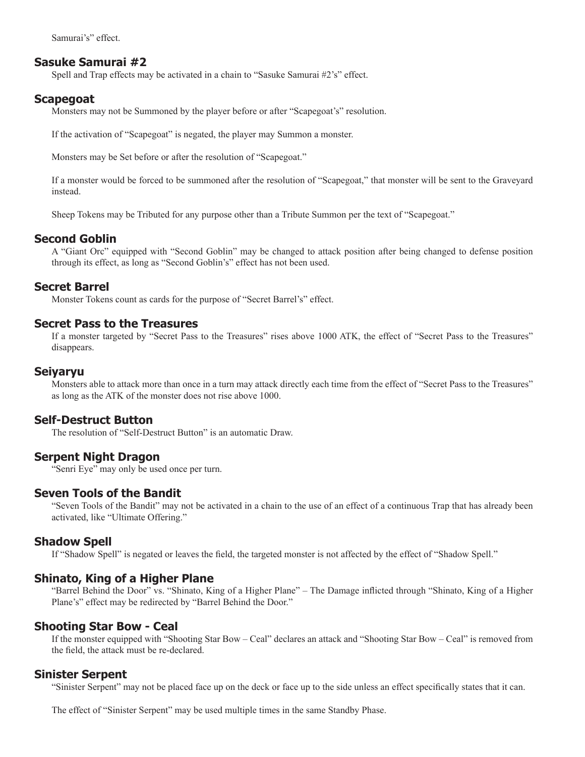Samurai's" effect.

### **Sasuke Samurai #2**

Spell and Trap effects may be activated in a chain to "Sasuke Samurai #2's" effect.

### **Scapegoat**

Monsters may not be Summoned by the player before or after "Scapegoat's" resolution.

If the activation of "Scapegoat" is negated, the player may Summon a monster.

Monsters may be Set before or after the resolution of "Scapegoat."

If a monster would be forced to be summoned after the resolution of "Scapegoat," that monster will be sent to the Graveyard instead.

Sheep Tokens may be Tributed for any purpose other than a Tribute Summon per the text of "Scapegoat."

### **Second Goblin**

A "Giant Orc" equipped with "Second Goblin" may be changed to attack position after being changed to defense position through its effect, as long as "Second Goblin's" effect has not been used.

### **Secret Barrel**

Monster Tokens count as cards for the purpose of "Secret Barrel's" effect.

### **Secret Pass to the Treasures**

If a monster targeted by "Secret Pass to the Treasures" rises above 1000 ATK, the effect of "Secret Pass to the Treasures" disappears.

#### **Seiyaryu**

Monsters able to attack more than once in a turn may attack directly each time from the effect of "Secret Pass to the Treasures" as long as the ATK of the monster does not rise above 1000.

## **Self-Destruct Button**

The resolution of "Self-Destruct Button" is an automatic Draw.

### **Serpent Night Dragon**

"Senri Eye" may only be used once per turn.

### **Seven Tools of the Bandit**

"Seven Tools of the Bandit" may not be activated in a chain to the use of an effect of a continuous Trap that has already been activated, like "Ultimate Offering."

#### **Shadow Spell**

If "Shadow Spell" is negated or leaves the field, the targeted monster is not affected by the effect of "Shadow Spell."

### **Shinato, King of a Higher Plane**

"Barrel Behind the Door" vs. "Shinato, King of a Higher Plane" – The Damage inflicted through "Shinato, King of a Higher Plane's" effect may be redirected by "Barrel Behind the Door."

### **Shooting Star Bow - Ceal**

If the monster equipped with "Shooting Star Bow – Ceal" declares an attack and "Shooting Star Bow – Ceal" is removed from the field, the attack must be re-declared.

#### **Sinister Serpent**

"Sinister Serpent" may not be placed face up on the deck or face up to the side unless an effect specifically states that it can.

The effect of "Sinister Serpent" may be used multiple times in the same Standby Phase.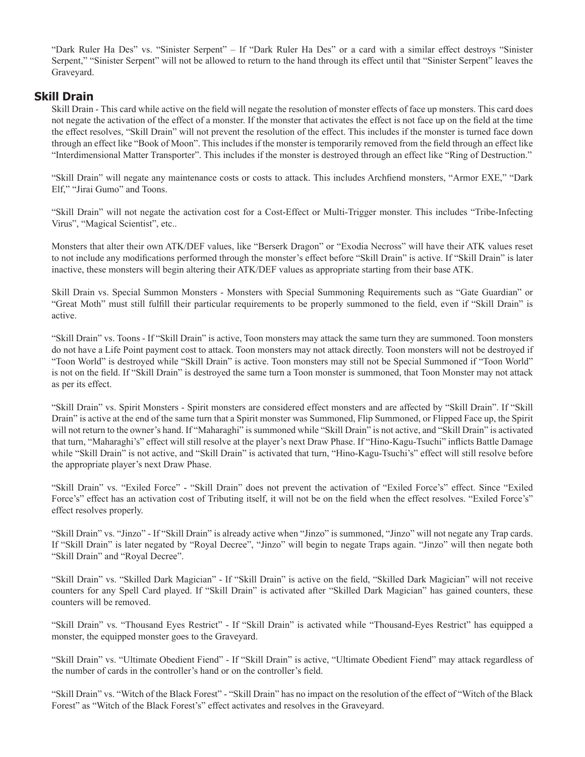"Dark Ruler Ha Des" vs. "Sinister Serpent" – If "Dark Ruler Ha Des" or a card with a similar effect destroys "Sinister Serpent," "Sinister Serpent" will not be allowed to return to the hand through its effect until that "Sinister Serpent" leaves the Graveyard.

## **Skill Drain**

Skill Drain - This card while active on the field will negate the resolution of monster effects of face up monsters. This card does not negate the activation of the effect of a monster. If the monster that activates the effect is not face up on the field at the time the effect resolves, "Skill Drain" will not prevent the resolution of the effect. This includes if the monster is turned face down through an effect like "Book of Moon". This includes if the monster is temporarily removed from the field through an effect like "Interdimensional Matter Transporter". This includes if the monster is destroyed through an effect like "Ring of Destruction."

"Skill Drain" will negate any maintenance costs or costs to attack. This includes Archfiend monsters, "Armor EXE," "Dark Elf," "Jirai Gumo" and Toons.

"Skill Drain" will not negate the activation cost for a Cost-Effect or Multi-Trigger monster. This includes "Tribe-Infecting Virus", "Magical Scientist", etc..

Monsters that alter their own ATK/DEF values, like "Berserk Dragon" or "Exodia Necross" will have their ATK values reset to not include any modifications performed through the monster's effect before "Skill Drain" is active. If "Skill Drain" is later inactive, these monsters will begin altering their ATK/DEF values as appropriate starting from their base ATK.

Skill Drain vs. Special Summon Monsters - Monsters with Special Summoning Requirements such as "Gate Guardian" or "Great Moth" must still fulfill their particular requirements to be properly summoned to the field, even if "Skill Drain" is active.

"Skill Drain" vs. Toons - If "Skill Drain" is active, Toon monsters may attack the same turn they are summoned. Toon monsters do not have a Life Point payment cost to attack. Toon monsters may not attack directly. Toon monsters will not be destroyed if "Toon World" is destroyed while "Skill Drain" is active. Toon monsters may still not be Special Summoned if "Toon World" is not on the field. If "Skill Drain" is destroyed the same turn a Toon monster is summoned, that Toon Monster may not attack as per its effect.

"Skill Drain" vs. Spirit Monsters - Spirit monsters are considered effect monsters and are affected by "Skill Drain". If "Skill Drain" is active at the end of the same turn that a Spirit monster was Summoned, Flip Summoned, or Flipped Face up, the Spirit will not return to the owner's hand. If "Maharaghi" is summoned while "Skill Drain" is not active, and "Skill Drain" is activated that turn, "Maharaghi's" effect will still resolve at the player's next Draw Phase. If "Hino-Kagu-Tsuchi" inflicts Battle Damage while "Skill Drain" is not active, and "Skill Drain" is activated that turn, "Hino-Kagu-Tsuchi's" effect will still resolve before the appropriate player's next Draw Phase.

"Skill Drain" vs. "Exiled Force" - "Skill Drain" does not prevent the activation of "Exiled Force's" effect. Since "Exiled Force's" effect has an activation cost of Tributing itself, it will not be on the field when the effect resolves. "Exiled Force's" effect resolves properly.

"Skill Drain" vs. "Jinzo" - If "Skill Drain" is already active when "Jinzo" is summoned, "Jinzo" will not negate any Trap cards. If "Skill Drain" is later negated by "Royal Decree", "Jinzo" will begin to negate Traps again. "Jinzo" will then negate both "Skill Drain" and "Royal Decree".

"Skill Drain" vs. "Skilled Dark Magician" - If "Skill Drain" is active on the field, "Skilled Dark Magician" will not receive counters for any Spell Card played. If "Skill Drain" is activated after "Skilled Dark Magician" has gained counters, these counters will be removed.

"Skill Drain" vs. "Thousand Eyes Restrict" - If "Skill Drain" is activated while "Thousand-Eyes Restrict" has equipped a monster, the equipped monster goes to the Graveyard.

"Skill Drain" vs. "Ultimate Obedient Fiend" - If "Skill Drain" is active, "Ultimate Obedient Fiend" may attack regardless of the number of cards in the controller's hand or on the controller's field.

"Skill Drain" vs. "Witch of the Black Forest" - "Skill Drain" has no impact on the resolution of the effect of "Witch of the Black Forest" as "Witch of the Black Forest's" effect activates and resolves in the Graveyard.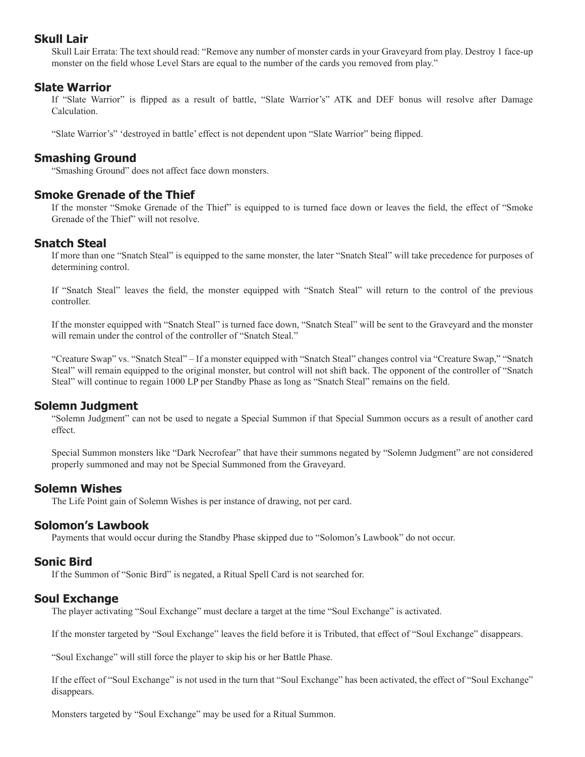## **Skull Lair**

Skull Lair Errata: The text should read: "Remove any number of monster cards in your Graveyard from play. Destroy 1 face-up monster on the field whose Level Stars are equal to the number of the cards you removed from play."

## **Slate Warrior**

If "Slate Warrior" is flipped as a result of battle, "Slate Warrior's" ATK and DEF bonus will resolve after Damage Calculation.

"Slate Warrior's" 'destroyed in battle' effect is not dependent upon "Slate Warrior" being flipped.

## **Smashing Ground**

"Smashing Ground" does not affect face down monsters.

## **Smoke Grenade of the Thief**

If the monster "Smoke Grenade of the Thief" is equipped to is turned face down or leaves the field, the effect of "Smoke Grenade of the Thief" will not resolve.

## **Snatch Steal**

If more than one "Snatch Steal" is equipped to the same monster, the later "Snatch Steal" will take precedence for purposes of determining control.

If "Snatch Steal" leaves the field, the monster equipped with "Snatch Steal" will return to the control of the previous controller.

If the monster equipped with "Snatch Steal" is turned face down, "Snatch Steal" will be sent to the Graveyard and the monster will remain under the control of the controller of "Snatch Steal."

"Creature Swap" vs. "Snatch Steal" – If a monster equipped with "Snatch Steal" changes control via "Creature Swap," "Snatch Steal" will remain equipped to the original monster, but control will not shift back. The opponent of the controller of "Snatch Steal" will continue to regain 1000 LP per Standby Phase as long as "Snatch Steal" remains on the field.

## **Solemn Judgment**

"Solemn Judgment" can not be used to negate a Special Summon if that Special Summon occurs as a result of another card effect.

Special Summon monsters like "Dark Necrofear" that have their summons negated by "Solemn Judgment" are not considered properly summoned and may not be Special Summoned from the Graveyard.

### **Solemn Wishes**

The Life Point gain of Solemn Wishes is per instance of drawing, not per card.

## **Solomon's Lawbook**

Payments that would occur during the Standby Phase skipped due to "Solomon's Lawbook" do not occur.

## **Sonic Bird**

If the Summon of "Sonic Bird" is negated, a Ritual Spell Card is not searched for.

## **Soul Exchange**

The player activating "Soul Exchange" must declare a target at the time "Soul Exchange" is activated.

If the monster targeted by "Soul Exchange" leaves the field before it is Tributed, that effect of "Soul Exchange" disappears.

"Soul Exchange" will still force the player to skip his or her Battle Phase.

If the effect of "Soul Exchange" is not used in the turn that "Soul Exchange" has been activated, the effect of "Soul Exchange" disappears.

Monsters targeted by "Soul Exchange" may be used for a Ritual Summon.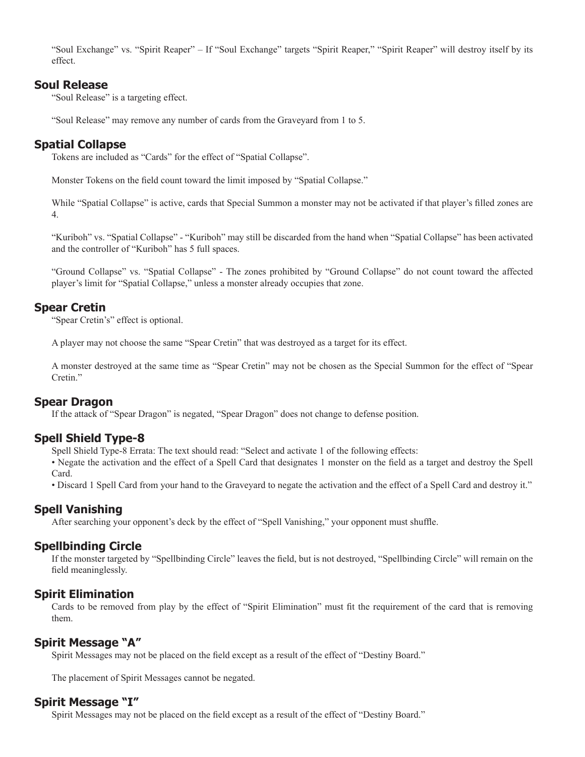"Soul Exchange" vs. "Spirit Reaper" – If "Soul Exchange" targets "Spirit Reaper," "Spirit Reaper" will destroy itself by its effect.

## **Soul Release**

"Soul Release" is a targeting effect.

"Soul Release" may remove any number of cards from the Graveyard from 1 to 5.

# **Spatial Collapse**

Tokens are included as "Cards" for the effect of "Spatial Collapse".

Monster Tokens on the field count toward the limit imposed by "Spatial Collapse."

While "Spatial Collapse" is active, cards that Special Summon a monster may not be activated if that player's filled zones are 4.

"Kuriboh" vs. "Spatial Collapse" - "Kuriboh" may still be discarded from the hand when "Spatial Collapse" has been activated and the controller of "Kuriboh" has 5 full spaces.

"Ground Collapse" vs. "Spatial Collapse" - The zones prohibited by "Ground Collapse" do not count toward the affected player's limit for "Spatial Collapse," unless a monster already occupies that zone.

# **Spear Cretin**

"Spear Cretin's" effect is optional.

A player may not choose the same "Spear Cretin" that was destroyed as a target for its effect.

A monster destroyed at the same time as "Spear Cretin" may not be chosen as the Special Summon for the effect of "Spear Cretin."

# **Spear Dragon**

If the attack of "Spear Dragon" is negated, "Spear Dragon" does not change to defense position.

## **Spell Shield Type-8**

Spell Shield Type-8 Errata: The text should read: "Select and activate 1 of the following effects:

• Negate the activation and the effect of a Spell Card that designates 1 monster on the field as a target and destroy the Spell Card.

• Discard 1 Spell Card from your hand to the Graveyard to negate the activation and the effect of a Spell Card and destroy it."

# **Spell Vanishing**

After searching your opponent's deck by the effect of "Spell Vanishing," your opponent must shuffle.

# **Spellbinding Circle**

If the monster targeted by "Spellbinding Circle" leaves the field, but is not destroyed, "Spellbinding Circle" will remain on the field meaninglessly.

## **Spirit Elimination**

Cards to be removed from play by the effect of "Spirit Elimination" must fit the requirement of the card that is removing them.

## **Spirit Message "A"**

Spirit Messages may not be placed on the field except as a result of the effect of "Destiny Board."

The placement of Spirit Messages cannot be negated.

## **Spirit Message "I"**

Spirit Messages may not be placed on the field except as a result of the effect of "Destiny Board."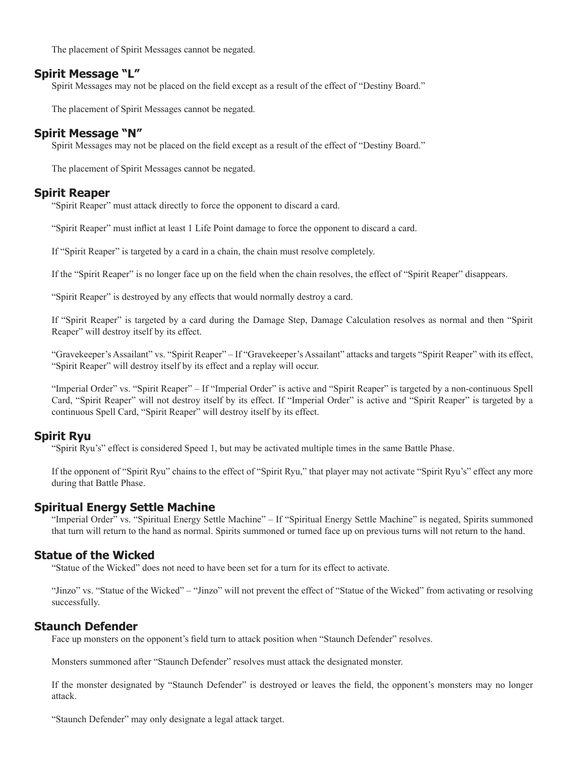The placement of Spirit Messages cannot be negated.

## **Spirit Message "L"**

Spirit Messages may not be placed on the field except as a result of the effect of "Destiny Board."

The placement of Spirit Messages cannot be negated.

## **Spirit Message "N"**

Spirit Messages may not be placed on the field except as a result of the effect of "Destiny Board."

The placement of Spirit Messages cannot be negated.

## **Spirit Reaper**

"Spirit Reaper" must attack directly to force the opponent to discard a card.

"Spirit Reaper" must inflict at least 1 Life Point damage to force the opponent to discard a card.

If "Spirit Reaper" is targeted by a card in a chain, the chain must resolve completely.

If the "Spirit Reaper" is no longer face up on the field when the chain resolves, the effect of "Spirit Reaper" disappears.

"Spirit Reaper" is destroyed by any effects that would normally destroy a card.

If "Spirit Reaper" is targeted by a card during the Damage Step, Damage Calculation resolves as normal and then "Spirit Reaper" will destroy itself by its effect.

"Gravekeeper's Assailant" vs. "Spirit Reaper" – If "Gravekeeper's Assailant" attacks and targets "Spirit Reaper" with its effect, "Spirit Reaper" will destroy itself by its effect and a replay will occur.

"Imperial Order" vs. "Spirit Reaper" – If "Imperial Order" is active and "Spirit Reaper" is targeted by a non-continuous Spell Card, "Spirit Reaper" will not destroy itself by its effect. If "Imperial Order" is active and "Spirit Reaper" is targeted by a continuous Spell Card, "Spirit Reaper" will destroy itself by its effect.

## **Spirit Ryu**

"Spirit Ryu's" effect is considered Speed 1, but may be activated multiple times in the same Battle Phase.

If the opponent of "Spirit Ryu" chains to the effect of "Spirit Ryu," that player may not activate "Spirit Ryu's" effect any more during that Battle Phase.

### **Spiritual Energy Settle Machine**

"Imperial Order" vs. "Spiritual Energy Settle Machine" – If "Spiritual Energy Settle Machine" is negated, Spirits summoned that turn will return to the hand as normal. Spirits summoned or turned face up on previous turns will not return to the hand.

### **Statue of the Wicked**

"Statue of the Wicked" does not need to have been set for a turn for its effect to activate.

"Jinzo" vs. "Statue of the Wicked" – "Jinzo" will not prevent the effect of "Statue of the Wicked" from activating or resolving successfully.

## **Staunch Defender**

Face up monsters on the opponent's field turn to attack position when "Staunch Defender" resolves.

Monsters summoned after "Staunch Defender" resolves must attack the designated monster.

If the monster designated by "Staunch Defender" is destroyed or leaves the field, the opponent's monsters may no longer attack.

"Staunch Defender" may only designate a legal attack target.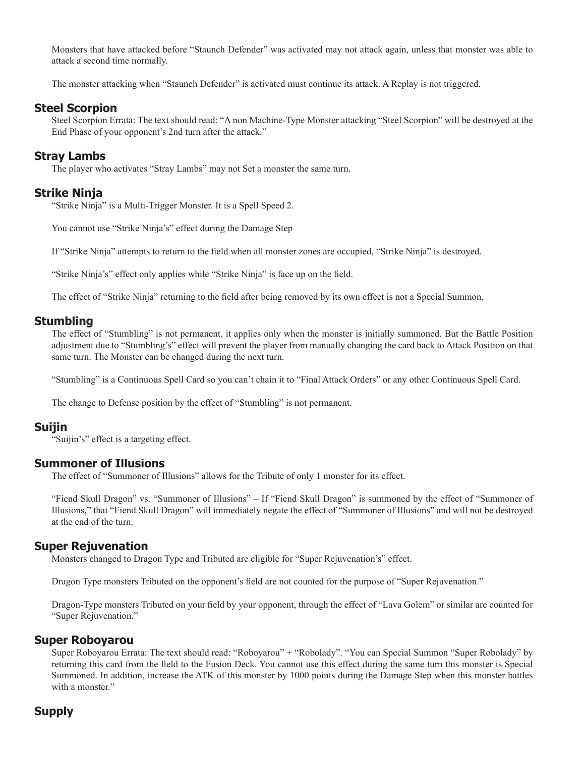Monsters that have attacked before "Staunch Defender" was activated may not attack again, unless that monster was able to attack a second time normally.

The monster attacking when "Staunch Defender" is activated must continue its attack. A Replay is not triggered.

## **Steel Scorpion**

Steel Scorpion Errata: The text should read: "A non Machine-Type Monster attacking "Steel Scorpion" will be destroyed at the End Phase of your opponent's 2nd turn after the attack."

## **Stray Lambs**

The player who activates "Stray Lambs" may not Set a monster the same turn.

## **Strike Ninja**

"Strike Ninja" is a Multi-Trigger Monster. It is a Spell Speed 2.

You cannot use "Strike Ninja's" effect during the Damage Step

If "Strike Ninja" attempts to return to the field when all monster zones are occupied, "Strike Ninja" is destroyed.

"Strike Ninja's" effect only applies while "Strike Ninja" is face up on the field.

The effect of "Strike Ninja" returning to the field after being removed by its own effect is not a Special Summon.

## **Stumbling**

The effect of "Stumbling" is not permanent, it applies only when the monster is initially summoned. But the Battle Position adjustment due to "Stumbling's" effect will prevent the player from manually changing the card back to Attack Position on that same turn. The Monster can be changed during the next turn.

"Stumbling" is a Continuous Spell Card so you can't chain it to "Final Attack Orders" or any other Continuous Spell Card.

The change to Defense position by the effect of "Stumbling" is not permanent.

### **Suijin**

"Suijin's" effect is a targeting effect.

### **Summoner of Illusions**

The effect of "Summoner of Illusions" allows for the Tribute of only 1 monster for its effect.

"Fiend Skull Dragon" vs. "Summoner of Illusions" – If "Fiend Skull Dragon" is summoned by the effect of "Summoner of Illusions," that "Fiend Skull Dragon" will immediately negate the effect of "Summoner of Illusions" and will not be destroyed at the end of the turn.

## **Super Rejuvenation**

Monsters changed to Dragon Type and Tributed are eligible for "Super Rejuvenation's" effect.

Dragon Type monsters Tributed on the opponent's field are not counted for the purpose of "Super Rejuvenation."

Dragon-Type monsters Tributed on your field by your opponent, through the effect of "Lava Golem" or similar are counted for "Super Rejuvenation."

## **Super Roboyarou**

Super Roboyarou Errata: The text should read: "Roboyarou" + "Robolady". "You can Special Summon "Super Robolady" by returning this card from the field to the Fusion Deck. You cannot use this effect during the same turn this monster is Special Summoned. In addition, increase the ATK of this monster by 1000 points during the Damage Step when this monster battles with a monster."

# **Supply**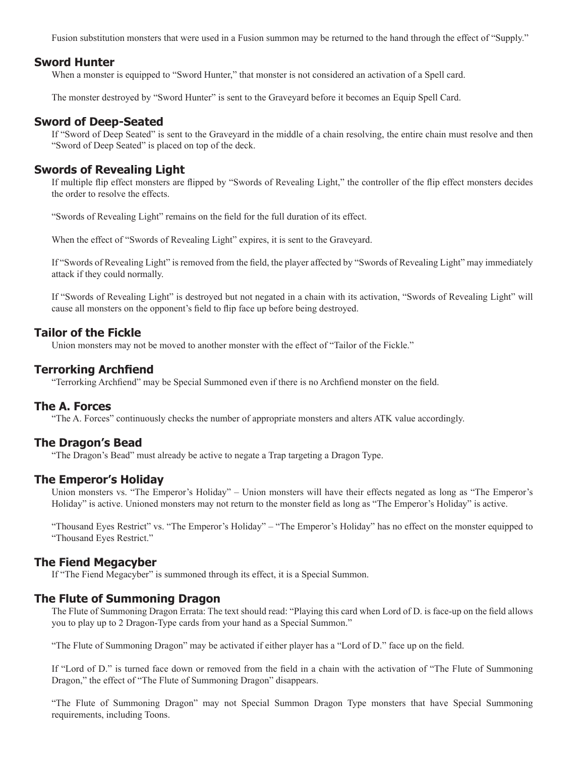Fusion substitution monsters that were used in a Fusion summon may be returned to the hand through the effect of "Supply."

### **Sword Hunter**

When a monster is equipped to "Sword Hunter," that monster is not considered an activation of a Spell card.

The monster destroyed by "Sword Hunter" is sent to the Graveyard before it becomes an Equip Spell Card.

## **Sword of Deep-Seated**

If "Sword of Deep Seated" is sent to the Graveyard in the middle of a chain resolving, the entire chain must resolve and then "Sword of Deep Seated" is placed on top of the deck.

### **Swords of Revealing Light**

If multiple flip effect monsters are flipped by "Swords of Revealing Light," the controller of the flip effect monsters decides the order to resolve the effects.

"Swords of Revealing Light" remains on the field for the full duration of its effect.

When the effect of "Swords of Revealing Light" expires, it is sent to the Graveyard.

If "Swords of Revealing Light" is removed from the field, the player affected by "Swords of Revealing Light" may immediately attack if they could normally.

If "Swords of Revealing Light" is destroyed but not negated in a chain with its activation, "Swords of Revealing Light" will cause all monsters on the opponent's field to flip face up before being destroyed.

### **Tailor of the Fickle**

Union monsters may not be moved to another monster with the effect of "Tailor of the Fickle."

### **Terrorking Archfiend**

"Terrorking Archfiend" may be Special Summoned even if there is no Archfiend monster on the field.

## **The A. Forces**

"The A. Forces" continuously checks the number of appropriate monsters and alters ATK value accordingly.

#### **The Dragon's Bead**

"The Dragon's Bead" must already be active to negate a Trap targeting a Dragon Type.

### **The Emperor's Holiday**

Union monsters vs. "The Emperor's Holiday" – Union monsters will have their effects negated as long as "The Emperor's Holiday" is active. Unioned monsters may not return to the monster field as long as "The Emperor's Holiday" is active.

"Thousand Eyes Restrict" vs. "The Emperor's Holiday" – "The Emperor's Holiday" has no effect on the monster equipped to "Thousand Eyes Restrict."

#### **The Fiend Megacyber**

If "The Fiend Megacyber" is summoned through its effect, it is a Special Summon.

## **The Flute of Summoning Dragon**

The Flute of Summoning Dragon Errata: The text should read: "Playing this card when Lord of D. is face-up on the field allows you to play up to 2 Dragon-Type cards from your hand as a Special Summon."

"The Flute of Summoning Dragon" may be activated if either player has a "Lord of D." face up on the field.

If "Lord of D." is turned face down or removed from the field in a chain with the activation of "The Flute of Summoning Dragon," the effect of "The Flute of Summoning Dragon" disappears.

"The Flute of Summoning Dragon" may not Special Summon Dragon Type monsters that have Special Summoning requirements, including Toons.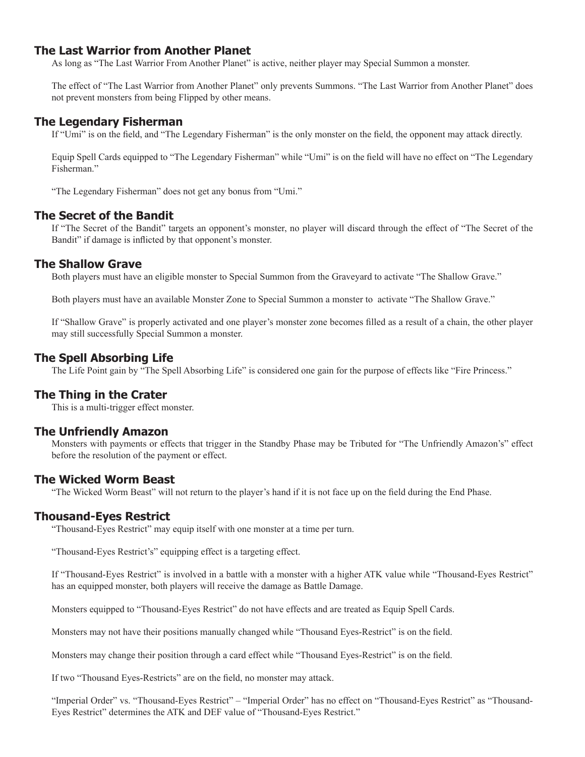## **The Last Warrior from Another Planet**

As long as "The Last Warrior From Another Planet" is active, neither player may Special Summon a monster.

The effect of "The Last Warrior from Another Planet" only prevents Summons. "The Last Warrior from Another Planet" does not prevent monsters from being Flipped by other means.

## **The Legendary Fisherman**

If "Umi" is on the field, and "The Legendary Fisherman" is the only monster on the field, the opponent may attack directly.

Equip Spell Cards equipped to "The Legendary Fisherman" while "Umi" is on the field will have no effect on "The Legendary Fisherman."

"The Legendary Fisherman" does not get any bonus from "Umi."

## **The Secret of the Bandit**

If "The Secret of the Bandit" targets an opponent's monster, no player will discard through the effect of "The Secret of the Bandit" if damage is inflicted by that opponent's monster.

## **The Shallow Grave**

Both players must have an eligible monster to Special Summon from the Graveyard to activate "The Shallow Grave."

Both players must have an available Monster Zone to Special Summon a monster to activate "The Shallow Grave."

If "Shallow Grave" is properly activated and one player's monster zone becomes filled as a result of a chain, the other player may still successfully Special Summon a monster.

## **The Spell Absorbing Life**

The Life Point gain by "The Spell Absorbing Life" is considered one gain for the purpose of effects like "Fire Princess."

### **The Thing in the Crater**

This is a multi-trigger effect monster.

### **The Unfriendly Amazon**

Monsters with payments or effects that trigger in the Standby Phase may be Tributed for "The Unfriendly Amazon's" effect before the resolution of the payment or effect.

### **The Wicked Worm Beast**

"The Wicked Worm Beast" will not return to the player's hand if it is not face up on the field during the End Phase.

### **Thousand-Eyes Restrict**

"Thousand-Eyes Restrict" may equip itself with one monster at a time per turn.

"Thousand-Eyes Restrict's" equipping effect is a targeting effect.

If "Thousand-Eyes Restrict" is involved in a battle with a monster with a higher ATK value while "Thousand-Eyes Restrict" has an equipped monster, both players will receive the damage as Battle Damage.

Monsters equipped to "Thousand-Eyes Restrict" do not have effects and are treated as Equip Spell Cards.

Monsters may not have their positions manually changed while "Thousand Eyes-Restrict" is on the field.

Monsters may change their position through a card effect while "Thousand Eyes-Restrict" is on the field.

If two "Thousand Eyes-Restricts" are on the field, no monster may attack.

"Imperial Order" vs. "Thousand-Eyes Restrict" – "Imperial Order" has no effect on "Thousand-Eyes Restrict" as "Thousand-Eyes Restrict" determines the ATK and DEF value of "Thousand-Eyes Restrict."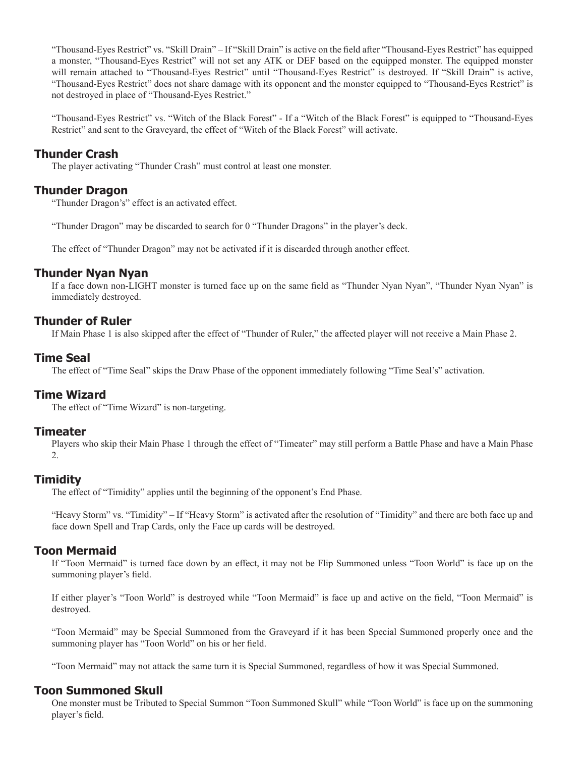"Thousand-Eyes Restrict" vs. "Skill Drain" – If "Skill Drain" is active on the field after "Thousand-Eyes Restrict" has equipped a monster, "Thousand-Eyes Restrict" will not set any ATK or DEF based on the equipped monster. The equipped monster will remain attached to "Thousand-Eyes Restrict" until "Thousand-Eyes Restrict" is destroyed. If "Skill Drain" is active, "Thousand-Eyes Restrict" does not share damage with its opponent and the monster equipped to "Thousand-Eyes Restrict" is not destroyed in place of "Thousand-Eyes Restrict."

"Thousand-Eyes Restrict" vs. "Witch of the Black Forest" - If a "Witch of the Black Forest" is equipped to "Thousand-Eyes Restrict" and sent to the Graveyard, the effect of "Witch of the Black Forest" will activate.

# **Thunder Crash**

The player activating "Thunder Crash" must control at least one monster.

## **Thunder Dragon**

"Thunder Dragon's" effect is an activated effect.

"Thunder Dragon" may be discarded to search for 0 "Thunder Dragons" in the player's deck.

The effect of "Thunder Dragon" may not be activated if it is discarded through another effect.

## **Thunder Nyan Nyan**

If a face down non-LIGHT monster is turned face up on the same field as "Thunder Nyan Nyan", "Thunder Nyan Nyan" is immediately destroyed.

## **Thunder of Ruler**

If Main Phase 1 is also skipped after the effect of "Thunder of Ruler," the affected player will not receive a Main Phase 2.

# **Time Seal**

The effect of "Time Seal" skips the Draw Phase of the opponent immediately following "Time Seal's" activation.

## **Time Wizard**

The effect of "Time Wizard" is non-targeting.

### **Timeater**

Players who skip their Main Phase 1 through the effect of "Timeater" may still perform a Battle Phase and have a Main Phase 2.

## **Timidity**

The effect of "Timidity" applies until the beginning of the opponent's End Phase.

"Heavy Storm" vs. "Timidity" – If "Heavy Storm" is activated after the resolution of "Timidity" and there are both face up and face down Spell and Trap Cards, only the Face up cards will be destroyed.

## **Toon Mermaid**

If "Toon Mermaid" is turned face down by an effect, it may not be Flip Summoned unless "Toon World" is face up on the summoning player's field.

If either player's "Toon World" is destroyed while "Toon Mermaid" is face up and active on the field, "Toon Mermaid" is destroyed.

"Toon Mermaid" may be Special Summoned from the Graveyard if it has been Special Summoned properly once and the summoning player has "Toon World" on his or her field.

"Toon Mermaid" may not attack the same turn it is Special Summoned, regardless of how it was Special Summoned.

## **Toon Summoned Skull**

One monster must be Tributed to Special Summon "Toon Summoned Skull" while "Toon World" is face up on the summoning player's field.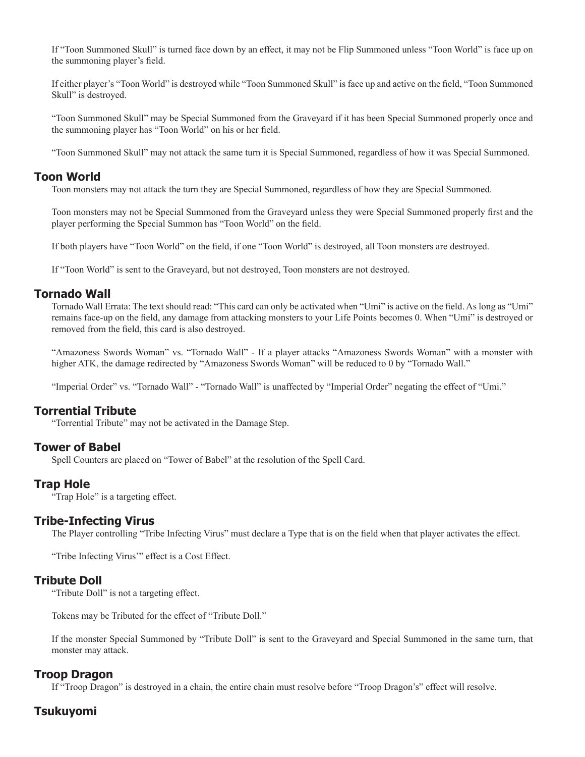If "Toon Summoned Skull" is turned face down by an effect, it may not be Flip Summoned unless "Toon World" is face up on the summoning player's field.

If either player's "Toon World" is destroyed while "Toon Summoned Skull" is face up and active on the field, "Toon Summoned Skull" is destroyed.

"Toon Summoned Skull" may be Special Summoned from the Graveyard if it has been Special Summoned properly once and the summoning player has "Toon World" on his or her field.

"Toon Summoned Skull" may not attack the same turn it is Special Summoned, regardless of how it was Special Summoned.

### **Toon World**

Toon monsters may not attack the turn they are Special Summoned, regardless of how they are Special Summoned.

Toon monsters may not be Special Summoned from the Graveyard unless they were Special Summoned properly first and the player performing the Special Summon has "Toon World" on the field.

If both players have "Toon World" on the field, if one "Toon World" is destroyed, all Toon monsters are destroyed.

If "Toon World" is sent to the Graveyard, but not destroyed, Toon monsters are not destroyed.

## **Tornado Wall**

Tornado Wall Errata: The text should read: "This card can only be activated when "Umi" is active on the field. As long as "Umi" remains face-up on the field, any damage from attacking monsters to your Life Points becomes 0. When "Umi" is destroyed or removed from the field, this card is also destroyed.

"Amazoness Swords Woman" vs. "Tornado Wall" - If a player attacks "Amazoness Swords Woman" with a monster with higher ATK, the damage redirected by "Amazoness Swords Woman" will be reduced to 0 by "Tornado Wall."

"Imperial Order" vs. "Tornado Wall" - "Tornado Wall" is unaffected by "Imperial Order" negating the effect of "Umi."

### **Torrential Tribute**

"Torrential Tribute" may not be activated in the Damage Step.

## **Tower of Babel**

Spell Counters are placed on "Tower of Babel" at the resolution of the Spell Card.

### **Trap Hole**

"Trap Hole" is a targeting effect.

#### **Tribe-Infecting Virus**

The Player controlling "Tribe Infecting Virus" must declare a Type that is on the field when that player activates the effect.

"Tribe Infecting Virus'" effect is a Cost Effect.

#### **Tribute Doll**

"Tribute Doll" is not a targeting effect.

Tokens may be Tributed for the effect of "Tribute Doll."

If the monster Special Summoned by "Tribute Doll" is sent to the Graveyard and Special Summoned in the same turn, that monster may attack.

#### **Troop Dragon**

If "Troop Dragon" is destroyed in a chain, the entire chain must resolve before "Troop Dragon's" effect will resolve.

### **Tsukuyomi**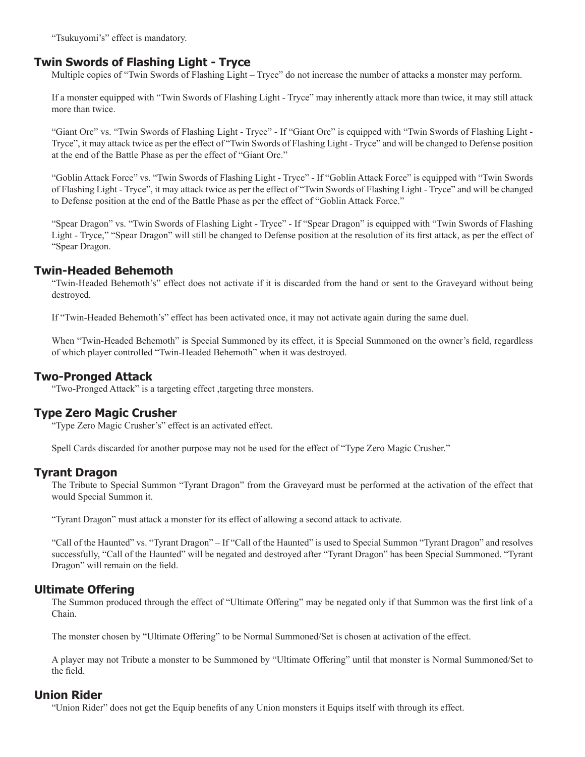"Tsukuyomi's" effect is mandatory.

## **Twin Swords of Flashing Light - Tryce**

Multiple copies of "Twin Swords of Flashing Light – Tryce" do not increase the number of attacks a monster may perform.

If a monster equipped with "Twin Swords of Flashing Light - Tryce" may inherently attack more than twice, it may still attack more than twice.

"Giant Orc" vs. "Twin Swords of Flashing Light - Tryce" - If "Giant Orc" is equipped with "Twin Swords of Flashing Light - Tryce", it may attack twice as per the effect of "Twin Swords of Flashing Light - Tryce" and will be changed to Defense position at the end of the Battle Phase as per the effect of "Giant Orc."

"Goblin Attack Force" vs. "Twin Swords of Flashing Light - Tryce" - If "Goblin Attack Force" is equipped with "Twin Swords of Flashing Light - Tryce", it may attack twice as per the effect of "Twin Swords of Flashing Light - Tryce" and will be changed to Defense position at the end of the Battle Phase as per the effect of "Goblin Attack Force."

"Spear Dragon" vs. "Twin Swords of Flashing Light - Tryce" - If "Spear Dragon" is equipped with "Twin Swords of Flashing Light - Tryce," "Spear Dragon" will still be changed to Defense position at the resolution of its first attack, as per the effect of "Spear Dragon.

### **Twin-Headed Behemoth**

"Twin-Headed Behemoth's" effect does not activate if it is discarded from the hand or sent to the Graveyard without being destroyed.

If "Twin-Headed Behemoth's" effect has been activated once, it may not activate again during the same duel.

When "Twin-Headed Behemoth" is Special Summoned by its effect, it is Special Summoned on the owner's field, regardless of which player controlled "Twin-Headed Behemoth" when it was destroyed.

### **Two-Pronged Attack**

"Two-Pronged Attack" is a targeting effect ,targeting three monsters.

### **Type Zero Magic Crusher**

"Type Zero Magic Crusher's" effect is an activated effect.

Spell Cards discarded for another purpose may not be used for the effect of "Type Zero Magic Crusher."

### **Tyrant Dragon**

The Tribute to Special Summon "Tyrant Dragon" from the Graveyard must be performed at the activation of the effect that would Special Summon it.

"Tyrant Dragon" must attack a monster for its effect of allowing a second attack to activate.

"Call of the Haunted" vs. "Tyrant Dragon" – If "Call of the Haunted" is used to Special Summon "Tyrant Dragon" and resolves successfully, "Call of the Haunted" will be negated and destroyed after "Tyrant Dragon" has been Special Summoned. "Tyrant Dragon" will remain on the field.

### **Ultimate Offering**

The Summon produced through the effect of "Ultimate Offering" may be negated only if that Summon was the first link of a Chain.

The monster chosen by "Ultimate Offering" to be Normal Summoned/Set is chosen at activation of the effect.

A player may not Tribute a monster to be Summoned by "Ultimate Offering" until that monster is Normal Summoned/Set to the field.

### **Union Rider**

"Union Rider" does not get the Equip benefits of any Union monsters it Equips itself with through its effect.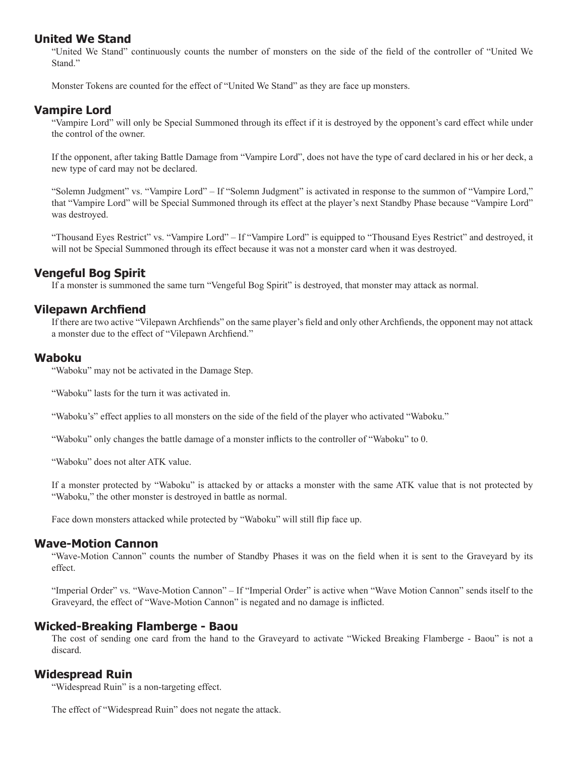## **United We Stand**

"United We Stand" continuously counts the number of monsters on the side of the field of the controller of "United We Stand."

Monster Tokens are counted for the effect of "United We Stand" as they are face up monsters.

### **Vampire Lord**

"Vampire Lord" will only be Special Summoned through its effect if it is destroyed by the opponent's card effect while under the control of the owner.

If the opponent, after taking Battle Damage from "Vampire Lord", does not have the type of card declared in his or her deck, a new type of card may not be declared.

"Solemn Judgment" vs. "Vampire Lord" – If "Solemn Judgment" is activated in response to the summon of "Vampire Lord," that "Vampire Lord" will be Special Summoned through its effect at the player's next Standby Phase because "Vampire Lord" was destroyed.

"Thousand Eyes Restrict" vs. "Vampire Lord" – If "Vampire Lord" is equipped to "Thousand Eyes Restrict" and destroyed, it will not be Special Summoned through its effect because it was not a monster card when it was destroyed.

## **Vengeful Bog Spirit**

If a monster is summoned the same turn "Vengeful Bog Spirit" is destroyed, that monster may attack as normal.

### **Vilepawn Archfiend**

If there are two active "Vilepawn Archfiends" on the same player's field and only other Archfiends, the opponent may not attack a monster due to the effect of "Vilepawn Archfiend."

#### **Waboku**

"Waboku" may not be activated in the Damage Step.

"Waboku" lasts for the turn it was activated in.

"Waboku's" effect applies to all monsters on the side of the field of the player who activated "Waboku."

"Waboku" only changes the battle damage of a monster inflicts to the controller of "Waboku" to 0.

"Waboku" does not alter ATK value.

If a monster protected by "Waboku" is attacked by or attacks a monster with the same ATK value that is not protected by "Waboku," the other monster is destroyed in battle as normal.

Face down monsters attacked while protected by "Waboku" will still flip face up.

### **Wave-Motion Cannon**

"Wave-Motion Cannon" counts the number of Standby Phases it was on the field when it is sent to the Graveyard by its effect.

"Imperial Order" vs. "Wave-Motion Cannon" – If "Imperial Order" is active when "Wave Motion Cannon" sends itself to the Graveyard, the effect of "Wave-Motion Cannon" is negated and no damage is inflicted.

### **Wicked-Breaking Flamberge - Baou**

The cost of sending one card from the hand to the Graveyard to activate "Wicked Breaking Flamberge - Baou" is not a discard.

### **Widespread Ruin**

"Widespread Ruin" is a non-targeting effect.

The effect of "Widespread Ruin" does not negate the attack.